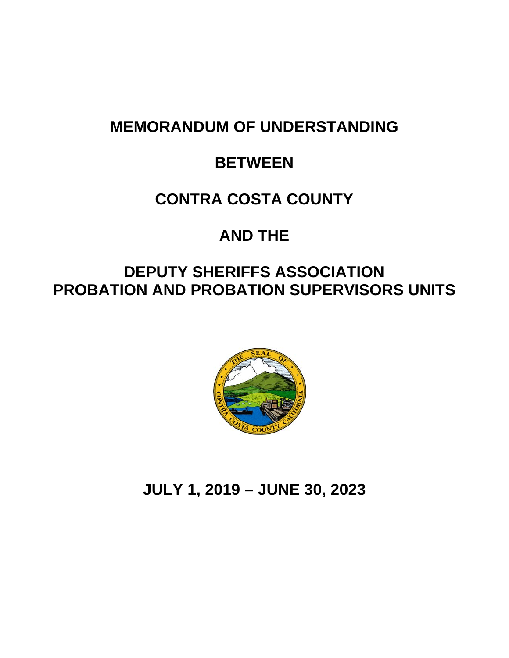# **MEMORANDUM OF UNDERSTANDING**

# **BETWEEN**

# **CONTRA COSTA COUNTY**

# **AND THE**

# **DEPUTY SHERIFFS ASSOCIATION PROBATION AND PROBATION SUPERVISORS UNITS**



# **JULY 1, 2019 – JUNE 30, 2023**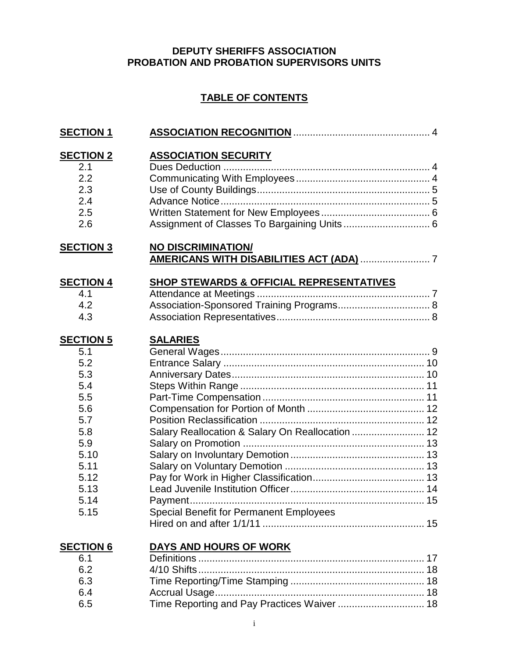# **DEPUTY SHERIFFS ASSOCIATION PROBATION AND PROBATION SUPERVISORS UNITS**

# **TABLE OF CONTENTS**

| <b>SECTION 1</b>                                                                                                                |                                                                                                                       |
|---------------------------------------------------------------------------------------------------------------------------------|-----------------------------------------------------------------------------------------------------------------------|
| <b>SECTION 2</b>                                                                                                                | <b>ASSOCIATION SECURITY</b>                                                                                           |
| 2.1                                                                                                                             |                                                                                                                       |
| 2.2                                                                                                                             |                                                                                                                       |
| 2.3                                                                                                                             |                                                                                                                       |
| 2.4                                                                                                                             |                                                                                                                       |
| 2.5                                                                                                                             |                                                                                                                       |
| 2.6                                                                                                                             |                                                                                                                       |
| <b>SECTION 3</b>                                                                                                                | <b>NO DISCRIMINATION/</b><br><b>AMERICANS WITH DISABILITIES ACT (ADA)  7</b>                                          |
| <b>SECTION 4</b>                                                                                                                | <b>SHOP STEWARDS &amp; OFFICIAL REPRESENTATIVES</b>                                                                   |
| 4.1                                                                                                                             |                                                                                                                       |
| 4.2                                                                                                                             | Association-Sponsored Training Programs 8                                                                             |
| 4.3                                                                                                                             |                                                                                                                       |
| <b>SECTION 5</b><br>5.1<br>5.2<br>5.3<br>5.4<br>5.5<br>5.6<br>5.7<br>5.8<br>5.9<br>5.10<br>5.11<br>5.12<br>5.13<br>5.14<br>5.15 | <b>SALARIES</b><br>Salary Reallocation & Salary On Reallocation  12<br><b>Special Benefit for Permanent Employees</b> |
| <b>SECTION 6</b>                                                                                                                | DAYS AND HOURS OF WORK                                                                                                |
| 6.1                                                                                                                             |                                                                                                                       |
| 6.2                                                                                                                             |                                                                                                                       |
| 6.3                                                                                                                             |                                                                                                                       |
| 6.4                                                                                                                             |                                                                                                                       |

6.5 Time Reporting and Pay Practices Waiver ............................... 18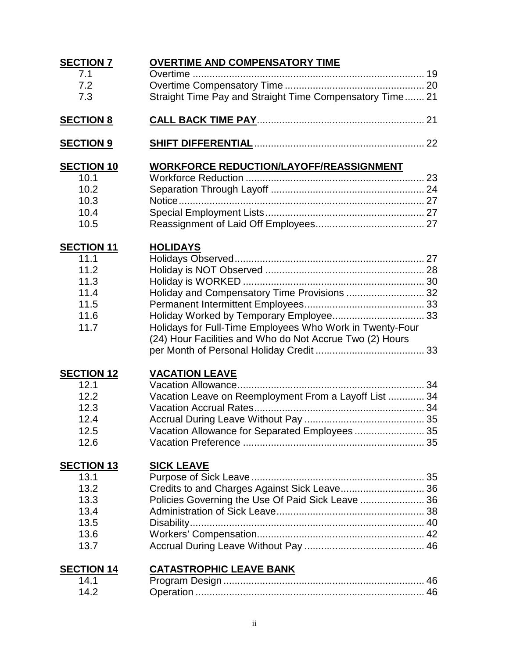| <b>SECTION 7</b>          | <b>OVERTIME AND COMPENSATORY TIME</b>                    |  |
|---------------------------|----------------------------------------------------------|--|
| 7.1                       |                                                          |  |
| 7.2                       |                                                          |  |
| 7.3                       | Straight Time Pay and Straight Time Compensatory Time 21 |  |
| <b>SECTION 8</b>          |                                                          |  |
| <b>SECTION 9</b>          |                                                          |  |
|                           | <b>WORKFORCE REDUCTION/LAYOFF/REASSIGNMENT</b>           |  |
| <b>SECTION 10</b><br>10.1 |                                                          |  |
| 10.2                      |                                                          |  |
| 10.3                      |                                                          |  |
| 10.4                      |                                                          |  |
| 10.5                      |                                                          |  |
| <b>SECTION 11</b>         | <b>HOLIDAYS</b>                                          |  |
| 11.1                      |                                                          |  |
| 11.2                      |                                                          |  |
| 11.3                      |                                                          |  |
| 11.4                      | Holiday and Compensatory Time Provisions  32             |  |
| 11.5                      |                                                          |  |
| 11.6                      | Holiday Worked by Temporary Employee 33                  |  |
| 11.7                      | Holidays for Full-Time Employees Who Work in Twenty-Four |  |
|                           | (24) Hour Facilities and Who do Not Accrue Two (2) Hours |  |
|                           |                                                          |  |
| <b>SECTION 12</b>         | <b>VACATION LEAVE</b>                                    |  |
| 12.1                      |                                                          |  |
| 12.2                      | Vacation Leave on Reemployment From a Layoff List  34    |  |
| 12.3                      |                                                          |  |
| 12.4                      |                                                          |  |
| 12.5                      | Vacation Allowance for Separated Employees 35            |  |
| 12.6                      |                                                          |  |
| <b>SECTION 13</b>         | <b>SICK LEAVE</b>                                        |  |
| 13.1                      |                                                          |  |
| 13.2                      | Credits to and Charges Against Sick Leave 36             |  |
| 13.3                      | Policies Governing the Use Of Paid Sick Leave  36        |  |
| 13.4                      |                                                          |  |
| 13.5                      |                                                          |  |
| 13.6                      |                                                          |  |
| 13.7                      |                                                          |  |
| <b>SECTION 14</b>         | <b>CATASTROPHIC LEAVE BANK</b>                           |  |
| 14.1                      |                                                          |  |
| 14.2                      |                                                          |  |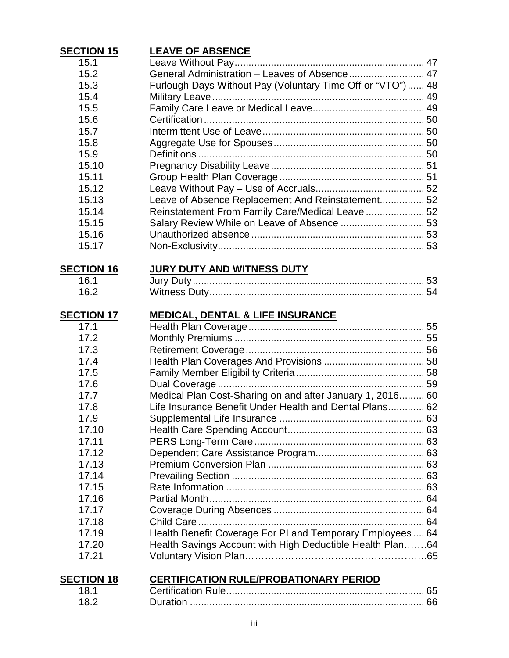| <b>SECTION 15</b> | <b>LEAVE OF ABSENCE</b>                                     |  |
|-------------------|-------------------------------------------------------------|--|
| 15.1              |                                                             |  |
| 15.2              | General Administration - Leaves of Absence 47               |  |
| 15.3              | Furlough Days Without Pay (Voluntary Time Off or "VTO")  48 |  |
| 15.4              |                                                             |  |
| 15.5              |                                                             |  |
| 15.6              |                                                             |  |
| 15.7              |                                                             |  |
| 15.8              |                                                             |  |
| 15.9              |                                                             |  |
| 15.10             |                                                             |  |
| 15.11             |                                                             |  |
| 15.12             |                                                             |  |
| 15.13             | Leave of Absence Replacement And Reinstatement 52           |  |
| 15.14             | Reinstatement From Family Care/Medical Leave  52            |  |
| 15.15             | Salary Review While on Leave of Absence  53                 |  |
| 15.16             |                                                             |  |
| 15.17             |                                                             |  |
|                   |                                                             |  |
| <b>SECTION 16</b> | <b>JURY DUTY AND WITNESS DUTY</b>                           |  |
| 16.1              |                                                             |  |
| 16.2              |                                                             |  |
|                   |                                                             |  |
| <b>SECTION 17</b> | <b>MEDICAL, DENTAL &amp; LIFE INSURANCE</b>                 |  |
| 17.1              |                                                             |  |
| 17.2              |                                                             |  |
| 17.3              |                                                             |  |
| 17.4              |                                                             |  |
| 17.5              |                                                             |  |
| 17.6              |                                                             |  |
| 17.7              | Medical Plan Cost-Sharing on and after January 1, 2016 60   |  |
| 17.8              | Life Insurance Benefit Under Health and Dental Plans 62     |  |
| 17.9              |                                                             |  |
| 17.10             |                                                             |  |
| 17.11             |                                                             |  |
| 17.12             |                                                             |  |
| 17.13             |                                                             |  |
| 17.14             |                                                             |  |
| 17.15             |                                                             |  |
| 17.16             |                                                             |  |
| 17.17             |                                                             |  |
| 17.18             |                                                             |  |
| 17.19             | Health Benefit Coverage For PI and Temporary Employees 64   |  |
| 17.20             | Health Savings Account with High Deductible Health Plan64   |  |
| 17.21             |                                                             |  |
|                   |                                                             |  |
| <b>SECTION 18</b> | <b>CERTIFICATION RULE/PROBATIONARY PERIOD</b>               |  |
| 18.1              |                                                             |  |
| 18.2              |                                                             |  |
|                   |                                                             |  |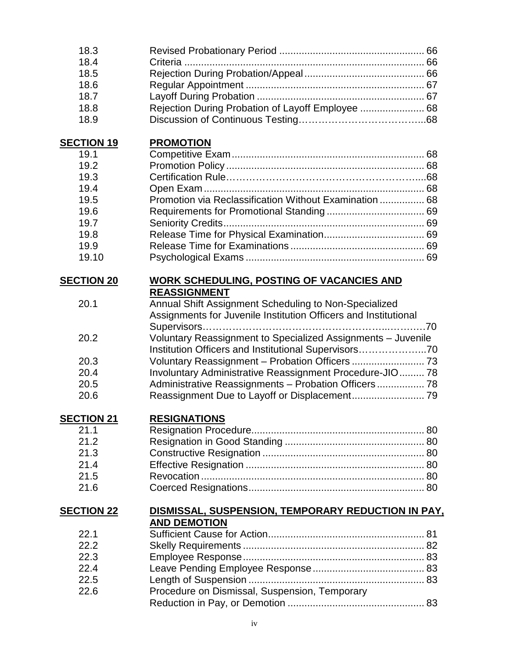| 18.3              |                                                                         |  |
|-------------------|-------------------------------------------------------------------------|--|
| 18.4              |                                                                         |  |
| 18.5              |                                                                         |  |
| 18.6              |                                                                         |  |
| 18.7              |                                                                         |  |
| 18.8              | Rejection During Probation of Layoff Employee  68                       |  |
| 18.9              |                                                                         |  |
| <b>SECTION 19</b> | <b>PROMOTION</b>                                                        |  |
| 19.1              |                                                                         |  |
| 19.2              |                                                                         |  |
| 19.3              |                                                                         |  |
| 19.4              |                                                                         |  |
| 19.5              | Promotion via Reclassification Without Examination  68                  |  |
| 19.6              |                                                                         |  |
| 19.7              |                                                                         |  |
| 19.8              |                                                                         |  |
| 19.9              |                                                                         |  |
| 19.10             |                                                                         |  |
|                   |                                                                         |  |
| <b>SECTION 20</b> | <b>WORK SCHEDULING, POSTING OF VACANCIES AND</b><br><b>REASSIGNMENT</b> |  |
| 20.1              | Annual Shift Assignment Scheduling to Non-Specialized                   |  |
|                   | Assignments for Juvenile Institution Officers and Institutional         |  |
|                   |                                                                         |  |
| 20.2              | Voluntary Reassignment to Specialized Assignments - Juvenile            |  |
|                   | Institution Officers and Institutional Supervisors70                    |  |
| 20.3              |                                                                         |  |
| 20.4              | Involuntary Administrative Reassignment Procedure-JIO 78                |  |
| 20.5              | Administrative Reassignments - Probation Officers 78                    |  |
| 20.6              |                                                                         |  |
|                   |                                                                         |  |
| <b>SECTION 21</b> | <b>RESIGNATIONS</b>                                                     |  |
| 21.1              |                                                                         |  |
| 21.2              |                                                                         |  |
| 21.3              |                                                                         |  |
| 21.4              |                                                                         |  |
| 21.5              |                                                                         |  |
| 21.6              |                                                                         |  |
| <b>SECTION 22</b> | DISMISSAL, SUSPENSION, TEMPORARY REDUCTION IN PAY,                      |  |
|                   | <b>AND DEMOTION</b>                                                     |  |
| 22.1              |                                                                         |  |
| 22.2              |                                                                         |  |
| 22.3              |                                                                         |  |
| 22.4              |                                                                         |  |
| 22.5              |                                                                         |  |
| 22.6              | Procedure on Dismissal, Suspension, Temporary                           |  |
|                   |                                                                         |  |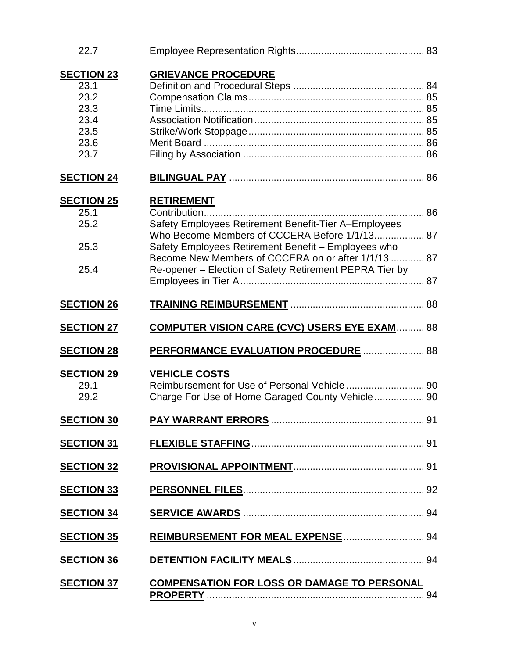| 22.7                                                                      |                                                                                                                                                                                                                                                                                                     |  |
|---------------------------------------------------------------------------|-----------------------------------------------------------------------------------------------------------------------------------------------------------------------------------------------------------------------------------------------------------------------------------------------------|--|
| <b>SECTION 23</b><br>23.1<br>23.2<br>23.3<br>23.4<br>23.5<br>23.6<br>23.7 | <b>GRIEVANCE PROCEDURE</b>                                                                                                                                                                                                                                                                          |  |
| <b>SECTION 24</b>                                                         |                                                                                                                                                                                                                                                                                                     |  |
| <b>SECTION 25</b><br>25.1<br>25.2<br>25.3<br>25.4                         | <b>RETIREMENT</b><br>Safety Employees Retirement Benefit-Tier A-Employees<br>Who Become Members of CCCERA Before 1/1/13 87<br>Safety Employees Retirement Benefit - Employees who<br>Become New Members of CCCERA on or after 1/1/13  87<br>Re-opener - Election of Safety Retirement PEPRA Tier by |  |
| <b>SECTION 26</b>                                                         |                                                                                                                                                                                                                                                                                                     |  |
| <b>SECTION 27</b>                                                         | <b>COMPUTER VISION CARE (CVC) USERS EYE EXAM  88</b>                                                                                                                                                                                                                                                |  |
| <b>SECTION 28</b>                                                         | PERFORMANCE EVALUATION PROCEDURE  88                                                                                                                                                                                                                                                                |  |
| <b>SECTION 29</b><br>29.1<br>29.2                                         | <b>VEHICLE COSTS</b><br>Charge For Use of Home Garaged County Vehicle 90                                                                                                                                                                                                                            |  |
| <b>SECTION 30</b>                                                         |                                                                                                                                                                                                                                                                                                     |  |
| <b>SECTION 31</b>                                                         |                                                                                                                                                                                                                                                                                                     |  |
| <b>SECTION 32</b>                                                         |                                                                                                                                                                                                                                                                                                     |  |
| <b>SECTION 33</b>                                                         |                                                                                                                                                                                                                                                                                                     |  |
| <b>SECTION 34</b>                                                         |                                                                                                                                                                                                                                                                                                     |  |
| <b>SECTION 35</b>                                                         | REIMBURSEMENT FOR MEAL EXPENSE  94                                                                                                                                                                                                                                                                  |  |
| <b>SECTION 36</b>                                                         |                                                                                                                                                                                                                                                                                                     |  |
| <b>SECTION 37</b>                                                         | <b>COMPENSATION FOR LOSS OR DAMAGE TO PERSONAL</b>                                                                                                                                                                                                                                                  |  |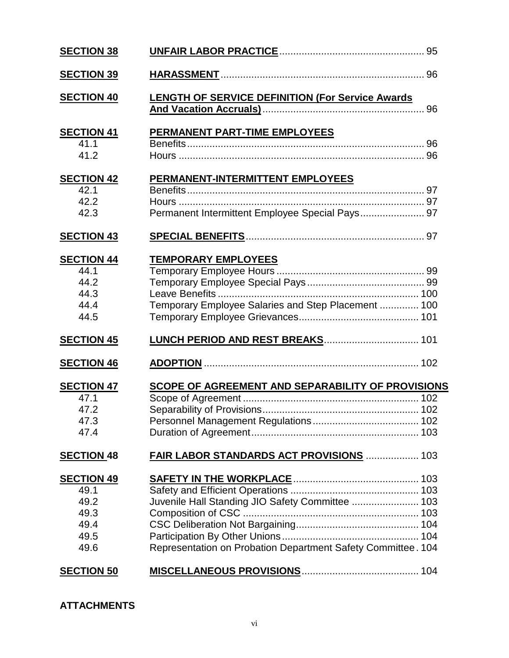| <b>SECTION 38</b>                                                 |                                                                                                                  |  |
|-------------------------------------------------------------------|------------------------------------------------------------------------------------------------------------------|--|
| <b>SECTION 39</b>                                                 |                                                                                                                  |  |
| <b>SECTION 40</b>                                                 | <b>LENGTH OF SERVICE DEFINITION (For Service Awards)</b>                                                         |  |
| <b>SECTION 41</b><br>41.1<br>41.2                                 | <b>PERMANENT PART-TIME EMPLOYEES</b>                                                                             |  |
| <b>SECTION 42</b><br>42.1<br>42.2<br>42.3                         | PERMANENT-INTERMITTENT EMPLOYEES<br>Permanent Intermittent Employee Special Pays 97                              |  |
| <b>SECTION 43</b>                                                 |                                                                                                                  |  |
| <b>SECTION 44</b><br>44.1<br>44.2<br>44.3<br>44.4<br>44.5         | <b>TEMPORARY EMPLOYEES</b><br>Temporary Employee Salaries and Step Placement  100                                |  |
| <b>SECTION 45</b>                                                 |                                                                                                                  |  |
| <b>SECTION 46</b>                                                 |                                                                                                                  |  |
| <b>SECTION 47</b><br>47.1<br>47.2<br>47.3<br>47.4                 | <b>SCOPE OF AGREEMENT AND SEPARABILITY OF PROVISIONS</b>                                                         |  |
| <b>SECTION 48</b>                                                 | FAIR LABOR STANDARDS ACT PROVISIONS  103                                                                         |  |
| <b>SECTION 49</b><br>49.1<br>49.2<br>49.3<br>49.4<br>49.5<br>49.6 | Juvenile Hall Standing JIO Safety Committee  103<br>Representation on Probation Department Safety Committee. 104 |  |
| <b>SECTION 50</b>                                                 |                                                                                                                  |  |

# **ATTACHMENTS**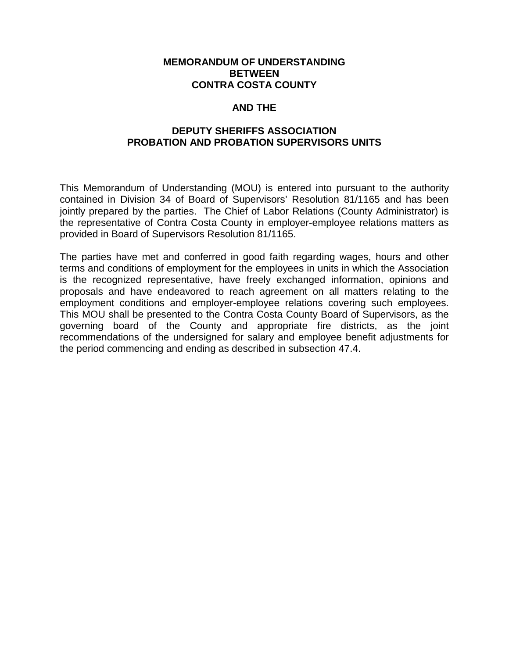#### **MEMORANDUM OF UNDERSTANDING BETWEEN CONTRA COSTA COUNTY**

#### **AND THE**

#### **DEPUTY SHERIFFS ASSOCIATION PROBATION AND PROBATION SUPERVISORS UNITS**

This Memorandum of Understanding (MOU) is entered into pursuant to the authority contained in Division 34 of Board of Supervisors' Resolution 81/1165 and has been jointly prepared by the parties. The Chief of Labor Relations (County Administrator) is the representative of Contra Costa County in employer-employee relations matters as provided in Board of Supervisors Resolution 81/1165.

The parties have met and conferred in good faith regarding wages, hours and other terms and conditions of employment for the employees in units in which the Association is the recognized representative, have freely exchanged information, opinions and proposals and have endeavored to reach agreement on all matters relating to the employment conditions and employer-employee relations covering such employees. This MOU shall be presented to the Contra Costa County Board of Supervisors, as the governing board of the County and appropriate fire districts, as the joint recommendations of the undersigned for salary and employee benefit adjustments for the period commencing and ending as described in subsection 47.4.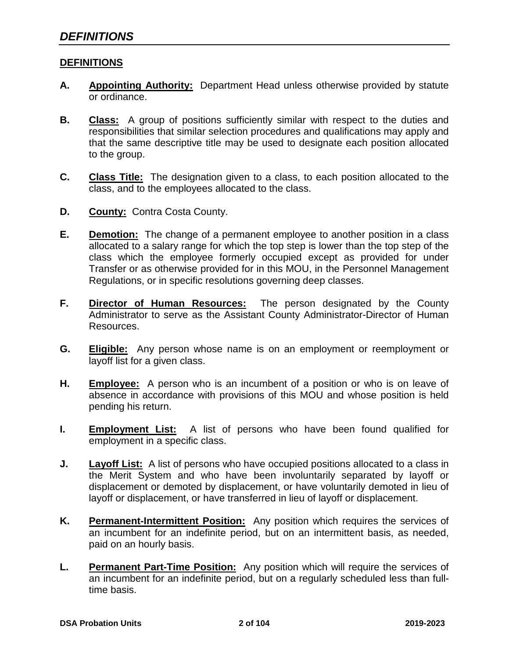#### **DEFINITIONS**

- **A. Appointing Authority:** Department Head unless otherwise provided by statute or ordinance.
- **B. Class:** A group of positions sufficiently similar with respect to the duties and responsibilities that similar selection procedures and qualifications may apply and that the same descriptive title may be used to designate each position allocated to the group.
- **C. Class Title:** The designation given to a class, to each position allocated to the class, and to the employees allocated to the class.
- **D. County:** Contra Costa County.
- **E. Demotion:** The change of a permanent employee to another position in a class allocated to a salary range for which the top step is lower than the top step of the class which the employee formerly occupied except as provided for under Transfer or as otherwise provided for in this MOU, in the Personnel Management Regulations, or in specific resolutions governing deep classes.
- **F. Director of Human Resources:** The person designated by the County Administrator to serve as the Assistant County Administrator-Director of Human Resources.
- **G. Eligible:** Any person whose name is on an employment or reemployment or layoff list for a given class.
- **H. Employee:** A person who is an incumbent of a position or who is on leave of absence in accordance with provisions of this MOU and whose position is held pending his return.
- **I. Employment List:** A list of persons who have been found qualified for employment in a specific class.
- **J. Layoff List:** A list of persons who have occupied positions allocated to a class in the Merit System and who have been involuntarily separated by layoff or displacement or demoted by displacement, or have voluntarily demoted in lieu of layoff or displacement, or have transferred in lieu of layoff or displacement.
- **K. Permanent-Intermittent Position:** Any position which requires the services of an incumbent for an indefinite period, but on an intermittent basis, as needed, paid on an hourly basis.
- **L. Permanent Part-Time Position:** Any position which will require the services of an incumbent for an indefinite period, but on a regularly scheduled less than fulltime basis.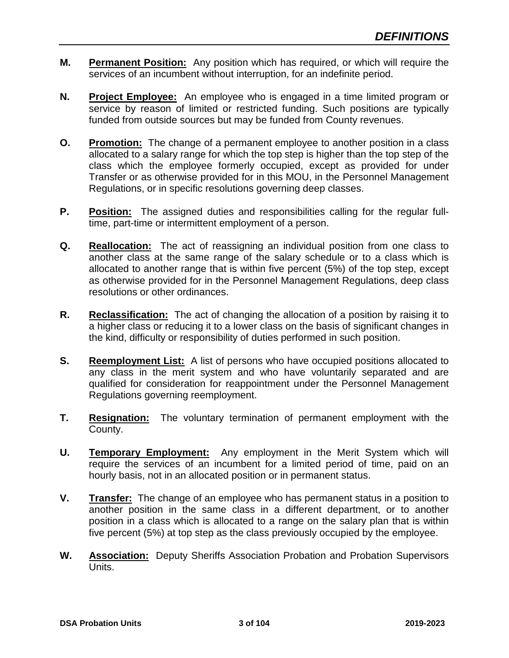- **M. Permanent Position:** Any position which has required, or which will require the services of an incumbent without interruption, for an indefinite period.
- **N. Project Employee:** An employee who is engaged in a time limited program or service by reason of limited or restricted funding. Such positions are typically funded from outside sources but may be funded from County revenues.
- **O. Promotion:** The change of a permanent employee to another position in a class allocated to a salary range for which the top step is higher than the top step of the class which the employee formerly occupied, except as provided for under Transfer or as otherwise provided for in this MOU, in the Personnel Management Regulations, or in specific resolutions governing deep classes.
- **P. Position:** The assigned duties and responsibilities calling for the regular fulltime, part-time or intermittent employment of a person.
- **Q. Reallocation:** The act of reassigning an individual position from one class to another class at the same range of the salary schedule or to a class which is allocated to another range that is within five percent (5%) of the top step, except as otherwise provided for in the Personnel Management Regulations, deep class resolutions or other ordinances.
- **R. Reclassification:** The act of changing the allocation of a position by raising it to a higher class or reducing it to a lower class on the basis of significant changes in the kind, difficulty or responsibility of duties performed in such position.
- **S. Reemployment List:** A list of persons who have occupied positions allocated to any class in the merit system and who have voluntarily separated and are qualified for consideration for reappointment under the Personnel Management Regulations governing reemployment.
- **T. Resignation:** The voluntary termination of permanent employment with the County.
- **U. Temporary Employment:** Any employment in the Merit System which will require the services of an incumbent for a limited period of time, paid on an hourly basis, not in an allocated position or in permanent status.
- **V. Transfer:** The change of an employee who has permanent status in a position to another position in the same class in a different department, or to another position in a class which is allocated to a range on the salary plan that is within five percent (5%) at top step as the class previously occupied by the employee.
- **W. Association:** Deputy Sheriffs Association Probation and Probation Supervisors Units.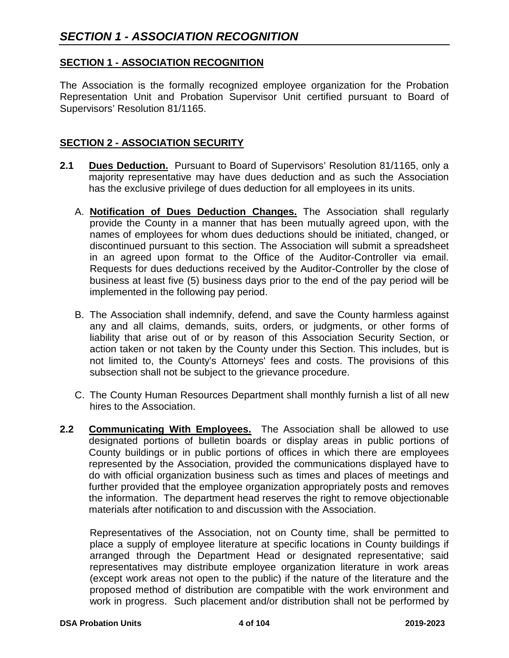### **SECTION 1 - ASSOCIATION RECOGNITION**

The Association is the formally recognized employee organization for the Probation Representation Unit and Probation Supervisor Unit certified pursuant to Board of Supervisors' Resolution 81/1165.

### **SECTION 2 - ASSOCIATION SECURITY**

- **2.1 Dues Deduction.** Pursuant to Board of Supervisors' Resolution 81/1165, only a majority representative may have dues deduction and as such the Association has the exclusive privilege of dues deduction for all employees in its units.
	- A. **Notification of Dues Deduction Changes.** The Association shall regularly provide the County in a manner that has been mutually agreed upon, with the names of employees for whom dues deductions should be initiated, changed, or discontinued pursuant to this section. The Association will submit a spreadsheet in an agreed upon format to the Office of the Auditor-Controller via email. Requests for dues deductions received by the Auditor-Controller by the close of business at least five (5) business days prior to the end of the pay period will be implemented in the following pay period.
	- B. The Association shall indemnify, defend, and save the County harmless against any and all claims, demands, suits, orders, or judgments, or other forms of liability that arise out of or by reason of this Association Security Section, or action taken or not taken by the County under this Section. This includes, but is not limited to, the County's Attorneys' fees and costs. The provisions of this subsection shall not be subject to the grievance procedure.
	- C. The County Human Resources Department shall monthly furnish a list of all new hires to the Association.
- **2.2 Communicating With Employees.** The Association shall be allowed to use designated portions of bulletin boards or display areas in public portions of County buildings or in public portions of offices in which there are employees represented by the Association, provided the communications displayed have to do with official organization business such as times and places of meetings and further provided that the employee organization appropriately posts and removes the information. The department head reserves the right to remove objectionable materials after notification to and discussion with the Association.

Representatives of the Association, not on County time, shall be permitted to place a supply of employee literature at specific locations in County buildings if arranged through the Department Head or designated representative; said representatives may distribute employee organization literature in work areas (except work areas not open to the public) if the nature of the literature and the proposed method of distribution are compatible with the work environment and work in progress. Such placement and/or distribution shall not be performed by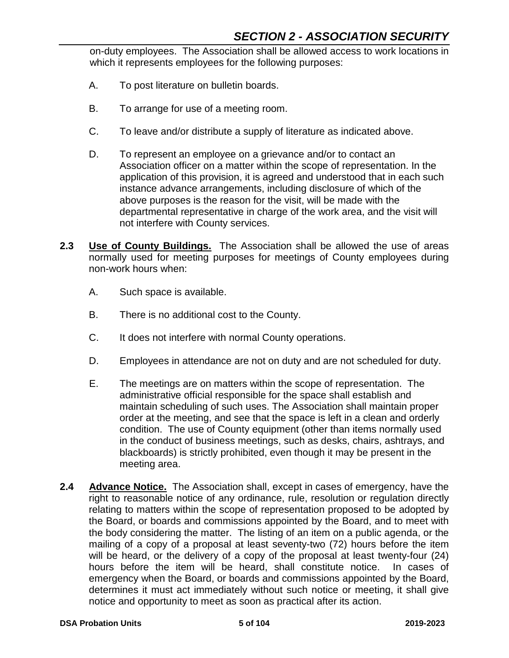on-duty employees. The Association shall be allowed access to work locations in which it represents employees for the following purposes:

- A. To post literature on bulletin boards.
- B. To arrange for use of a meeting room.
- C. To leave and/or distribute a supply of literature as indicated above.
- D. To represent an employee on a grievance and/or to contact an Association officer on a matter within the scope of representation. In the application of this provision, it is agreed and understood that in each such instance advance arrangements, including disclosure of which of the above purposes is the reason for the visit, will be made with the departmental representative in charge of the work area, and the visit will not interfere with County services.
- **2.3 Use of County Buildings.** The Association shall be allowed the use of areas normally used for meeting purposes for meetings of County employees during non-work hours when:
	- A. Such space is available.
	- B. There is no additional cost to the County.
	- C. It does not interfere with normal County operations.
	- D. Employees in attendance are not on duty and are not scheduled for duty.
	- E. The meetings are on matters within the scope of representation. The administrative official responsible for the space shall establish and maintain scheduling of such uses. The Association shall maintain proper order at the meeting, and see that the space is left in a clean and orderly condition. The use of County equipment (other than items normally used in the conduct of business meetings, such as desks, chairs, ashtrays, and blackboards) is strictly prohibited, even though it may be present in the meeting area.
- **2.4 Advance Notice.** The Association shall, except in cases of emergency, have the right to reasonable notice of any ordinance, rule, resolution or regulation directly relating to matters within the scope of representation proposed to be adopted by the Board, or boards and commissions appointed by the Board, and to meet with the body considering the matter. The listing of an item on a public agenda, or the mailing of a copy of a proposal at least seventy-two (72) hours before the item will be heard, or the delivery of a copy of the proposal at least twenty-four (24) hours before the item will be heard, shall constitute notice. In cases of emergency when the Board, or boards and commissions appointed by the Board, determines it must act immediately without such notice or meeting, it shall give notice and opportunity to meet as soon as practical after its action.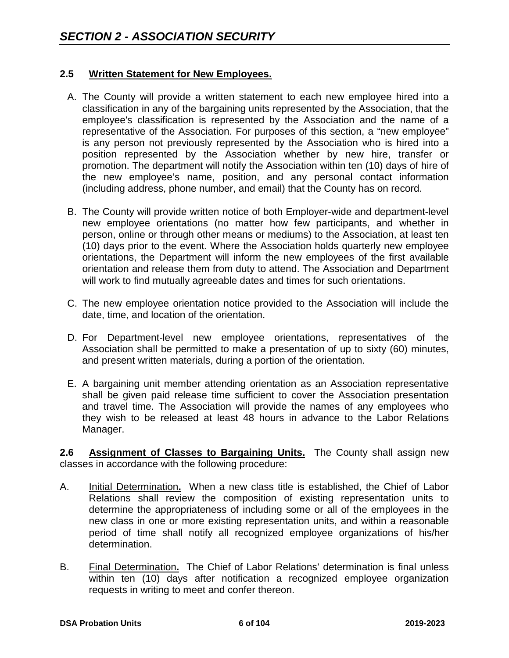### **2.5 Written Statement for New Employees.**

- A. The County will provide a written statement to each new employee hired into a classification in any of the bargaining units represented by the Association, that the employee's classification is represented by the Association and the name of a representative of the Association. For purposes of this section, a "new employee" is any person not previously represented by the Association who is hired into a position represented by the Association whether by new hire, transfer or promotion. The department will notify the Association within ten (10) days of hire of the new employee's name, position, and any personal contact information (including address, phone number, and email) that the County has on record.
- B. The County will provide written notice of both Employer-wide and department-level new employee orientations (no matter how few participants, and whether in person, online or through other means or mediums) to the Association, at least ten (10) days prior to the event. Where the Association holds quarterly new employee orientations, the Department will inform the new employees of the first available orientation and release them from duty to attend. The Association and Department will work to find mutually agreeable dates and times for such orientations.
- C. The new employee orientation notice provided to the Association will include the date, time, and location of the orientation.
- D. For Department-level new employee orientations, representatives of the Association shall be permitted to make a presentation of up to sixty (60) minutes, and present written materials, during a portion of the orientation.
- E. A bargaining unit member attending orientation as an Association representative shall be given paid release time sufficient to cover the Association presentation and travel time. The Association will provide the names of any employees who they wish to be released at least 48 hours in advance to the Labor Relations Manager.

**2.6 Assignment of Classes to Bargaining Units.** The County shall assign new classes in accordance with the following procedure:

- A. Initial Determination**.** When a new class title is established, the Chief of Labor Relations shall review the composition of existing representation units to determine the appropriateness of including some or all of the employees in the new class in one or more existing representation units, and within a reasonable period of time shall notify all recognized employee organizations of his/her determination.
- B. Final Determination**.** The Chief of Labor Relations' determination is final unless within ten (10) days after notification a recognized employee organization requests in writing to meet and confer thereon.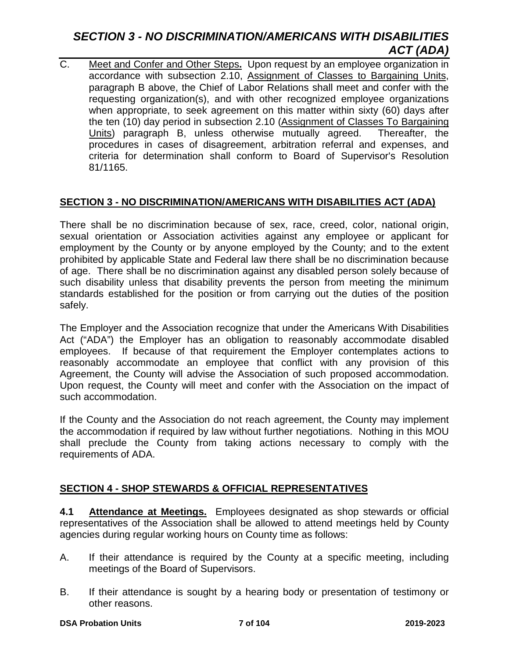# *SECTION 3 - NO DISCRIMINATION/AMERICANS WITH DISABILITIES ACT (ADA)*

C. Meet and Confer and Other Steps**.** Upon request by an employee organization in accordance with subsection 2.10, Assignment of Classes to Bargaining Units, paragraph B above, the Chief of Labor Relations shall meet and confer with the requesting organization(s), and with other recognized employee organizations when appropriate, to seek agreement on this matter within sixty (60) days after the ten (10) day period in subsection 2.10 (Assignment of Classes To Bargaining Units) paragraph B, unless otherwise mutually agreed. Thereafter, the procedures in cases of disagreement, arbitration referral and expenses, and criteria for determination shall conform to Board of Supervisor's Resolution 81/1165.

# **SECTION 3 - NO DISCRIMINATION/AMERICANS WITH DISABILITIES ACT (ADA)**

There shall be no discrimination because of sex, race, creed, color, national origin, sexual orientation or Association activities against any employee or applicant for employment by the County or by anyone employed by the County; and to the extent prohibited by applicable State and Federal law there shall be no discrimination because of age. There shall be no discrimination against any disabled person solely because of such disability unless that disability prevents the person from meeting the minimum standards established for the position or from carrying out the duties of the position safely.

The Employer and the Association recognize that under the Americans With Disabilities Act ("ADA") the Employer has an obligation to reasonably accommodate disabled employees. If because of that requirement the Employer contemplates actions to reasonably accommodate an employee that conflict with any provision of this Agreement, the County will advise the Association of such proposed accommodation. Upon request, the County will meet and confer with the Association on the impact of such accommodation.

If the County and the Association do not reach agreement, the County may implement the accommodation if required by law without further negotiations. Nothing in this MOU shall preclude the County from taking actions necessary to comply with the requirements of ADA.

# **SECTION 4 - SHOP STEWARDS & OFFICIAL REPRESENTATIVES**

**4.1 Attendance at Meetings.** Employees designated as shop stewards or official representatives of the Association shall be allowed to attend meetings held by County agencies during regular working hours on County time as follows:

- A. If their attendance is required by the County at a specific meeting, including meetings of the Board of Supervisors.
- B. If their attendance is sought by a hearing body or presentation of testimony or other reasons.

#### **DSA Probation Units 7 of 104 2019-2023**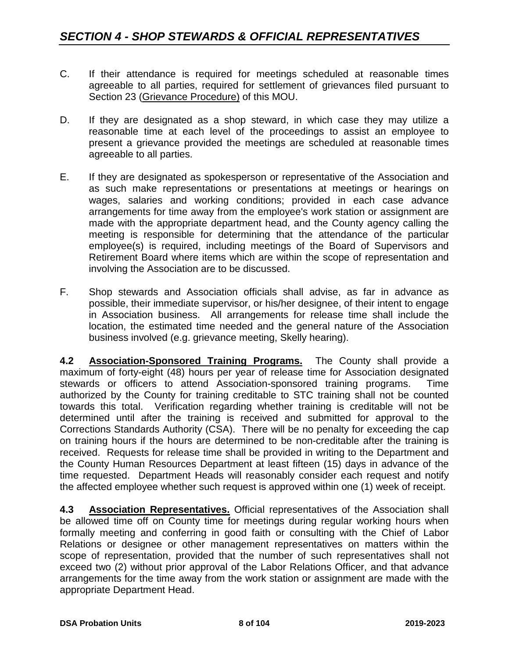- C. If their attendance is required for meetings scheduled at reasonable times agreeable to all parties, required for settlement of grievances filed pursuant to Section 23 (Grievance Procedure) of this MOU.
- D. If they are designated as a shop steward, in which case they may utilize a reasonable time at each level of the proceedings to assist an employee to present a grievance provided the meetings are scheduled at reasonable times agreeable to all parties.
- E. If they are designated as spokesperson or representative of the Association and as such make representations or presentations at meetings or hearings on wages, salaries and working conditions; provided in each case advance arrangements for time away from the employee's work station or assignment are made with the appropriate department head, and the County agency calling the meeting is responsible for determining that the attendance of the particular employee(s) is required, including meetings of the Board of Supervisors and Retirement Board where items which are within the scope of representation and involving the Association are to be discussed.
- F. Shop stewards and Association officials shall advise, as far in advance as possible, their immediate supervisor, or his/her designee, of their intent to engage in Association business. All arrangements for release time shall include the location, the estimated time needed and the general nature of the Association business involved (e.g. grievance meeting, Skelly hearing).

**4.2 Association-Sponsored Training Programs.** The County shall provide a maximum of forty-eight (48) hours per year of release time for Association designated stewards or officers to attend Association-sponsored training programs. Time authorized by the County for training creditable to STC training shall not be counted towards this total. Verification regarding whether training is creditable will not be determined until after the training is received and submitted for approval to the Corrections Standards Authority (CSA). There will be no penalty for exceeding the cap on training hours if the hours are determined to be non-creditable after the training is received. Requests for release time shall be provided in writing to the Department and the County Human Resources Department at least fifteen (15) days in advance of the time requested. Department Heads will reasonably consider each request and notify the affected employee whether such request is approved within one (1) week of receipt.

**4.3 Association Representatives.** Official representatives of the Association shall be allowed time off on County time for meetings during regular working hours when formally meeting and conferring in good faith or consulting with the Chief of Labor Relations or designee or other management representatives on matters within the scope of representation, provided that the number of such representatives shall not exceed two (2) without prior approval of the Labor Relations Officer, and that advance arrangements for the time away from the work station or assignment are made with the appropriate Department Head.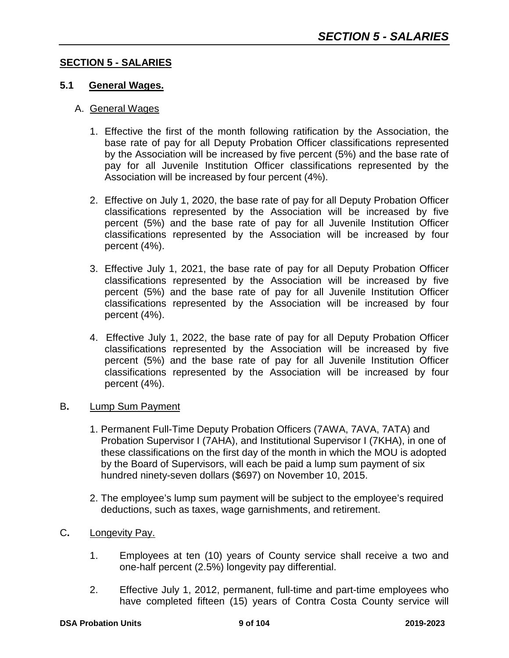#### **SECTION 5 - SALARIES**

#### **5.1 General Wages.**

#### A. General Wages

- 1. Effective the first of the month following ratification by the Association, the base rate of pay for all Deputy Probation Officer classifications represented by the Association will be increased by five percent (5%) and the base rate of pay for all Juvenile Institution Officer classifications represented by the Association will be increased by four percent (4%).
- 2. Effective on July 1, 2020, the base rate of pay for all Deputy Probation Officer classifications represented by the Association will be increased by five percent (5%) and the base rate of pay for all Juvenile Institution Officer classifications represented by the Association will be increased by four percent (4%).
- 3. Effective July 1, 2021, the base rate of pay for all Deputy Probation Officer classifications represented by the Association will be increased by five percent (5%) and the base rate of pay for all Juvenile Institution Officer classifications represented by the Association will be increased by four percent (4%).
- 4. Effective July 1, 2022, the base rate of pay for all Deputy Probation Officer classifications represented by the Association will be increased by five percent (5%) and the base rate of pay for all Juvenile Institution Officer classifications represented by the Association will be increased by four percent (4%).

#### B**.** Lump Sum Payment

- 1. Permanent Full-Time Deputy Probation Officers (7AWA, 7AVA, 7ATA) and Probation Supervisor I (7AHA), and Institutional Supervisor I (7KHA), in one of these classifications on the first day of the month in which the MOU is adopted by the Board of Supervisors, will each be paid a lump sum payment of six hundred ninety-seven dollars (\$697) on November 10, 2015.
- 2. The employee's lump sum payment will be subject to the employee's required deductions, such as taxes, wage garnishments, and retirement.
- C**.** Longevity Pay.
	- 1. Employees at ten (10) years of County service shall receive a two and one-half percent (2.5%) longevity pay differential.
	- 2. Effective July 1, 2012, permanent, full-time and part-time employees who have completed fifteen (15) years of Contra Costa County service will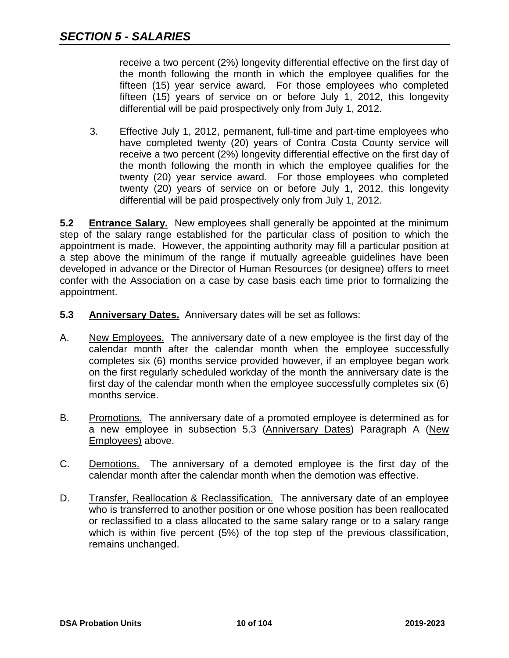receive a two percent (2%) longevity differential effective on the first day of the month following the month in which the employee qualifies for the fifteen (15) year service award. For those employees who completed fifteen (15) years of service on or before July 1, 2012, this longevity differential will be paid prospectively only from July 1, 2012.

3. Effective July 1, 2012, permanent, full-time and part-time employees who have completed twenty (20) years of Contra Costa County service will receive a two percent (2%) longevity differential effective on the first day of the month following the month in which the employee qualifies for the twenty (20) year service award. For those employees who completed twenty (20) years of service on or before July 1, 2012, this longevity differential will be paid prospectively only from July 1, 2012.

**5.2 Entrance Salary.** New employees shall generally be appointed at the minimum step of the salary range established for the particular class of position to which the appointment is made. However, the appointing authority may fill a particular position at a step above the minimum of the range if mutually agreeable guidelines have been developed in advance or the Director of Human Resources (or designee) offers to meet confer with the Association on a case by case basis each time prior to formalizing the appointment.

- **5.3 Anniversary Dates.** Anniversary dates will be set as follows:
- A. New Employees. The anniversary date of a new employee is the first day of the calendar month after the calendar month when the employee successfully completes six (6) months service provided however, if an employee began work on the first regularly scheduled workday of the month the anniversary date is the first day of the calendar month when the employee successfully completes six (6) months service.
- B. Promotions. The anniversary date of a promoted employee is determined as for a new employee in subsection 5.3 (Anniversary Dates) Paragraph A (New Employees) above.
- C. Demotions. The anniversary of a demoted employee is the first day of the calendar month after the calendar month when the demotion was effective.
- D. Transfer, Reallocation & Reclassification. The anniversary date of an employee who is transferred to another position or one whose position has been reallocated or reclassified to a class allocated to the same salary range or to a salary range which is within five percent (5%) of the top step of the previous classification, remains unchanged.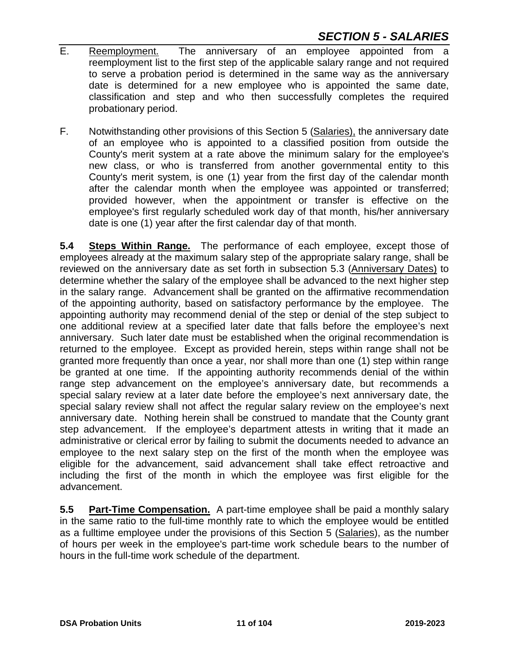- E. Reemployment. The anniversary of an employee appointed from a reemployment list to the first step of the applicable salary range and not required to serve a probation period is determined in the same way as the anniversary date is determined for a new employee who is appointed the same date, classification and step and who then successfully completes the required probationary period.
- F. Notwithstanding other provisions of this Section 5 (Salaries), the anniversary date of an employee who is appointed to a classified position from outside the County's merit system at a rate above the minimum salary for the employee's new class, or who is transferred from another governmental entity to this County's merit system, is one (1) year from the first day of the calendar month after the calendar month when the employee was appointed or transferred; provided however, when the appointment or transfer is effective on the employee's first regularly scheduled work day of that month, his/her anniversary date is one (1) year after the first calendar day of that month.

**5.4 Steps Within Range.** The performance of each employee, except those of employees already at the maximum salary step of the appropriate salary range, shall be reviewed on the anniversary date as set forth in subsection 5.3 (Anniversary Dates) to determine whether the salary of the employee shall be advanced to the next higher step in the salary range. Advancement shall be granted on the affirmative recommendation of the appointing authority, based on satisfactory performance by the employee. The appointing authority may recommend denial of the step or denial of the step subject to one additional review at a specified later date that falls before the employee's next anniversary. Such later date must be established when the original recommendation is returned to the employee. Except as provided herein, steps within range shall not be granted more frequently than once a year, nor shall more than one (1) step within range be granted at one time. If the appointing authority recommends denial of the within range step advancement on the employee's anniversary date, but recommends a special salary review at a later date before the employee's next anniversary date, the special salary review shall not affect the regular salary review on the employee's next anniversary date. Nothing herein shall be construed to mandate that the County grant step advancement. If the employee's department attests in writing that it made an administrative or clerical error by failing to submit the documents needed to advance an employee to the next salary step on the first of the month when the employee was eligible for the advancement, said advancement shall take effect retroactive and including the first of the month in which the employee was first eligible for the advancement.

**5.5 Part-Time Compensation.** A part-time employee shall be paid a monthly salary in the same ratio to the full-time monthly rate to which the employee would be entitled as a fulltime employee under the provisions of this Section 5 (Salaries), as the number of hours per week in the employee's part-time work schedule bears to the number of hours in the full-time work schedule of the department.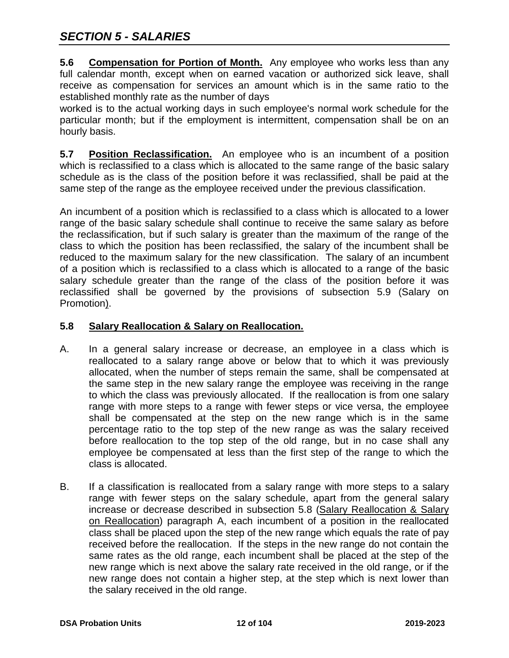**5.6 Compensation for Portion of Month.** Any employee who works less than any full calendar month, except when on earned vacation or authorized sick leave, shall receive as compensation for services an amount which is in the same ratio to the established monthly rate as the number of days

worked is to the actual working days in such employee's normal work schedule for the particular month; but if the employment is intermittent, compensation shall be on an hourly basis.

**5.7 Position Reclassification.** An employee who is an incumbent of a position which is reclassified to a class which is allocated to the same range of the basic salary schedule as is the class of the position before it was reclassified, shall be paid at the same step of the range as the employee received under the previous classification.

An incumbent of a position which is reclassified to a class which is allocated to a lower range of the basic salary schedule shall continue to receive the same salary as before the reclassification, but if such salary is greater than the maximum of the range of the class to which the position has been reclassified, the salary of the incumbent shall be reduced to the maximum salary for the new classification. The salary of an incumbent of a position which is reclassified to a class which is allocated to a range of the basic salary schedule greater than the range of the class of the position before it was reclassified shall be governed by the provisions of subsection 5.9 (Salary on Promotion).

### **5.8 Salary Reallocation & Salary on Reallocation.**

- A. In a general salary increase or decrease, an employee in a class which is reallocated to a salary range above or below that to which it was previously allocated, when the number of steps remain the same, shall be compensated at the same step in the new salary range the employee was receiving in the range to which the class was previously allocated. If the reallocation is from one salary range with more steps to a range with fewer steps or vice versa, the employee shall be compensated at the step on the new range which is in the same percentage ratio to the top step of the new range as was the salary received before reallocation to the top step of the old range, but in no case shall any employee be compensated at less than the first step of the range to which the class is allocated.
- B. If a classification is reallocated from a salary range with more steps to a salary range with fewer steps on the salary schedule, apart from the general salary increase or decrease described in subsection 5.8 (Salary Reallocation & Salary on Reallocation) paragraph A, each incumbent of a position in the reallocated class shall be placed upon the step of the new range which equals the rate of pay received before the reallocation. If the steps in the new range do not contain the same rates as the old range, each incumbent shall be placed at the step of the new range which is next above the salary rate received in the old range, or if the new range does not contain a higher step, at the step which is next lower than the salary received in the old range.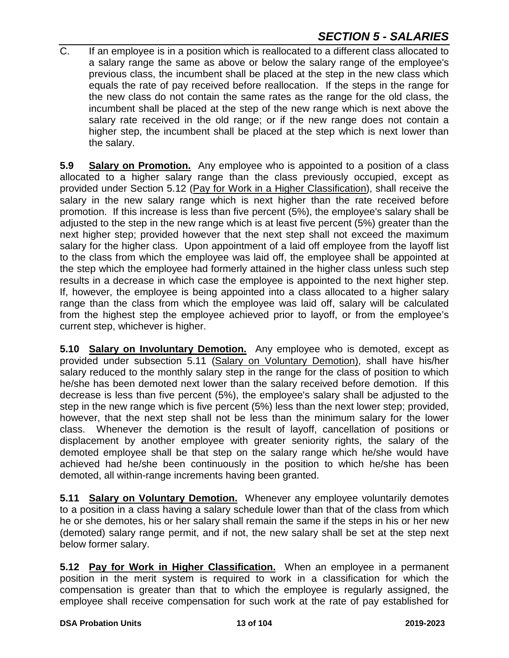C. If an employee is in a position which is reallocated to a different class allocated to a salary range the same as above or below the salary range of the employee's previous class, the incumbent shall be placed at the step in the new class which equals the rate of pay received before reallocation. If the steps in the range for the new class do not contain the same rates as the range for the old class, the incumbent shall be placed at the step of the new range which is next above the salary rate received in the old range; or if the new range does not contain a higher step, the incumbent shall be placed at the step which is next lower than the salary.

**5.9 Salary on Promotion.** Any employee who is appointed to a position of a class allocated to a higher salary range than the class previously occupied, except as provided under Section 5.12 (Pay for Work in a Higher Classification), shall receive the salary in the new salary range which is next higher than the rate received before promotion. If this increase is less than five percent (5%), the employee's salary shall be adjusted to the step in the new range which is at least five percent (5%) greater than the next higher step; provided however that the next step shall not exceed the maximum salary for the higher class. Upon appointment of a laid off employee from the layoff list to the class from which the employee was laid off, the employee shall be appointed at the step which the employee had formerly attained in the higher class unless such step results in a decrease in which case the employee is appointed to the next higher step. If, however, the employee is being appointed into a class allocated to a higher salary range than the class from which the employee was laid off, salary will be calculated from the highest step the employee achieved prior to layoff, or from the employee's current step, whichever is higher.

**5.10 Salary on Involuntary Demotion.** Any employee who is demoted, except as provided under subsection 5.11 (Salary on Voluntary Demotion), shall have his/her salary reduced to the monthly salary step in the range for the class of position to which he/she has been demoted next lower than the salary received before demotion. If this decrease is less than five percent (5%), the employee's salary shall be adjusted to the step in the new range which is five percent (5%) less than the next lower step; provided, however, that the next step shall not be less than the minimum salary for the lower class. Whenever the demotion is the result of layoff, cancellation of positions or displacement by another employee with greater seniority rights, the salary of the demoted employee shall be that step on the salary range which he/she would have achieved had he/she been continuously in the position to which he/she has been demoted, all within-range increments having been granted.

**5.11 Salary on Voluntary Demotion.** Whenever any employee voluntarily demotes to a position in a class having a salary schedule lower than that of the class from which he or she demotes, his or her salary shall remain the same if the steps in his or her new (demoted) salary range permit, and if not, the new salary shall be set at the step next below former salary.

**5.12 Pay for Work in Higher Classification.** When an employee in a permanent position in the merit system is required to work in a classification for which the compensation is greater than that to which the employee is regularly assigned, the employee shall receive compensation for such work at the rate of pay established for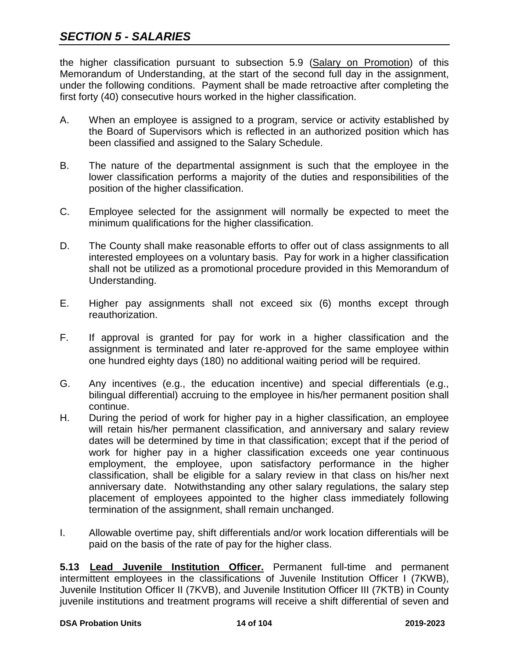# *SECTION 5 - SALARIES*

the higher classification pursuant to subsection 5.9 (Salary on Promotion) of this Memorandum of Understanding, at the start of the second full day in the assignment, under the following conditions. Payment shall be made retroactive after completing the first forty (40) consecutive hours worked in the higher classification.

- A. When an employee is assigned to a program, service or activity established by the Board of Supervisors which is reflected in an authorized position which has been classified and assigned to the Salary Schedule.
- B. The nature of the departmental assignment is such that the employee in the lower classification performs a majority of the duties and responsibilities of the position of the higher classification.
- C. Employee selected for the assignment will normally be expected to meet the minimum qualifications for the higher classification.
- D. The County shall make reasonable efforts to offer out of class assignments to all interested employees on a voluntary basis. Pay for work in a higher classification shall not be utilized as a promotional procedure provided in this Memorandum of Understanding.
- E. Higher pay assignments shall not exceed six (6) months except through reauthorization.
- F. If approval is granted for pay for work in a higher classification and the assignment is terminated and later re-approved for the same employee within one hundred eighty days (180) no additional waiting period will be required.
- G. Any incentives (e.g., the education incentive) and special differentials (e.g., bilingual differential) accruing to the employee in his/her permanent position shall continue.
- H. During the period of work for higher pay in a higher classification, an employee will retain his/her permanent classification, and anniversary and salary review dates will be determined by time in that classification; except that if the period of work for higher pay in a higher classification exceeds one year continuous employment, the employee, upon satisfactory performance in the higher classification, shall be eligible for a salary review in that class on his/her next anniversary date. Notwithstanding any other salary regulations, the salary step placement of employees appointed to the higher class immediately following termination of the assignment, shall remain unchanged.
- I. Allowable overtime pay, shift differentials and/or work location differentials will be paid on the basis of the rate of pay for the higher class.

**5.13 Lead Juvenile Institution Officer.** Permanent full-time and permanent intermittent employees in the classifications of Juvenile Institution Officer I (7KWB), Juvenile Institution Officer II (7KVB), and Juvenile Institution Officer III (7KTB) in County juvenile institutions and treatment programs will receive a shift differential of seven and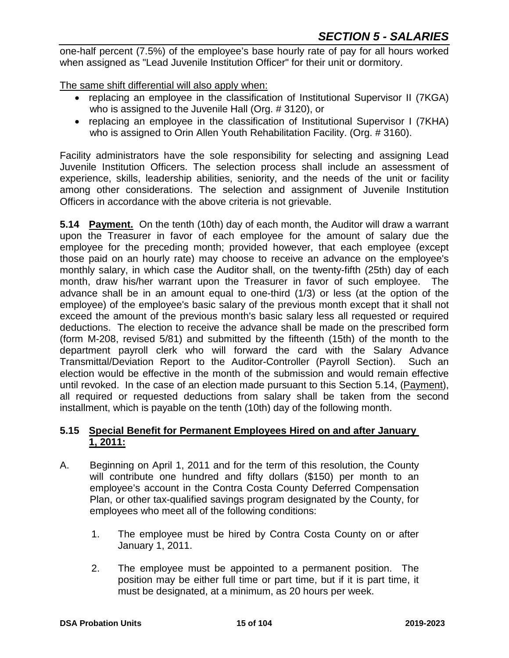one-half percent (7.5%) of the employee's base hourly rate of pay for all hours worked when assigned as "Lead Juvenile Institution Officer" for their unit or dormitory.

The same shift differential will also apply when:

- replacing an employee in the classification of Institutional Supervisor II (7KGA) who is assigned to the Juvenile Hall (Org. # 3120), or
- replacing an employee in the classification of Institutional Supervisor I (7KHA) who is assigned to Orin Allen Youth Rehabilitation Facility. (Org. #3160).

Facility administrators have the sole responsibility for selecting and assigning Lead Juvenile Institution Officers. The selection process shall include an assessment of experience, skills, leadership abilities, seniority, and the needs of the unit or facility among other considerations. The selection and assignment of Juvenile Institution Officers in accordance with the above criteria is not grievable.

**5.14 Payment.** On the tenth (10th) day of each month, the Auditor will draw a warrant upon the Treasurer in favor of each employee for the amount of salary due the employee for the preceding month; provided however, that each employee (except those paid on an hourly rate) may choose to receive an advance on the employee's monthly salary, in which case the Auditor shall, on the twenty-fifth (25th) day of each month, draw his/her warrant upon the Treasurer in favor of such employee. The advance shall be in an amount equal to one-third (1/3) or less (at the option of the employee) of the employee's basic salary of the previous month except that it shall not exceed the amount of the previous month's basic salary less all requested or required deductions. The election to receive the advance shall be made on the prescribed form (form M-208, revised 5/81) and submitted by the fifteenth (15th) of the month to the department payroll clerk who will forward the card with the Salary Advance Transmittal/Deviation Report to the Auditor-Controller (Payroll Section). Such an election would be effective in the month of the submission and would remain effective until revoked. In the case of an election made pursuant to this Section 5.14, (Payment), all required or requested deductions from salary shall be taken from the second installment, which is payable on the tenth (10th) day of the following month.

## **5.15 Special Benefit for Permanent Employees Hired on and after January 1, 2011:**

- A. Beginning on April 1, 2011 and for the term of this resolution, the County will contribute one hundred and fifty dollars (\$150) per month to an employee's account in the Contra Costa County Deferred Compensation Plan, or other tax-qualified savings program designated by the County, for employees who meet all of the following conditions:
	- 1. The employee must be hired by Contra Costa County on or after January 1, 2011.
	- 2. The employee must be appointed to a permanent position. The position may be either full time or part time, but if it is part time, it must be designated, at a minimum, as 20 hours per week.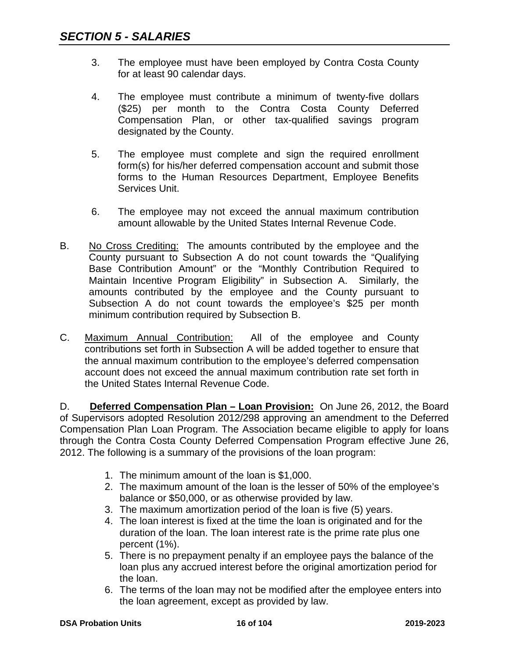- 3. The employee must have been employed by Contra Costa County for at least 90 calendar days.
- 4. The employee must contribute a minimum of twenty-five dollars (\$25) per month to the Contra Costa County Deferred Compensation Plan, or other tax-qualified savings program designated by the County.
- 5. The employee must complete and sign the required enrollment form(s) for his/her deferred compensation account and submit those forms to the Human Resources Department, Employee Benefits Services Unit.
- 6. The employee may not exceed the annual maximum contribution amount allowable by the United States Internal Revenue Code.
- B. No Cross Crediting: The amounts contributed by the employee and the County pursuant to Subsection A do not count towards the "Qualifying Base Contribution Amount" or the "Monthly Contribution Required to Maintain Incentive Program Eligibility" in Subsection A. Similarly, the amounts contributed by the employee and the County pursuant to Subsection A do not count towards the employee's \$25 per month minimum contribution required by Subsection B.
- C. Maximum Annual Contribution: All of the employee and County contributions set forth in Subsection A will be added together to ensure that the annual maximum contribution to the employee's deferred compensation account does not exceed the annual maximum contribution rate set forth in the United States Internal Revenue Code.

D. **Deferred Compensation Plan – Loan Provision:** On June 26, 2012, the Board of Supervisors adopted Resolution 2012/298 approving an amendment to the Deferred Compensation Plan Loan Program. The Association became eligible to apply for loans through the Contra Costa County Deferred Compensation Program effective June 26, 2012. The following is a summary of the provisions of the loan program:

- 1. The minimum amount of the loan is \$1,000.
- 2. The maximum amount of the loan is the lesser of 50% of the employee's balance or \$50,000, or as otherwise provided by law.
- 3. The maximum amortization period of the loan is five (5) years.
- 4. The loan interest is fixed at the time the loan is originated and for the duration of the loan. The loan interest rate is the prime rate plus one percent (1%).
- 5. There is no prepayment penalty if an employee pays the balance of the loan plus any accrued interest before the original amortization period for the loan.
- 6. The terms of the loan may not be modified after the employee enters into the loan agreement, except as provided by law.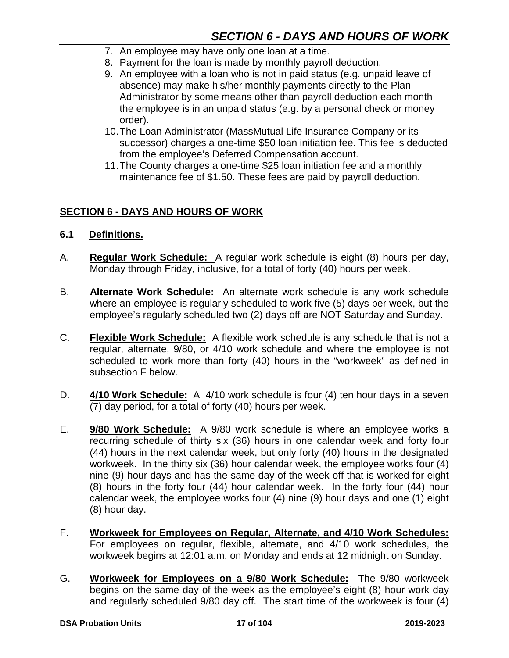- 7. An employee may have only one loan at a time.
- 8. Payment for the loan is made by monthly payroll deduction.
- 9. An employee with a loan who is not in paid status (e.g. unpaid leave of absence) may make his/her monthly payments directly to the Plan Administrator by some means other than payroll deduction each month the employee is in an unpaid status (e.g. by a personal check or money order).
- 10.The Loan Administrator (MassMutual Life Insurance Company or its successor) charges a one-time \$50 loan initiation fee. This fee is deducted from the employee's Deferred Compensation account.
- 11.The County charges a one-time \$25 loan initiation fee and a monthly maintenance fee of \$1.50. These fees are paid by payroll deduction.

#### **SECTION 6 - DAYS AND HOURS OF WORK**

- **6.1 Definitions.**
- A. **Regular Work Schedule:** A regular work schedule is eight (8) hours per day, Monday through Friday, inclusive, for a total of forty (40) hours per week.
- B. **Alternate Work Schedule:** An alternate work schedule is any work schedule where an employee is regularly scheduled to work five (5) days per week, but the employee's regularly scheduled two (2) days off are NOT Saturday and Sunday.
- C. **Flexible Work Schedule:** A flexible work schedule is any schedule that is not a regular, alternate, 9/80, or 4/10 work schedule and where the employee is not scheduled to work more than forty (40) hours in the "workweek" as defined in subsection F below.
- D. **4/10 Work Schedule:** A 4/10 work schedule is four (4) ten hour days in a seven (7) day period, for a total of forty (40) hours per week.
- E. **9/80 Work Schedule:** A 9/80 work schedule is where an employee works a recurring schedule of thirty six (36) hours in one calendar week and forty four (44) hours in the next calendar week, but only forty (40) hours in the designated workweek. In the thirty six (36) hour calendar week, the employee works four (4) nine (9) hour days and has the same day of the week off that is worked for eight (8) hours in the forty four (44) hour calendar week. In the forty four (44) hour calendar week, the employee works four (4) nine (9) hour days and one (1) eight (8) hour day.
- F. **Workweek for Employees on Regular, Alternate, and 4/10 Work Schedules:** For employees on regular, flexible, alternate, and 4/10 work schedules, the workweek begins at 12:01 a.m. on Monday and ends at 12 midnight on Sunday.
- G. **Workweek for Employees on a 9/80 Work Schedule:** The 9/80 workweek begins on the same day of the week as the employee's eight (8) hour work day and regularly scheduled 9/80 day off. The start time of the workweek is four (4)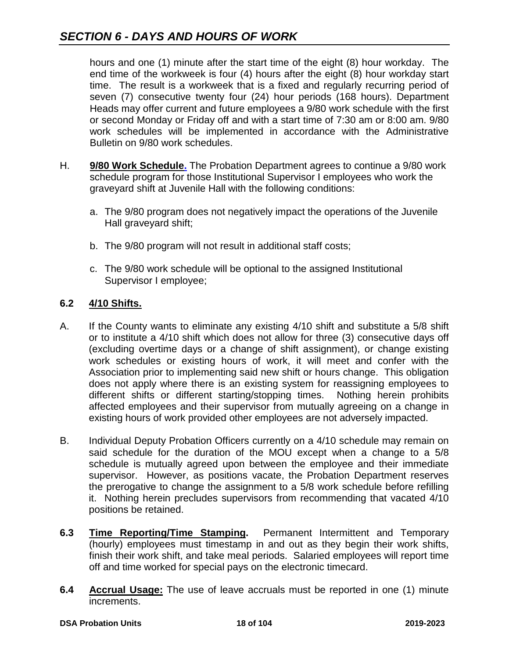hours and one (1) minute after the start time of the eight (8) hour workday. The end time of the workweek is four (4) hours after the eight (8) hour workday start time. The result is a workweek that is a fixed and regularly recurring period of seven (7) consecutive twenty four (24) hour periods (168 hours). Department Heads may offer current and future employees a 9/80 work schedule with the first or second Monday or Friday off and with a start time of 7:30 am or 8:00 am. 9/80 work schedules will be implemented in accordance with the Administrative Bulletin on 9/80 work schedules.

- H. **9/80 Work Schedule.** The Probation Department agrees to continue a 9/80 work schedule program for those Institutional Supervisor I employees who work the graveyard shift at Juvenile Hall with the following conditions:
	- a. The 9/80 program does not negatively impact the operations of the Juvenile Hall graveyard shift;
	- b. The 9/80 program will not result in additional staff costs;
	- c. The 9/80 work schedule will be optional to the assigned Institutional Supervisor I employee;

# **6.2 4/10 Shifts.**

- A. If the County wants to eliminate any existing 4/10 shift and substitute a 5/8 shift or to institute a 4/10 shift which does not allow for three (3) consecutive days off (excluding overtime days or a change of shift assignment), or change existing work schedules or existing hours of work, it will meet and confer with the Association prior to implementing said new shift or hours change. This obligation does not apply where there is an existing system for reassigning employees to different shifts or different starting/stopping times. Nothing herein prohibits affected employees and their supervisor from mutually agreeing on a change in existing hours of work provided other employees are not adversely impacted.
- B. Individual Deputy Probation Officers currently on a 4/10 schedule may remain on said schedule for the duration of the MOU except when a change to a 5/8 schedule is mutually agreed upon between the employee and their immediate supervisor. However, as positions vacate, the Probation Department reserves the prerogative to change the assignment to a 5/8 work schedule before refilling it. Nothing herein precludes supervisors from recommending that vacated 4/10 positions be retained.
- **6.3 Time Reporting/Time Stamping.** Permanent Intermittent and Temporary (hourly) employees must timestamp in and out as they begin their work shifts, finish their work shift, and take meal periods. Salaried employees will report time off and time worked for special pays on the electronic timecard.
- **6.4 Accrual Usage:** The use of leave accruals must be reported in one (1) minute increments.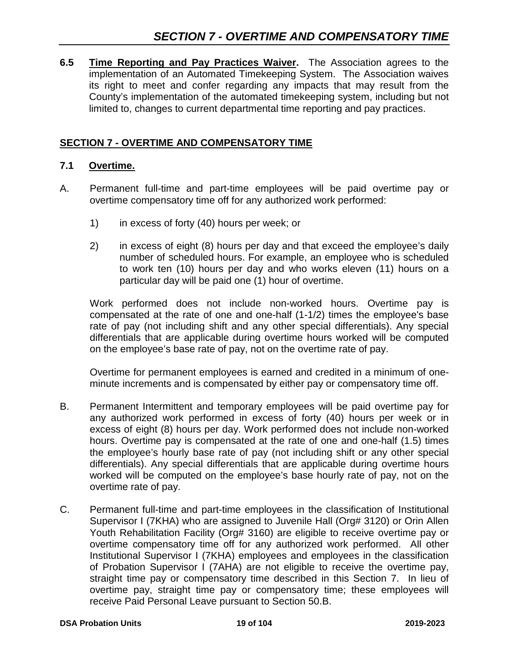**6.5 Time Reporting and Pay Practices Waiver.** The Association agrees to the implementation of an Automated Timekeeping System. The Association waives its right to meet and confer regarding any impacts that may result from the County's implementation of the automated timekeeping system, including but not limited to, changes to current departmental time reporting and pay practices.

# **SECTION 7 - OVERTIME AND COMPENSATORY TIME**

#### **7.1 Overtime.**

- A. Permanent full-time and part-time employees will be paid overtime pay or overtime compensatory time off for any authorized work performed:
	- 1) in excess of forty (40) hours per week; or
	- 2) in excess of eight (8) hours per day and that exceed the employee's daily number of scheduled hours. For example, an employee who is scheduled to work ten (10) hours per day and who works eleven (11) hours on a particular day will be paid one (1) hour of overtime.

Work performed does not include non-worked hours. Overtime pay is compensated at the rate of one and one-half (1-1/2) times the employee's base rate of pay (not including shift and any other special differentials). Any special differentials that are applicable during overtime hours worked will be computed on the employee's base rate of pay, not on the overtime rate of pay.

Overtime for permanent employees is earned and credited in a minimum of oneminute increments and is compensated by either pay or compensatory time off.

- B. Permanent Intermittent and temporary employees will be paid overtime pay for any authorized work performed in excess of forty (40) hours per week or in excess of eight (8) hours per day. Work performed does not include non-worked hours. Overtime pay is compensated at the rate of one and one-half (1.5) times the employee's hourly base rate of pay (not including shift or any other special differentials). Any special differentials that are applicable during overtime hours worked will be computed on the employee's base hourly rate of pay, not on the overtime rate of pay.
- C. Permanent full-time and part-time employees in the classification of Institutional Supervisor I (7KHA) who are assigned to Juvenile Hall (Org# 3120) or Orin Allen Youth Rehabilitation Facility (Org# 3160) are eligible to receive overtime pay or overtime compensatory time off for any authorized work performed. All other Institutional Supervisor I (7KHA) employees and employees in the classification of Probation Supervisor I (7AHA) are not eligible to receive the overtime pay, straight time pay or compensatory time described in this Section 7. In lieu of overtime pay, straight time pay or compensatory time; these employees will receive Paid Personal Leave pursuant to Section 50.B.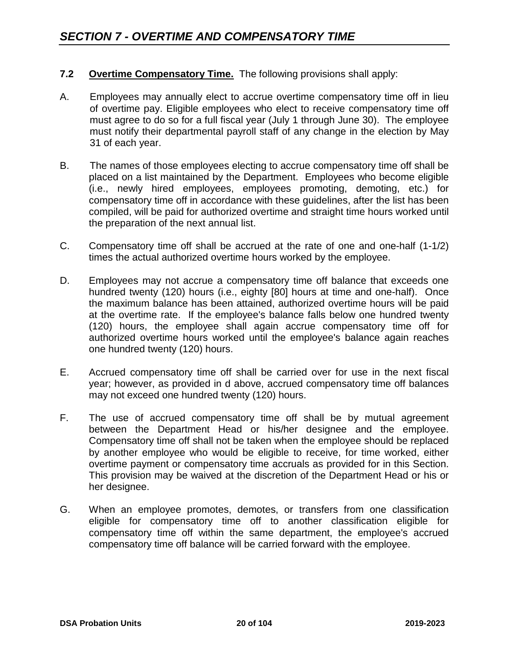## **7.2 Overtime Compensatory Time.** The following provisions shall apply:

- A. Employees may annually elect to accrue overtime compensatory time off in lieu of overtime pay. Eligible employees who elect to receive compensatory time off must agree to do so for a full fiscal year (July 1 through June 30). The employee must notify their departmental payroll staff of any change in the election by May 31 of each year.
- B. The names of those employees electing to accrue compensatory time off shall be placed on a list maintained by the Department. Employees who become eligible (i.e., newly hired employees, employees promoting, demoting, etc.) for compensatory time off in accordance with these guidelines, after the list has been compiled, will be paid for authorized overtime and straight time hours worked until the preparation of the next annual list.
- C. Compensatory time off shall be accrued at the rate of one and one-half (1-1/2) times the actual authorized overtime hours worked by the employee.
- D. Employees may not accrue a compensatory time off balance that exceeds one hundred twenty (120) hours (i.e., eighty [80] hours at time and one-half). Once the maximum balance has been attained, authorized overtime hours will be paid at the overtime rate. If the employee's balance falls below one hundred twenty (120) hours, the employee shall again accrue compensatory time off for authorized overtime hours worked until the employee's balance again reaches one hundred twenty (120) hours.
- E. Accrued compensatory time off shall be carried over for use in the next fiscal year; however, as provided in d above, accrued compensatory time off balances may not exceed one hundred twenty (120) hours.
- F. The use of accrued compensatory time off shall be by mutual agreement between the Department Head or his/her designee and the employee. Compensatory time off shall not be taken when the employee should be replaced by another employee who would be eligible to receive, for time worked, either overtime payment or compensatory time accruals as provided for in this Section. This provision may be waived at the discretion of the Department Head or his or her designee.
- G. When an employee promotes, demotes, or transfers from one classification eligible for compensatory time off to another classification eligible for compensatory time off within the same department, the employee's accrued compensatory time off balance will be carried forward with the employee.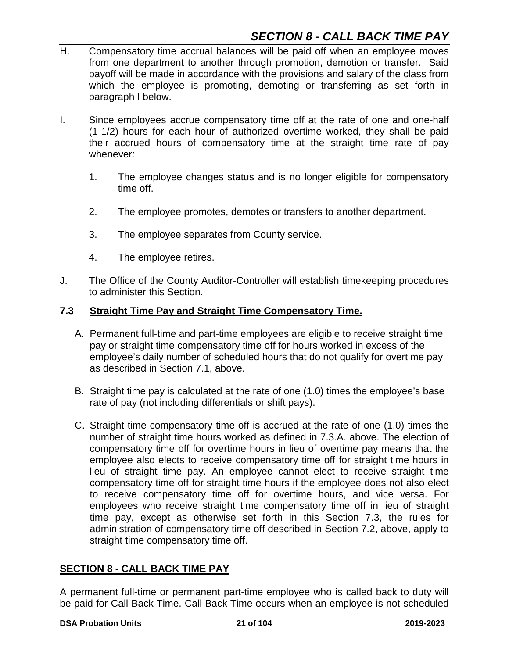- H. Compensatory time accrual balances will be paid off when an employee moves from one department to another through promotion, demotion or transfer. Said payoff will be made in accordance with the provisions and salary of the class from which the employee is promoting, demoting or transferring as set forth in paragraph I below.
- I. Since employees accrue compensatory time off at the rate of one and one-half (1-1/2) hours for each hour of authorized overtime worked, they shall be paid their accrued hours of compensatory time at the straight time rate of pay whenever:
	- 1. The employee changes status and is no longer eligible for compensatory time off.
	- 2. The employee promotes, demotes or transfers to another department.
	- 3. The employee separates from County service.
	- 4. The employee retires.
- J. The Office of the County Auditor-Controller will establish timekeeping procedures to administer this Section.

#### **7.3 Straight Time Pay and Straight Time Compensatory Time.**

- A. Permanent full-time and part-time employees are eligible to receive straight time pay or straight time compensatory time off for hours worked in excess of the employee's daily number of scheduled hours that do not qualify for overtime pay as described in Section 7.1, above.
- B. Straight time pay is calculated at the rate of one (1.0) times the employee's base rate of pay (not including differentials or shift pays).
- C. Straight time compensatory time off is accrued at the rate of one (1.0) times the number of straight time hours worked as defined in 7.3.A. above. The election of compensatory time off for overtime hours in lieu of overtime pay means that the employee also elects to receive compensatory time off for straight time hours in lieu of straight time pay. An employee cannot elect to receive straight time compensatory time off for straight time hours if the employee does not also elect to receive compensatory time off for overtime hours, and vice versa. For employees who receive straight time compensatory time off in lieu of straight time pay, except as otherwise set forth in this Section 7.3, the rules for administration of compensatory time off described in Section 7.2, above, apply to straight time compensatory time off.

#### **SECTION 8 - CALL BACK TIME PAY**

A permanent full-time or permanent part-time employee who is called back to duty will be paid for Call Back Time. Call Back Time occurs when an employee is not scheduled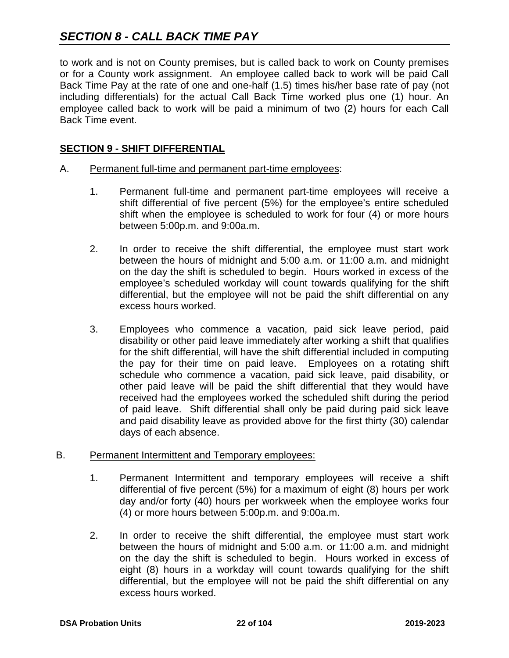to work and is not on County premises, but is called back to work on County premises or for a County work assignment. An employee called back to work will be paid Call Back Time Pay at the rate of one and one-half (1.5) times his/her base rate of pay (not including differentials) for the actual Call Back Time worked plus one (1) hour. An employee called back to work will be paid a minimum of two (2) hours for each Call Back Time event.

#### **SECTION 9 - SHIFT DIFFERENTIAL**

#### A. Permanent full-time and permanent part-time employees:

- 1. Permanent full-time and permanent part-time employees will receive a shift differential of five percent (5%) for the employee's entire scheduled shift when the employee is scheduled to work for four (4) or more hours between 5:00p.m. and 9:00a.m.
- 2. In order to receive the shift differential, the employee must start work between the hours of midnight and 5:00 a.m. or 11:00 a.m. and midnight on the day the shift is scheduled to begin. Hours worked in excess of the employee's scheduled workday will count towards qualifying for the shift differential, but the employee will not be paid the shift differential on any excess hours worked.
- 3. Employees who commence a vacation, paid sick leave period, paid disability or other paid leave immediately after working a shift that qualifies for the shift differential, will have the shift differential included in computing the pay for their time on paid leave. Employees on a rotating shift schedule who commence a vacation, paid sick leave, paid disability, or other paid leave will be paid the shift differential that they would have received had the employees worked the scheduled shift during the period of paid leave. Shift differential shall only be paid during paid sick leave and paid disability leave as provided above for the first thirty (30) calendar days of each absence.

#### B. Permanent Intermittent and Temporary employees:

- 1. Permanent Intermittent and temporary employees will receive a shift differential of five percent (5%) for a maximum of eight (8) hours per work day and/or forty (40) hours per workweek when the employee works four (4) or more hours between 5:00p.m. and 9:00a.m.
- 2. In order to receive the shift differential, the employee must start work between the hours of midnight and 5:00 a.m. or 11:00 a.m. and midnight on the day the shift is scheduled to begin. Hours worked in excess of eight (8) hours in a workday will count towards qualifying for the shift differential, but the employee will not be paid the shift differential on any excess hours worked.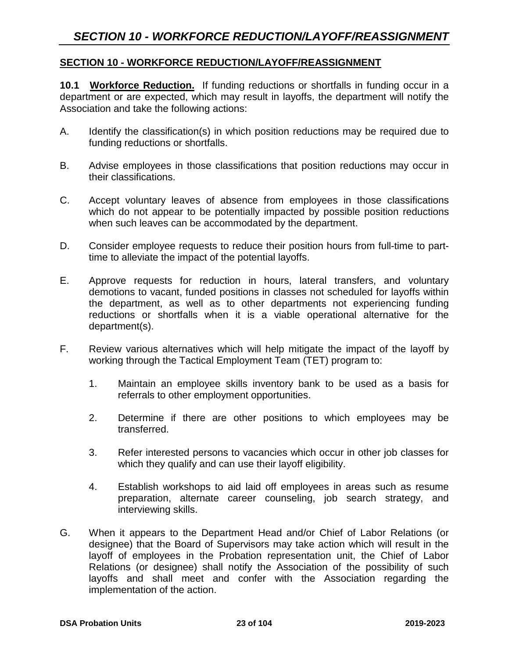#### **SECTION 10 - WORKFORCE REDUCTION/LAYOFF/REASSIGNMENT**

**10.1 Workforce Reduction.** If funding reductions or shortfalls in funding occur in a department or are expected, which may result in layoffs, the department will notify the Association and take the following actions:

- A. Identify the classification(s) in which position reductions may be required due to funding reductions or shortfalls.
- B. Advise employees in those classifications that position reductions may occur in their classifications.
- C. Accept voluntary leaves of absence from employees in those classifications which do not appear to be potentially impacted by possible position reductions when such leaves can be accommodated by the department.
- D. Consider employee requests to reduce their position hours from full-time to parttime to alleviate the impact of the potential layoffs.
- E. Approve requests for reduction in hours, lateral transfers, and voluntary demotions to vacant, funded positions in classes not scheduled for layoffs within the department, as well as to other departments not experiencing funding reductions or shortfalls when it is a viable operational alternative for the department(s).
- F. Review various alternatives which will help mitigate the impact of the layoff by working through the Tactical Employment Team (TET) program to:
	- 1. Maintain an employee skills inventory bank to be used as a basis for referrals to other employment opportunities.
	- 2. Determine if there are other positions to which employees may be transferred.
	- 3. Refer interested persons to vacancies which occur in other job classes for which they qualify and can use their layoff eligibility.
	- 4. Establish workshops to aid laid off employees in areas such as resume preparation, alternate career counseling, job search strategy, and interviewing skills.
- G. When it appears to the Department Head and/or Chief of Labor Relations (or designee) that the Board of Supervisors may take action which will result in the layoff of employees in the Probation representation unit, the Chief of Labor Relations (or designee) shall notify the Association of the possibility of such layoffs and shall meet and confer with the Association regarding the implementation of the action.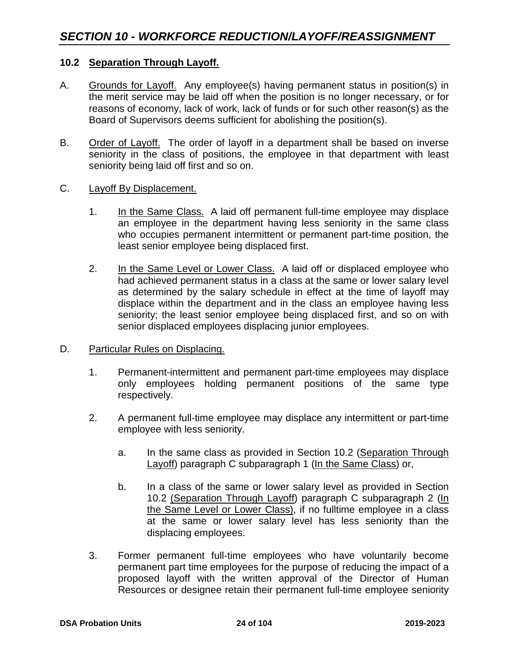#### **10.2 Separation Through Layoff.**

- A. Grounds for Layoff. Any employee(s) having permanent status in position(s) in the merit service may be laid off when the position is no longer necessary, or for reasons of economy, lack of work, lack of funds or for such other reason(s) as the Board of Supervisors deems sufficient for abolishing the position(s).
- B. Order of Layoff. The order of layoff in a department shall be based on inverse seniority in the class of positions, the employee in that department with least seniority being laid off first and so on.
- C. Layoff By Displacement.
	- 1. In the Same Class. A laid off permanent full-time employee may displace an employee in the department having less seniority in the same class who occupies permanent intermittent or permanent part-time position, the least senior employee being displaced first.
	- 2. In the Same Level or Lower Class. A laid off or displaced employee who had achieved permanent status in a class at the same or lower salary level as determined by the salary schedule in effect at the time of layoff may displace within the department and in the class an employee having less seniority; the least senior employee being displaced first, and so on with senior displaced employees displacing junior employees.
- D. Particular Rules on Displacing.
	- 1. Permanent-intermittent and permanent part-time employees may displace only employees holding permanent positions of the same type respectively.
	- 2. A permanent full-time employee may displace any intermittent or part-time employee with less seniority.
		- a. In the same class as provided in Section 10.2 (Separation Through Layoff) paragraph C subparagraph 1 (In the Same Class) or,
		- b. In a class of the same or lower salary level as provided in Section 10.2 (Separation Through Layoff) paragraph C subparagraph 2 (In the Same Level or Lower Class), if no fulltime employee in a class at the same or lower salary level has less seniority than the displacing employees.
	- 3. Former permanent full-time employees who have voluntarily become permanent part time employees for the purpose of reducing the impact of a proposed layoff with the written approval of the Director of Human Resources or designee retain their permanent full-time employee seniority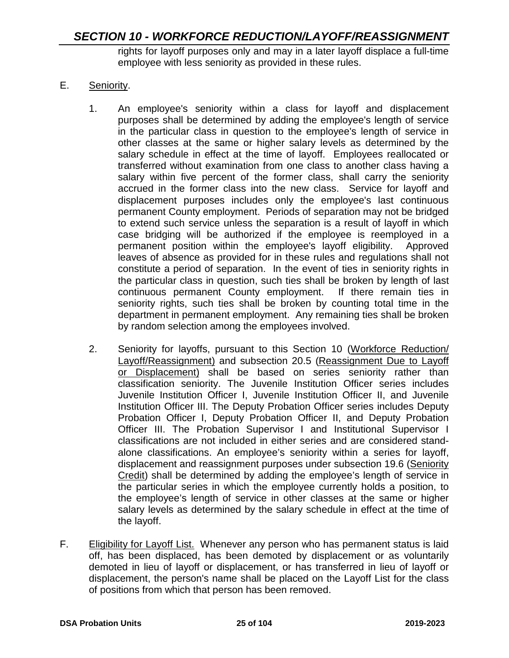rights for layoff purposes only and may in a later layoff displace a full-time employee with less seniority as provided in these rules.

## E. Seniority.

- 1. An employee's seniority within a class for layoff and displacement purposes shall be determined by adding the employee's length of service in the particular class in question to the employee's length of service in other classes at the same or higher salary levels as determined by the salary schedule in effect at the time of layoff. Employees reallocated or transferred without examination from one class to another class having a salary within five percent of the former class, shall carry the seniority accrued in the former class into the new class. Service for layoff and displacement purposes includes only the employee's last continuous permanent County employment. Periods of separation may not be bridged to extend such service unless the separation is a result of layoff in which case bridging will be authorized if the employee is reemployed in a permanent position within the employee's layoff eligibility. Approved leaves of absence as provided for in these rules and regulations shall not constitute a period of separation. In the event of ties in seniority rights in the particular class in question, such ties shall be broken by length of last continuous permanent County employment. If there remain ties in seniority rights, such ties shall be broken by counting total time in the department in permanent employment. Any remaining ties shall be broken by random selection among the employees involved.
- 2. Seniority for layoffs, pursuant to this Section 10 (Workforce Reduction/ Layoff/Reassignment) and subsection 20.5 (Reassignment Due to Layoff or Displacement) shall be based on series seniority rather than classification seniority. The Juvenile Institution Officer series includes Juvenile Institution Officer I, Juvenile Institution Officer II, and Juvenile Institution Officer III. The Deputy Probation Officer series includes Deputy Probation Officer I, Deputy Probation Officer II, and Deputy Probation Officer III. The Probation Supervisor I and Institutional Supervisor I classifications are not included in either series and are considered standalone classifications. An employee's seniority within a series for layoff, displacement and reassignment purposes under subsection 19.6 (Seniority Credit) shall be determined by adding the employee's length of service in the particular series in which the employee currently holds a position, to the employee's length of service in other classes at the same or higher salary levels as determined by the salary schedule in effect at the time of the layoff.
- F. Eligibility for Layoff List. Whenever any person who has permanent status is laid off, has been displaced, has been demoted by displacement or as voluntarily demoted in lieu of layoff or displacement, or has transferred in lieu of layoff or displacement, the person's name shall be placed on the Layoff List for the class of positions from which that person has been removed.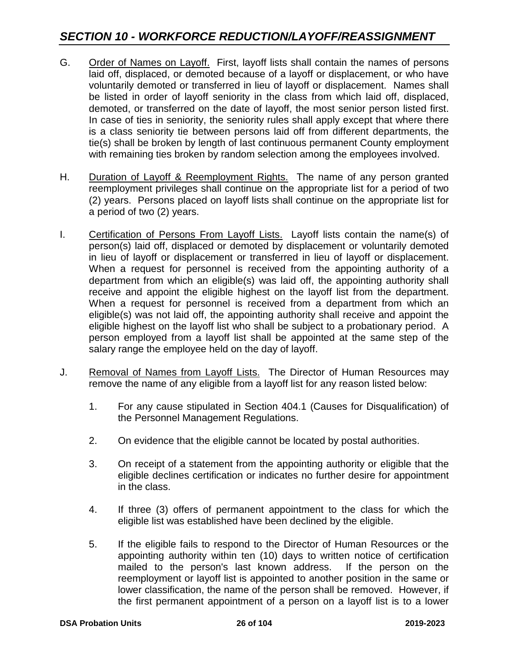- G. Order of Names on Layoff. First, layoff lists shall contain the names of persons laid off, displaced, or demoted because of a layoff or displacement, or who have voluntarily demoted or transferred in lieu of layoff or displacement. Names shall be listed in order of layoff seniority in the class from which laid off, displaced, demoted, or transferred on the date of layoff, the most senior person listed first. In case of ties in seniority, the seniority rules shall apply except that where there is a class seniority tie between persons laid off from different departments, the tie(s) shall be broken by length of last continuous permanent County employment with remaining ties broken by random selection among the employees involved.
- H. Duration of Layoff & Reemployment Rights. The name of any person granted reemployment privileges shall continue on the appropriate list for a period of two (2) years. Persons placed on layoff lists shall continue on the appropriate list for a period of two (2) years.
- I. Certification of Persons From Layoff Lists. Layoff lists contain the name(s) of person(s) laid off, displaced or demoted by displacement or voluntarily demoted in lieu of layoff or displacement or transferred in lieu of layoff or displacement. When a request for personnel is received from the appointing authority of a department from which an eligible(s) was laid off, the appointing authority shall receive and appoint the eligible highest on the layoff list from the department. When a request for personnel is received from a department from which an eligible(s) was not laid off, the appointing authority shall receive and appoint the eligible highest on the layoff list who shall be subject to a probationary period. A person employed from a layoff list shall be appointed at the same step of the salary range the employee held on the day of layoff.
- J. Removal of Names from Layoff Lists. The Director of Human Resources may remove the name of any eligible from a layoff list for any reason listed below:
	- 1. For any cause stipulated in Section 404.1 (Causes for Disqualification) of the Personnel Management Regulations.
	- 2. On evidence that the eligible cannot be located by postal authorities.
	- 3. On receipt of a statement from the appointing authority or eligible that the eligible declines certification or indicates no further desire for appointment in the class.
	- 4. If three (3) offers of permanent appointment to the class for which the eligible list was established have been declined by the eligible.
	- 5. If the eligible fails to respond to the Director of Human Resources or the appointing authority within ten (10) days to written notice of certification mailed to the person's last known address. If the person on the reemployment or layoff list is appointed to another position in the same or lower classification, the name of the person shall be removed. However, if the first permanent appointment of a person on a layoff list is to a lower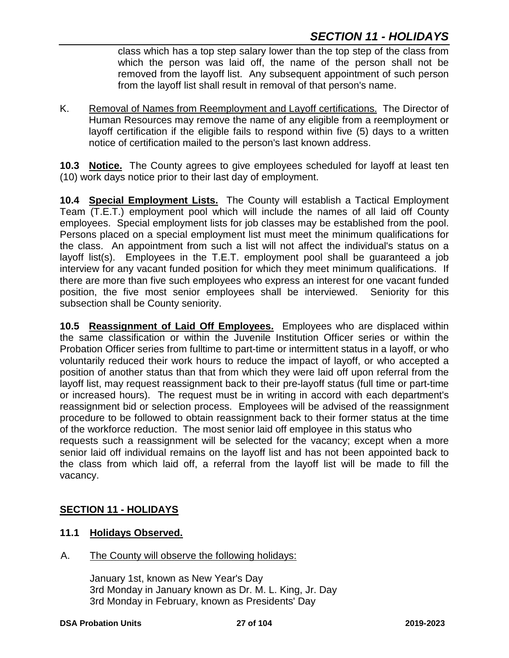class which has a top step salary lower than the top step of the class from which the person was laid off, the name of the person shall not be removed from the layoff list. Any subsequent appointment of such person from the layoff list shall result in removal of that person's name.

K. Removal of Names from Reemployment and Layoff certifications. The Director of Human Resources may remove the name of any eligible from a reemployment or layoff certification if the eligible fails to respond within five (5) days to a written notice of certification mailed to the person's last known address.

**10.3 Notice.** The County agrees to give employees scheduled for layoff at least ten (10) work days notice prior to their last day of employment.

**10.4 Special Employment Lists.** The County will establish a Tactical Employment Team (T.E.T.) employment pool which will include the names of all laid off County employees. Special employment lists for job classes may be established from the pool. Persons placed on a special employment list must meet the minimum qualifications for the class. An appointment from such a list will not affect the individual's status on a layoff list(s). Employees in the T.E.T. employment pool shall be guaranteed a job interview for any vacant funded position for which they meet minimum qualifications. If there are more than five such employees who express an interest for one vacant funded position, the five most senior employees shall be interviewed. Seniority for this subsection shall be County seniority.

**10.5 Reassignment of Laid Off Employees.** Employees who are displaced within the same classification or within the Juvenile Institution Officer series or within the Probation Officer series from fulltime to part-time or intermittent status in a layoff, or who voluntarily reduced their work hours to reduce the impact of layoff, or who accepted a position of another status than that from which they were laid off upon referral from the layoff list, may request reassignment back to their pre-layoff status (full time or part-time or increased hours). The request must be in writing in accord with each department's reassignment bid or selection process. Employees will be advised of the reassignment procedure to be followed to obtain reassignment back to their former status at the time of the workforce reduction. The most senior laid off employee in this status who requests such a reassignment will be selected for the vacancy; except when a more senior laid off individual remains on the layoff list and has not been appointed back to the class from which laid off, a referral from the layoff list will be made to fill the vacancy.

# **SECTION 11 - HOLIDAYS**

### **11.1 Holidays Observed.**

A. The County will observe the following holidays:

January 1st, known as New Year's Day 3rd Monday in January known as Dr. M. L. King, Jr. Day 3rd Monday in February, known as Presidents' Day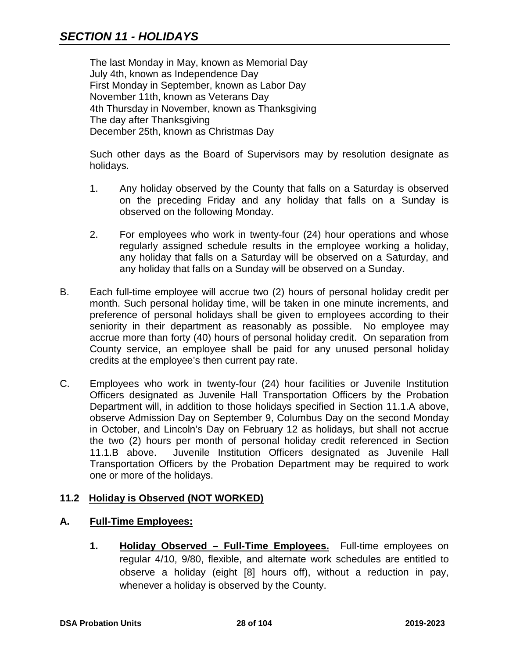The last Monday in May, known as Memorial Day July 4th, known as Independence Day First Monday in September, known as Labor Day November 11th, known as Veterans Day 4th Thursday in November, known as Thanksgiving The day after Thanksgiving December 25th, known as Christmas Day

Such other days as the Board of Supervisors may by resolution designate as holidays.

- 1. Any holiday observed by the County that falls on a Saturday is observed on the preceding Friday and any holiday that falls on a Sunday is observed on the following Monday.
- 2. For employees who work in twenty-four (24) hour operations and whose regularly assigned schedule results in the employee working a holiday, any holiday that falls on a Saturday will be observed on a Saturday, and any holiday that falls on a Sunday will be observed on a Sunday.
- B. Each full-time employee will accrue two (2) hours of personal holiday credit per month. Such personal holiday time, will be taken in one minute increments, and preference of personal holidays shall be given to employees according to their seniority in their department as reasonably as possible. No employee may accrue more than forty (40) hours of personal holiday credit. On separation from County service, an employee shall be paid for any unused personal holiday credits at the employee's then current pay rate.
- C. Employees who work in twenty-four (24) hour facilities or Juvenile Institution Officers designated as Juvenile Hall Transportation Officers by the Probation Department will, in addition to those holidays specified in Section 11.1.A above, observe Admission Day on September 9, Columbus Day on the second Monday in October, and Lincoln's Day on February 12 as holidays, but shall not accrue the two (2) hours per month of personal holiday credit referenced in Section 11.1.B above. Juvenile Institution Officers designated as Juvenile Hall Transportation Officers by the Probation Department may be required to work one or more of the holidays.

# **11.2 Holiday is Observed (NOT WORKED)**

#### **A. Full-Time Employees:**

**1. Holiday Observed – Full-Time Employees.** Full-time employees on regular 4/10, 9/80, flexible, and alternate work schedules are entitled to observe a holiday (eight [8] hours off), without a reduction in pay, whenever a holiday is observed by the County.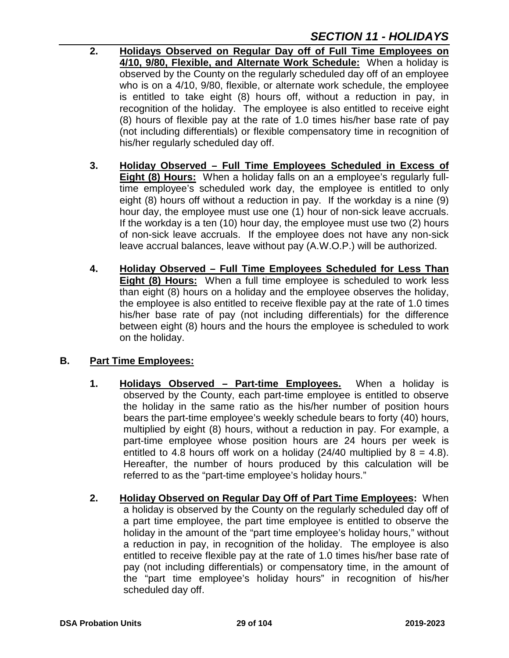- **2. Holidays Observed on Regular Day off of Full Time Employees on 4/10, 9/80, Flexible, and Alternate Work Schedule:** When a holiday is observed by the County on the regularly scheduled day off of an employee who is on a 4/10, 9/80, flexible, or alternate work schedule, the employee is entitled to take eight (8) hours off, without a reduction in pay, in recognition of the holiday. The employee is also entitled to receive eight (8) hours of flexible pay at the rate of 1.0 times his/her base rate of pay (not including differentials) or flexible compensatory time in recognition of his/her regularly scheduled day off.
- **3. Holiday Observed – Full Time Employees Scheduled in Excess of Eight (8) Hours:** When a holiday falls on an a employee's regularly fulltime employee's scheduled work day, the employee is entitled to only eight (8) hours off without a reduction in pay. If the workday is a nine (9) hour day, the employee must use one (1) hour of non-sick leave accruals. If the workday is a ten (10) hour day, the employee must use two (2) hours of non-sick leave accruals. If the employee does not have any non-sick leave accrual balances, leave without pay (A.W.O.P.) will be authorized.
- **4. Holiday Observed – Full Time Employees Scheduled for Less Than Eight (8) Hours:** When a full time employee is scheduled to work less than eight (8) hours on a holiday and the employee observes the holiday, the employee is also entitled to receive flexible pay at the rate of 1.0 times his/her base rate of pay (not including differentials) for the difference between eight (8) hours and the hours the employee is scheduled to work on the holiday.

# **B. Part Time Employees:**

- **1. Holidays Observed – Part-time Employees.** When a holiday is observed by the County, each part-time employee is entitled to observe the holiday in the same ratio as the his/her number of position hours bears the part-time employee's weekly schedule bears to forty (40) hours, multiplied by eight (8) hours, without a reduction in pay. For example, a part-time employee whose position hours are 24 hours per week is entitled to 4.8 hours off work on a holiday (24/40 multiplied by  $8 = 4.8$ ). Hereafter, the number of hours produced by this calculation will be referred to as the "part-time employee's holiday hours."
- **2. Holiday Observed on Regular Day Off of Part Time Employees:** When a holiday is observed by the County on the regularly scheduled day off of a part time employee, the part time employee is entitled to observe the holiday in the amount of the "part time employee's holiday hours," without a reduction in pay, in recognition of the holiday. The employee is also entitled to receive flexible pay at the rate of 1.0 times his/her base rate of pay (not including differentials) or compensatory time, in the amount of the "part time employee's holiday hours" in recognition of his/her scheduled day off.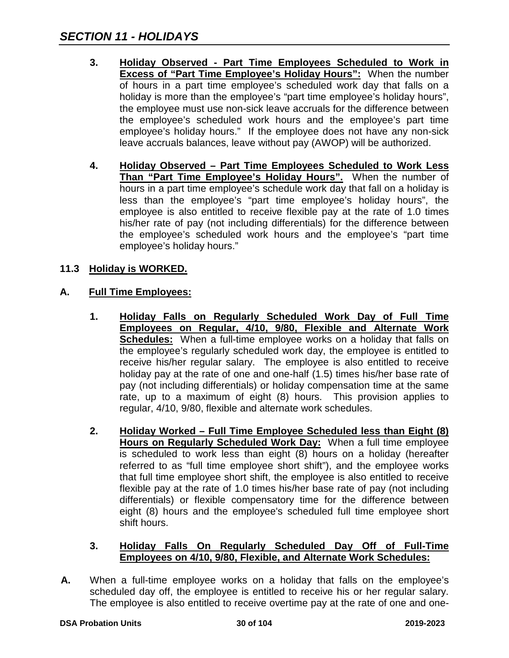- **3. Holiday Observed - Part Time Employees Scheduled to Work in Excess of "Part Time Employee's Holiday Hours":** When the number of hours in a part time employee's scheduled work day that falls on a holiday is more than the employee's "part time employee's holiday hours", the employee must use non-sick leave accruals for the difference between the employee's scheduled work hours and the employee's part time employee's holiday hours." If the employee does not have any non-sick leave accruals balances, leave without pay (AWOP) will be authorized.
- **4. Holiday Observed – Part Time Employees Scheduled to Work Less Than "Part Time Employee's Holiday Hours".** When the number of hours in a part time employee's schedule work day that fall on a holiday is less than the employee's "part time employee's holiday hours", the employee is also entitled to receive flexible pay at the rate of 1.0 times his/her rate of pay (not including differentials) for the difference between the employee's scheduled work hours and the employee's "part time employee's holiday hours."

# **11.3 Holiday is WORKED.**

#### **A. Full Time Employees:**

- **1. Holiday Falls on Regularly Scheduled Work Day of Full Time Employees on Regular, 4/10, 9/80, Flexible and Alternate Work Schedules:** When a full-time employee works on a holiday that falls on the employee's regularly scheduled work day, the employee is entitled to receive his/her regular salary. The employee is also entitled to receive holiday pay at the rate of one and one-half (1.5) times his/her base rate of pay (not including differentials) or holiday compensation time at the same rate, up to a maximum of eight (8) hours. This provision applies to regular, 4/10, 9/80, flexible and alternate work schedules.
- **2. Holiday Worked – Full Time Employee Scheduled less than Eight (8) Hours on Regularly Scheduled Work Day:** When a full time employee is scheduled to work less than eight (8) hours on a holiday (hereafter referred to as "full time employee short shift"), and the employee works that full time employee short shift, the employee is also entitled to receive flexible pay at the rate of 1.0 times his/her base rate of pay (not including differentials) or flexible compensatory time for the difference between eight (8) hours and the employee's scheduled full time employee short shift hours.

#### **3. Holiday Falls On Regularly Scheduled Day Off of Full-Time Employees on 4/10, 9/80, Flexible, and Alternate Work Schedules:**

**A.** When a full-time employee works on a holiday that falls on the employee's scheduled day off, the employee is entitled to receive his or her regular salary. The employee is also entitled to receive overtime pay at the rate of one and one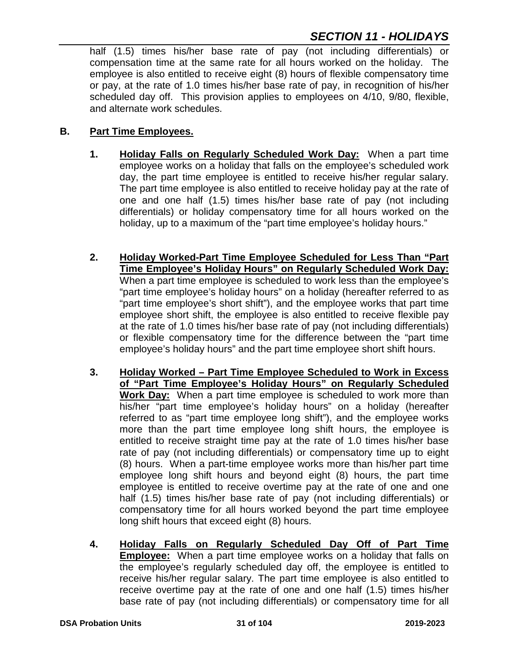half (1.5) times his/her base rate of pay (not including differentials) or compensation time at the same rate for all hours worked on the holiday. The employee is also entitled to receive eight (8) hours of flexible compensatory time or pay, at the rate of 1.0 times his/her base rate of pay, in recognition of his/her scheduled day off. This provision applies to employees on 4/10, 9/80, flexible, and alternate work schedules.

#### **B. Part Time Employees.**

- **1. Holiday Falls on Regularly Scheduled Work Day:** When a part time employee works on a holiday that falls on the employee's scheduled work day, the part time employee is entitled to receive his/her regular salary. The part time employee is also entitled to receive holiday pay at the rate of one and one half (1.5) times his/her base rate of pay (not including differentials) or holiday compensatory time for all hours worked on the holiday, up to a maximum of the "part time employee's holiday hours."
- **2. Holiday Worked-Part Time Employee Scheduled for Less Than "Part Time Employee's Holiday Hours" on Regularly Scheduled Work Day:** When a part time employee is scheduled to work less than the employee's "part time employee's holiday hours" on a holiday (hereafter referred to as "part time employee's short shift"), and the employee works that part time employee short shift, the employee is also entitled to receive flexible pay at the rate of 1.0 times his/her base rate of pay (not including differentials) or flexible compensatory time for the difference between the "part time employee's holiday hours" and the part time employee short shift hours.
- **3. Holiday Worked – Part Time Employee Scheduled to Work in Excess of "Part Time Employee's Holiday Hours" on Regularly Scheduled Work Day:** When a part time employee is scheduled to work more than his/her "part time employee's holiday hours" on a holiday (hereafter referred to as "part time employee long shift"), and the employee works more than the part time employee long shift hours, the employee is entitled to receive straight time pay at the rate of 1.0 times his/her base rate of pay (not including differentials) or compensatory time up to eight (8) hours. When a part-time employee works more than his/her part time employee long shift hours and beyond eight (8) hours, the part time employee is entitled to receive overtime pay at the rate of one and one half (1.5) times his/her base rate of pay (not including differentials) or compensatory time for all hours worked beyond the part time employee long shift hours that exceed eight (8) hours.
- **4. Holiday Falls on Regularly Scheduled Day Off of Part Time Employee:** When a part time employee works on a holiday that falls on the employee's regularly scheduled day off, the employee is entitled to receive his/her regular salary. The part time employee is also entitled to receive overtime pay at the rate of one and one half (1.5) times his/her base rate of pay (not including differentials) or compensatory time for all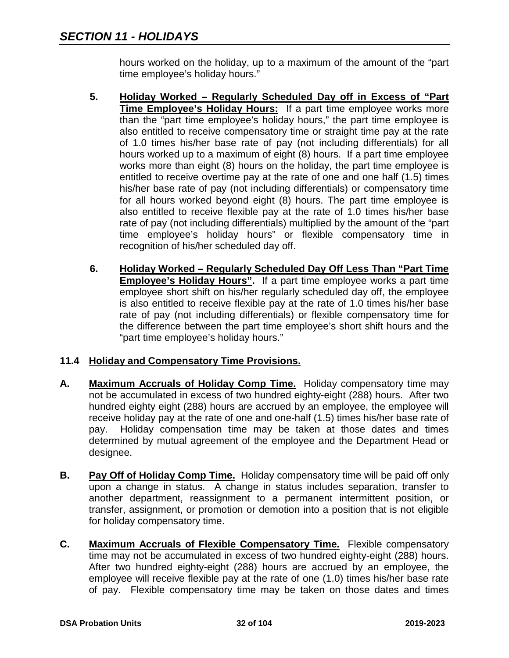hours worked on the holiday, up to a maximum of the amount of the "part time employee's holiday hours."

- **5. Holiday Worked – Regularly Scheduled Day off in Excess of "Part Time Employee's Holiday Hours:** If a part time employee works more than the "part time employee's holiday hours," the part time employee is also entitled to receive compensatory time or straight time pay at the rate of 1.0 times his/her base rate of pay (not including differentials) for all hours worked up to a maximum of eight (8) hours. If a part time employee works more than eight (8) hours on the holiday, the part time employee is entitled to receive overtime pay at the rate of one and one half (1.5) times his/her base rate of pay (not including differentials) or compensatory time for all hours worked beyond eight (8) hours. The part time employee is also entitled to receive flexible pay at the rate of 1.0 times his/her base rate of pay (not including differentials) multiplied by the amount of the "part time employee's holiday hours" or flexible compensatory time in recognition of his/her scheduled day off.
- **6. Holiday Worked – Regularly Scheduled Day Off Less Than "Part Time Employee's Holiday Hours".** If a part time employee works a part time employee short shift on his/her regularly scheduled day off, the employee is also entitled to receive flexible pay at the rate of 1.0 times his/her base rate of pay (not including differentials) or flexible compensatory time for the difference between the part time employee's short shift hours and the "part time employee's holiday hours."

# **11.4 Holiday and Compensatory Time Provisions.**

- **A. Maximum Accruals of Holiday Comp Time.** Holiday compensatory time may not be accumulated in excess of two hundred eighty-eight (288) hours. After two hundred eighty eight (288) hours are accrued by an employee, the employee will receive holiday pay at the rate of one and one-half (1.5) times his/her base rate of pay. Holiday compensation time may be taken at those dates and times determined by mutual agreement of the employee and the Department Head or designee.
- **B. Pay Off of Holiday Comp Time.** Holiday compensatory time will be paid off only upon a change in status. A change in status includes separation, transfer to another department, reassignment to a permanent intermittent position, or transfer, assignment, or promotion or demotion into a position that is not eligible for holiday compensatory time.
- **C. Maximum Accruals of Flexible Compensatory Time.** Flexible compensatory time may not be accumulated in excess of two hundred eighty-eight (288) hours. After two hundred eighty-eight (288) hours are accrued by an employee, the employee will receive flexible pay at the rate of one (1.0) times his/her base rate of pay. Flexible compensatory time may be taken on those dates and times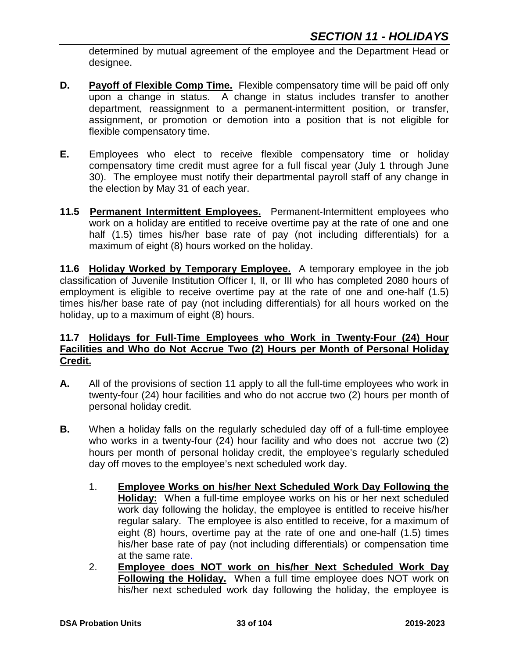determined by mutual agreement of the employee and the Department Head or designee.

- **D.** Payoff of Flexible Comp Time. Flexible compensatory time will be paid off only upon a change in status. A change in status includes transfer to another department, reassignment to a permanent-intermittent position, or transfer, assignment, or promotion or demotion into a position that is not eligible for flexible compensatory time.
- **E.** Employees who elect to receive flexible compensatory time or holiday compensatory time credit must agree for a full fiscal year (July 1 through June 30). The employee must notify their departmental payroll staff of any change in the election by May 31 of each year.
- **11.5 Permanent Intermittent Employees.** Permanent-Intermittent employees who work on a holiday are entitled to receive overtime pay at the rate of one and one half (1.5) times his/her base rate of pay (not including differentials) for a maximum of eight (8) hours worked on the holiday.

**11.6 Holiday Worked by Temporary Employee.** A temporary employee in the job classification of Juvenile Institution Officer I, II, or III who has completed 2080 hours of employment is eligible to receive overtime pay at the rate of one and one-half (1.5) times his/her base rate of pay (not including differentials) for all hours worked on the holiday, up to a maximum of eight (8) hours.

#### **11.7 Holidays for Full-Time Employees who Work in Twenty-Four (24) Hour Facilities and Who do Not Accrue Two (2) Hours per Month of Personal Holiday Credit.**

- **A.** All of the provisions of section 11 apply to all the full-time employees who work in twenty-four (24) hour facilities and who do not accrue two (2) hours per month of personal holiday credit.
- **B.** When a holiday falls on the regularly scheduled day off of a full-time employee who works in a twenty-four (24) hour facility and who does not accrue two (2) hours per month of personal holiday credit, the employee's regularly scheduled day off moves to the employee's next scheduled work day.
	- 1. **Employee Works on his/her Next Scheduled Work Day Following the Holiday:** When a full-time employee works on his or her next scheduled work day following the holiday, the employee is entitled to receive his/her regular salary. The employee is also entitled to receive, for a maximum of eight (8) hours, overtime pay at the rate of one and one-half (1.5) times his/her base rate of pay (not including differentials) or compensation time at the same rate.
	- 2. **Employee does NOT work on his/her Next Scheduled Work Day Following the Holiday.** When a full time employee does NOT work on his/her next scheduled work day following the holiday, the employee is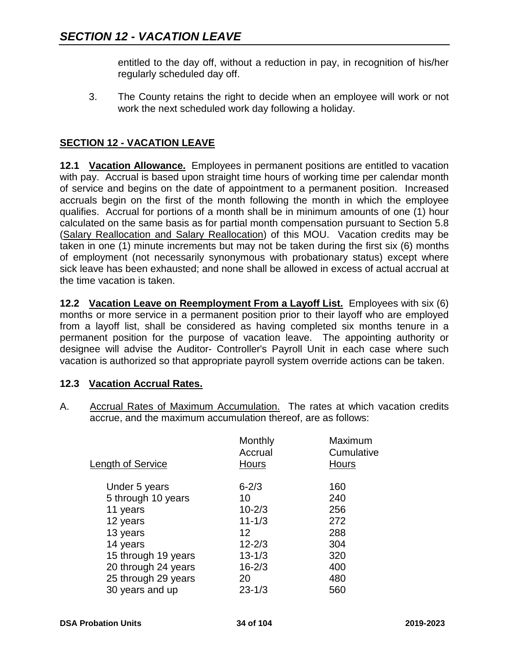entitled to the day off, without a reduction in pay, in recognition of his/her regularly scheduled day off.

3. The County retains the right to decide when an employee will work or not work the next scheduled work day following a holiday.

# **SECTION 12 - VACATION LEAVE**

**12.1 Vacation Allowance.** Employees in permanent positions are entitled to vacation with pay. Accrual is based upon straight time hours of working time per calendar month of service and begins on the date of appointment to a permanent position. Increased accruals begin on the first of the month following the month in which the employee qualifies. Accrual for portions of a month shall be in minimum amounts of one (1) hour calculated on the same basis as for partial month compensation pursuant to Section 5.8 (Salary Reallocation and Salary Reallocation) of this MOU. Vacation credits may be taken in one (1) minute increments but may not be taken during the first six (6) months of employment (not necessarily synonymous with probationary status) except where sick leave has been exhausted; and none shall be allowed in excess of actual accrual at the time vacation is taken.

**12.2 Vacation Leave on Reemployment From a Layoff List.** Employees with six (6) months or more service in a permanent position prior to their layoff who are employed from a layoff list, shall be considered as having completed six months tenure in a permanent position for the purpose of vacation leave. The appointing authority or designee will advise the Auditor- Controller's Payroll Unit in each case where such vacation is authorized so that appropriate payroll system override actions can be taken.

#### **12.3 Vacation Accrual Rates.**

A. Accrual Rates of Maximum Accumulation. The rates at which vacation credits accrue, and the maximum accumulation thereof, are as follows:

| Length of Service   | Monthly<br>Accrual<br><b>Hours</b> | Maximum<br>Cumulative<br><b>Hours</b> |
|---------------------|------------------------------------|---------------------------------------|
| Under 5 years       | $6 - 2/3$                          | 160                                   |
| 5 through 10 years  | 10                                 | 240                                   |
| 11 years            | $10 - 2/3$                         | 256                                   |
| 12 years            | $11 - 1/3$                         | 272                                   |
| 13 years            | 12                                 | 288                                   |
| 14 years            | $12 - 2/3$                         | 304                                   |
| 15 through 19 years | $13 - 1/3$                         | 320                                   |
| 20 through 24 years | $16 - 2/3$                         | 400                                   |
| 25 through 29 years | 20                                 | 480                                   |
| 30 years and up     | $23 - 1/3$                         | 560                                   |
|                     |                                    |                                       |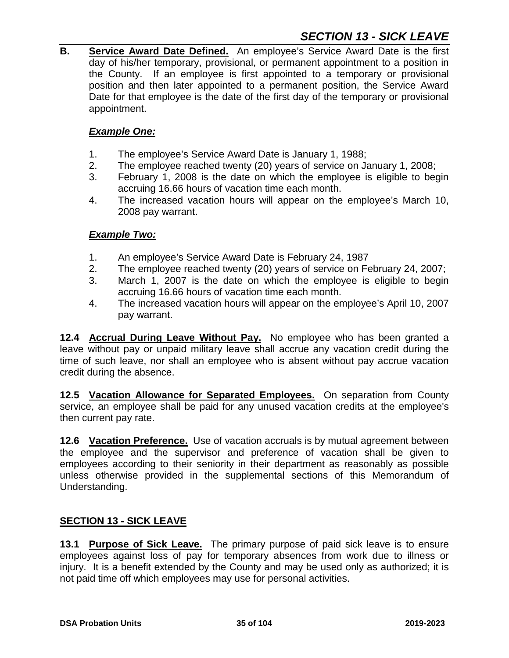# *SECTION 13 - SICK LEAVE*

**B. Service Award Date Defined.** An employee's Service Award Date is the first day of his/her temporary, provisional, or permanent appointment to a position in the County. If an employee is first appointed to a temporary or provisional position and then later appointed to a permanent position, the Service Award Date for that employee is the date of the first day of the temporary or provisional appointment.

#### *Example One:*

- 1. The employee's Service Award Date is January 1, 1988;
- 2. The employee reached twenty (20) years of service on January 1, 2008;
- 3. February 1, 2008 is the date on which the employee is eligible to begin accruing 16.66 hours of vacation time each month.
- 4. The increased vacation hours will appear on the employee's March 10, 2008 pay warrant.

#### *Example Two:*

- 1. An employee's Service Award Date is February 24, 1987
- 2. The employee reached twenty (20) years of service on February 24, 2007;
- 3. March 1, 2007 is the date on which the employee is eligible to begin accruing 16.66 hours of vacation time each month.
- 4. The increased vacation hours will appear on the employee's April 10, 2007 pay warrant.

**12.4 Accrual During Leave Without Pay.** No employee who has been granted a leave without pay or unpaid military leave shall accrue any vacation credit during the time of such leave, nor shall an employee who is absent without pay accrue vacation credit during the absence.

**12.5 Vacation Allowance for Separated Employees.** On separation from County service, an employee shall be paid for any unused vacation credits at the employee's then current pay rate.

**12.6 Vacation Preference.** Use of vacation accruals is by mutual agreement between the employee and the supervisor and preference of vacation shall be given to employees according to their seniority in their department as reasonably as possible unless otherwise provided in the supplemental sections of this Memorandum of Understanding.

#### **SECTION 13 - SICK LEAVE**

**13.1 Purpose of Sick Leave.** The primary purpose of paid sick leave is to ensure employees against loss of pay for temporary absences from work due to illness or injury. It is a benefit extended by the County and may be used only as authorized; it is not paid time off which employees may use for personal activities.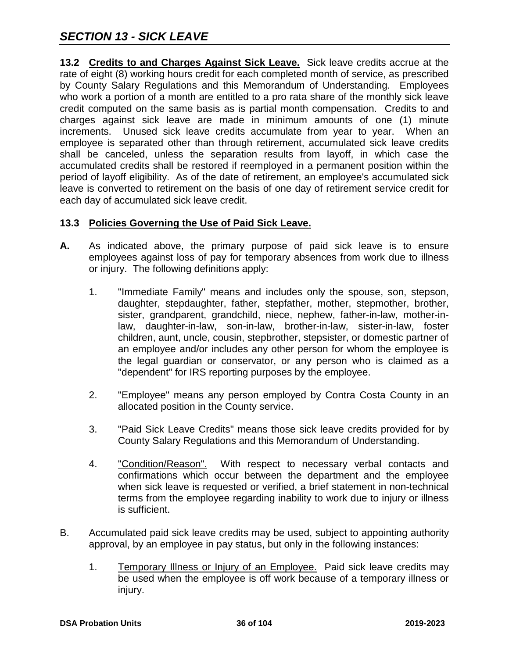**13.2 Credits to and Charges Against Sick Leave.** Sick leave credits accrue at the rate of eight (8) working hours credit for each completed month of service, as prescribed by County Salary Regulations and this Memorandum of Understanding. Employees who work a portion of a month are entitled to a pro rata share of the monthly sick leave credit computed on the same basis as is partial month compensation. Credits to and charges against sick leave are made in minimum amounts of one (1) minute increments. Unused sick leave credits accumulate from year to year. When an employee is separated other than through retirement, accumulated sick leave credits shall be canceled, unless the separation results from layoff, in which case the accumulated credits shall be restored if reemployed in a permanent position within the period of layoff eligibility. As of the date of retirement, an employee's accumulated sick leave is converted to retirement on the basis of one day of retirement service credit for each day of accumulated sick leave credit.

# **13.3 Policies Governing the Use of Paid Sick Leave.**

- **A.** As indicated above, the primary purpose of paid sick leave is to ensure employees against loss of pay for temporary absences from work due to illness or injury. The following definitions apply:
	- 1. "Immediate Family" means and includes only the spouse, son, stepson, daughter, stepdaughter, father, stepfather, mother, stepmother, brother, sister, grandparent, grandchild, niece, nephew, father-in-law, mother-inlaw, daughter-in-law, son-in-law, brother-in-law, sister-in-law, foster children, aunt, uncle, cousin, stepbrother, stepsister, or domestic partner of an employee and/or includes any other person for whom the employee is the legal guardian or conservator, or any person who is claimed as a "dependent" for IRS reporting purposes by the employee.
	- 2. "Employee" means any person employed by Contra Costa County in an allocated position in the County service.
	- 3. "Paid Sick Leave Credits" means those sick leave credits provided for by County Salary Regulations and this Memorandum of Understanding.
	- 4. "Condition/Reason". With respect to necessary verbal contacts and confirmations which occur between the department and the employee when sick leave is requested or verified, a brief statement in non-technical terms from the employee regarding inability to work due to injury or illness is sufficient.
- B. Accumulated paid sick leave credits may be used, subject to appointing authority approval, by an employee in pay status, but only in the following instances:
	- 1. Temporary Illness or Injury of an Employee. Paid sick leave credits may be used when the employee is off work because of a temporary illness or injury.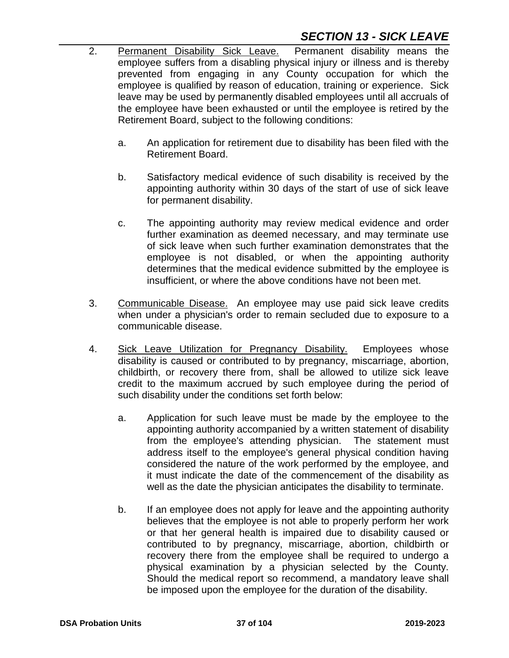# *SECTION 13 - SICK LEAVE*

- 2. Permanent Disability Sick Leave. Permanent disability means the employee suffers from a disabling physical injury or illness and is thereby prevented from engaging in any County occupation for which the employee is qualified by reason of education, training or experience. Sick leave may be used by permanently disabled employees until all accruals of the employee have been exhausted or until the employee is retired by the Retirement Board, subject to the following conditions:
	- a. An application for retirement due to disability has been filed with the Retirement Board.
	- b. Satisfactory medical evidence of such disability is received by the appointing authority within 30 days of the start of use of sick leave for permanent disability.
	- c. The appointing authority may review medical evidence and order further examination as deemed necessary, and may terminate use of sick leave when such further examination demonstrates that the employee is not disabled, or when the appointing authority determines that the medical evidence submitted by the employee is insufficient, or where the above conditions have not been met.
- 3. Communicable Disease. An employee may use paid sick leave credits when under a physician's order to remain secluded due to exposure to a communicable disease.
- 4. Sick Leave Utilization for Pregnancy Disability. Employees whose disability is caused or contributed to by pregnancy, miscarriage, abortion, childbirth, or recovery there from, shall be allowed to utilize sick leave credit to the maximum accrued by such employee during the period of such disability under the conditions set forth below:
	- a. Application for such leave must be made by the employee to the appointing authority accompanied by a written statement of disability from the employee's attending physician. The statement must address itself to the employee's general physical condition having considered the nature of the work performed by the employee, and it must indicate the date of the commencement of the disability as well as the date the physician anticipates the disability to terminate.
	- b. If an employee does not apply for leave and the appointing authority believes that the employee is not able to properly perform her work or that her general health is impaired due to disability caused or contributed to by pregnancy, miscarriage, abortion, childbirth or recovery there from the employee shall be required to undergo a physical examination by a physician selected by the County. Should the medical report so recommend, a mandatory leave shall be imposed upon the employee for the duration of the disability.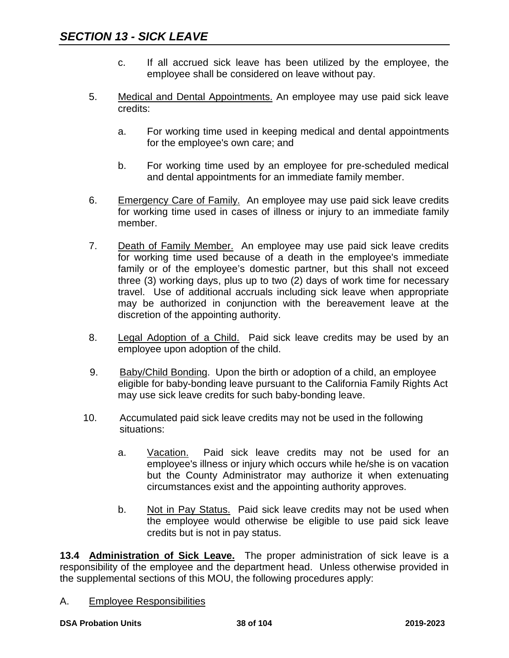- c. If all accrued sick leave has been utilized by the employee, the employee shall be considered on leave without pay.
- 5. Medical and Dental Appointments. An employee may use paid sick leave credits:
	- a. For working time used in keeping medical and dental appointments for the employee's own care; and
	- b. For working time used by an employee for pre-scheduled medical and dental appointments for an immediate family member.
- 6. Emergency Care of Family. An employee may use paid sick leave credits for working time used in cases of illness or injury to an immediate family member.
- 7. Death of Family Member. An employee may use paid sick leave credits for working time used because of a death in the employee's immediate family or of the employee's domestic partner, but this shall not exceed three (3) working days, plus up to two (2) days of work time for necessary travel. Use of additional accruals including sick leave when appropriate may be authorized in conjunction with the bereavement leave at the discretion of the appointing authority.
- 8. Legal Adoption of a Child. Paid sick leave credits may be used by an employee upon adoption of the child.
- 9. Baby/Child Bonding. Upon the birth or adoption of a child, an employee eligible for baby-bonding leave pursuant to the California Family Rights Act may use sick leave credits for such baby-bonding leave.
- 10. Accumulated paid sick leave credits may not be used in the following situations:
	- a. Vacation. Paid sick leave credits may not be used for an employee's illness or injury which occurs while he/she is on vacation but the County Administrator may authorize it when extenuating circumstances exist and the appointing authority approves.
	- b. Not in Pay Status. Paid sick leave credits may not be used when the employee would otherwise be eligible to use paid sick leave credits but is not in pay status.

**13.4 Administration of Sick Leave.** The proper administration of sick leave is a responsibility of the employee and the department head. Unless otherwise provided in the supplemental sections of this MOU, the following procedures apply:

A. Employee Responsibilities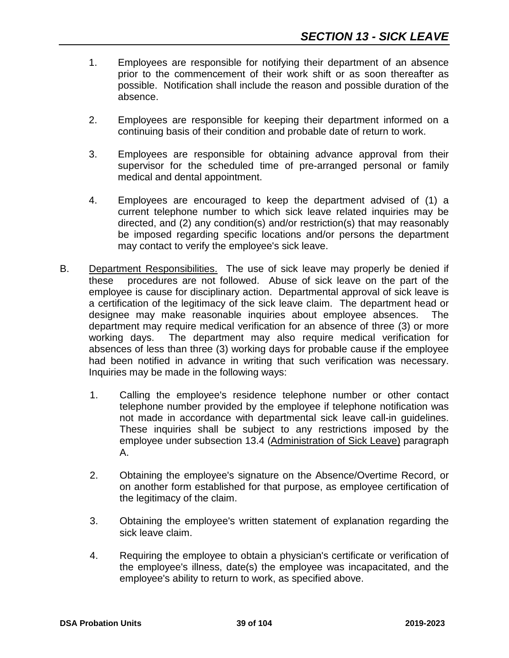- 1. Employees are responsible for notifying their department of an absence prior to the commencement of their work shift or as soon thereafter as possible. Notification shall include the reason and possible duration of the absence.
- 2. Employees are responsible for keeping their department informed on a continuing basis of their condition and probable date of return to work.
- 3. Employees are responsible for obtaining advance approval from their supervisor for the scheduled time of pre-arranged personal or family medical and dental appointment.
- 4. Employees are encouraged to keep the department advised of (1) a current telephone number to which sick leave related inquiries may be directed, and (2) any condition(s) and/or restriction(s) that may reasonably be imposed regarding specific locations and/or persons the department may contact to verify the employee's sick leave.
- B. Department Responsibilities. The use of sick leave may properly be denied if these procedures are not followed. Abuse of sick leave on the part of the employee is cause for disciplinary action. Departmental approval of sick leave is a certification of the legitimacy of the sick leave claim. The department head or designee may make reasonable inquiries about employee absences. The department may require medical verification for an absence of three (3) or more working days. The department may also require medical verification for absences of less than three (3) working days for probable cause if the employee had been notified in advance in writing that such verification was necessary. Inquiries may be made in the following ways:
	- 1. Calling the employee's residence telephone number or other contact telephone number provided by the employee if telephone notification was not made in accordance with departmental sick leave call-in guidelines. These inquiries shall be subject to any restrictions imposed by the employee under subsection 13.4 (Administration of Sick Leave) paragraph A.
	- 2. Obtaining the employee's signature on the Absence/Overtime Record, or on another form established for that purpose, as employee certification of the legitimacy of the claim.
	- 3. Obtaining the employee's written statement of explanation regarding the sick leave claim.
	- 4. Requiring the employee to obtain a physician's certificate or verification of the employee's illness, date(s) the employee was incapacitated, and the employee's ability to return to work, as specified above.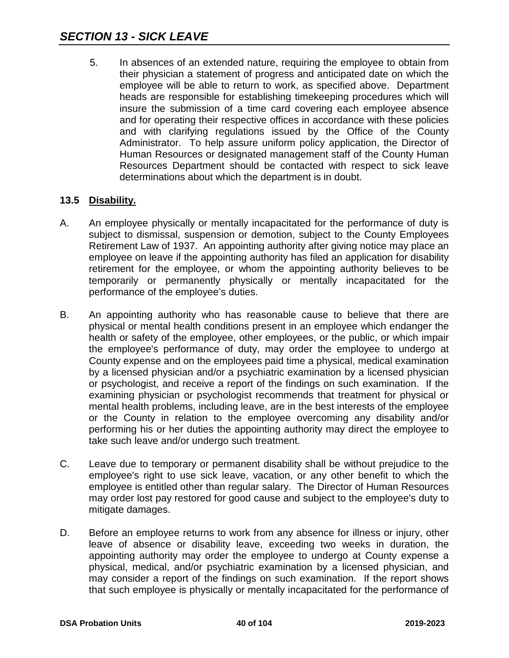5. In absences of an extended nature, requiring the employee to obtain from their physician a statement of progress and anticipated date on which the employee will be able to return to work, as specified above. Department heads are responsible for establishing timekeeping procedures which will insure the submission of a time card covering each employee absence and for operating their respective offices in accordance with these policies and with clarifying regulations issued by the Office of the County Administrator. To help assure uniform policy application, the Director of Human Resources or designated management staff of the County Human Resources Department should be contacted with respect to sick leave determinations about which the department is in doubt.

# **13.5 Disability.**

- A. An employee physically or mentally incapacitated for the performance of duty is subject to dismissal, suspension or demotion, subject to the County Employees Retirement Law of 1937. An appointing authority after giving notice may place an employee on leave if the appointing authority has filed an application for disability retirement for the employee, or whom the appointing authority believes to be temporarily or permanently physically or mentally incapacitated for the performance of the employee's duties.
- B. An appointing authority who has reasonable cause to believe that there are physical or mental health conditions present in an employee which endanger the health or safety of the employee, other employees, or the public, or which impair the employee's performance of duty, may order the employee to undergo at County expense and on the employees paid time a physical, medical examination by a licensed physician and/or a psychiatric examination by a licensed physician or psychologist, and receive a report of the findings on such examination. If the examining physician or psychologist recommends that treatment for physical or mental health problems, including leave, are in the best interests of the employee or the County in relation to the employee overcoming any disability and/or performing his or her duties the appointing authority may direct the employee to take such leave and/or undergo such treatment.
- C. Leave due to temporary or permanent disability shall be without prejudice to the employee's right to use sick leave, vacation, or any other benefit to which the employee is entitled other than regular salary. The Director of Human Resources may order lost pay restored for good cause and subject to the employee's duty to mitigate damages.
- D. Before an employee returns to work from any absence for illness or injury, other leave of absence or disability leave, exceeding two weeks in duration, the appointing authority may order the employee to undergo at County expense a physical, medical, and/or psychiatric examination by a licensed physician, and may consider a report of the findings on such examination. If the report shows that such employee is physically or mentally incapacitated for the performance of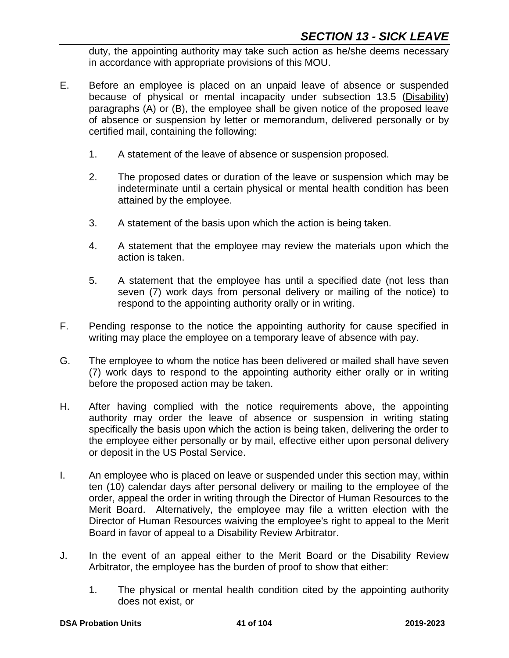duty, the appointing authority may take such action as he/she deems necessary in accordance with appropriate provisions of this MOU.

- E. Before an employee is placed on an unpaid leave of absence or suspended because of physical or mental incapacity under subsection 13.5 (Disability) paragraphs (A) or (B), the employee shall be given notice of the proposed leave of absence or suspension by letter or memorandum, delivered personally or by certified mail, containing the following:
	- 1. A statement of the leave of absence or suspension proposed.
	- 2. The proposed dates or duration of the leave or suspension which may be indeterminate until a certain physical or mental health condition has been attained by the employee.
	- 3. A statement of the basis upon which the action is being taken.
	- 4. A statement that the employee may review the materials upon which the action is taken.
	- 5. A statement that the employee has until a specified date (not less than seven (7) work days from personal delivery or mailing of the notice) to respond to the appointing authority orally or in writing.
- F. Pending response to the notice the appointing authority for cause specified in writing may place the employee on a temporary leave of absence with pay.
- G. The employee to whom the notice has been delivered or mailed shall have seven (7) work days to respond to the appointing authority either orally or in writing before the proposed action may be taken.
- H. After having complied with the notice requirements above, the appointing authority may order the leave of absence or suspension in writing stating specifically the basis upon which the action is being taken, delivering the order to the employee either personally or by mail, effective either upon personal delivery or deposit in the US Postal Service.
- I. An employee who is placed on leave or suspended under this section may, within ten (10) calendar days after personal delivery or mailing to the employee of the order, appeal the order in writing through the Director of Human Resources to the Merit Board. Alternatively, the employee may file a written election with the Director of Human Resources waiving the employee's right to appeal to the Merit Board in favor of appeal to a Disability Review Arbitrator.
- J. In the event of an appeal either to the Merit Board or the Disability Review Arbitrator, the employee has the burden of proof to show that either:
	- 1. The physical or mental health condition cited by the appointing authority does not exist, or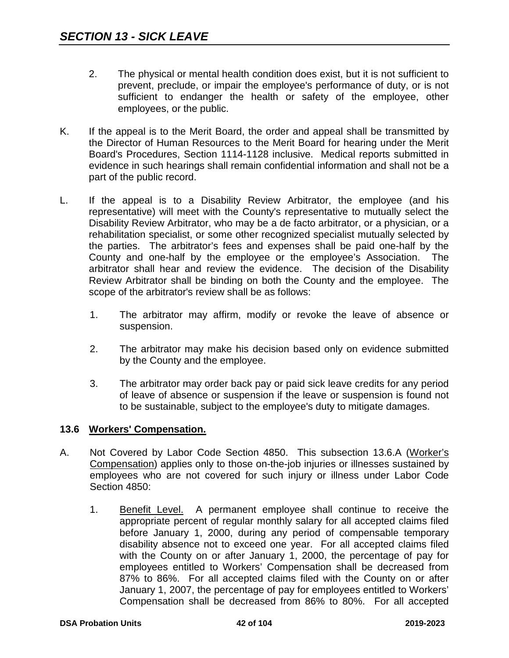- 2. The physical or mental health condition does exist, but it is not sufficient to prevent, preclude, or impair the employee's performance of duty, or is not sufficient to endanger the health or safety of the employee, other employees, or the public.
- K. If the appeal is to the Merit Board, the order and appeal shall be transmitted by the Director of Human Resources to the Merit Board for hearing under the Merit Board's Procedures, Section 1114-1128 inclusive. Medical reports submitted in evidence in such hearings shall remain confidential information and shall not be a part of the public record.
- L. If the appeal is to a Disability Review Arbitrator, the employee (and his representative) will meet with the County's representative to mutually select the Disability Review Arbitrator, who may be a de facto arbitrator, or a physician, or a rehabilitation specialist, or some other recognized specialist mutually selected by the parties. The arbitrator's fees and expenses shall be paid one-half by the County and one-half by the employee or the employee's Association. The arbitrator shall hear and review the evidence. The decision of the Disability Review Arbitrator shall be binding on both the County and the employee. The scope of the arbitrator's review shall be as follows:
	- 1. The arbitrator may affirm, modify or revoke the leave of absence or suspension.
	- 2. The arbitrator may make his decision based only on evidence submitted by the County and the employee.
	- 3. The arbitrator may order back pay or paid sick leave credits for any period of leave of absence or suspension if the leave or suspension is found not to be sustainable, subject to the employee's duty to mitigate damages.

# **13.6 Workers' Compensation.**

- A. Not Covered by Labor Code Section 4850. This subsection 13.6.A (Worker's Compensation) applies only to those on-the-job injuries or illnesses sustained by employees who are not covered for such injury or illness under Labor Code Section 4850:
	- 1. Benefit Level. A permanent employee shall continue to receive the appropriate percent of regular monthly salary for all accepted claims filed before January 1, 2000, during any period of compensable temporary disability absence not to exceed one year. For all accepted claims filed with the County on or after January 1, 2000, the percentage of pay for employees entitled to Workers' Compensation shall be decreased from 87% to 86%. For all accepted claims filed with the County on or after January 1, 2007, the percentage of pay for employees entitled to Workers' Compensation shall be decreased from 86% to 80%. For all accepted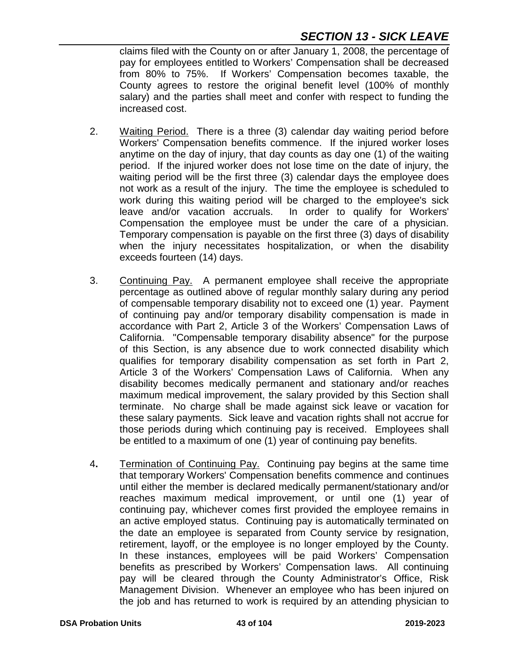# *SECTION 13 - SICK LEAVE*

claims filed with the County on or after January 1, 2008, the percentage of pay for employees entitled to Workers' Compensation shall be decreased from 80% to 75%. If Workers' Compensation becomes taxable, the County agrees to restore the original benefit level (100% of monthly salary) and the parties shall meet and confer with respect to funding the increased cost.

- 2. Waiting Period. There is a three (3) calendar day waiting period before Workers' Compensation benefits commence. If the injured worker loses anytime on the day of injury, that day counts as day one (1) of the waiting period. If the injured worker does not lose time on the date of injury, the waiting period will be the first three (3) calendar days the employee does not work as a result of the injury. The time the employee is scheduled to work during this waiting period will be charged to the employee's sick leave and/or vacation accruals. In order to qualify for Workers' Compensation the employee must be under the care of a physician. Temporary compensation is payable on the first three (3) days of disability when the injury necessitates hospitalization, or when the disability exceeds fourteen (14) days.
- 3. Continuing Pay. A permanent employee shall receive the appropriate percentage as outlined above of regular monthly salary during any period of compensable temporary disability not to exceed one (1) year. Payment of continuing pay and/or temporary disability compensation is made in accordance with Part 2, Article 3 of the Workers' Compensation Laws of California. "Compensable temporary disability absence" for the purpose of this Section, is any absence due to work connected disability which qualifies for temporary disability compensation as set forth in Part 2, Article 3 of the Workers' Compensation Laws of California. When any disability becomes medically permanent and stationary and/or reaches maximum medical improvement, the salary provided by this Section shall terminate. No charge shall be made against sick leave or vacation for these salary payments. Sick leave and vacation rights shall not accrue for those periods during which continuing pay is received. Employees shall be entitled to a maximum of one (1) year of continuing pay benefits.
- 4**.** Termination of Continuing Pay. Continuing pay begins at the same time that temporary Workers' Compensation benefits commence and continues until either the member is declared medically permanent/stationary and/or reaches maximum medical improvement, or until one (1) year of continuing pay, whichever comes first provided the employee remains in an active employed status. Continuing pay is automatically terminated on the date an employee is separated from County service by resignation, retirement, layoff, or the employee is no longer employed by the County. In these instances, employees will be paid Workers' Compensation benefits as prescribed by Workers' Compensation laws. All continuing pay will be cleared through the County Administrator's Office, Risk Management Division. Whenever an employee who has been injured on the job and has returned to work is required by an attending physician to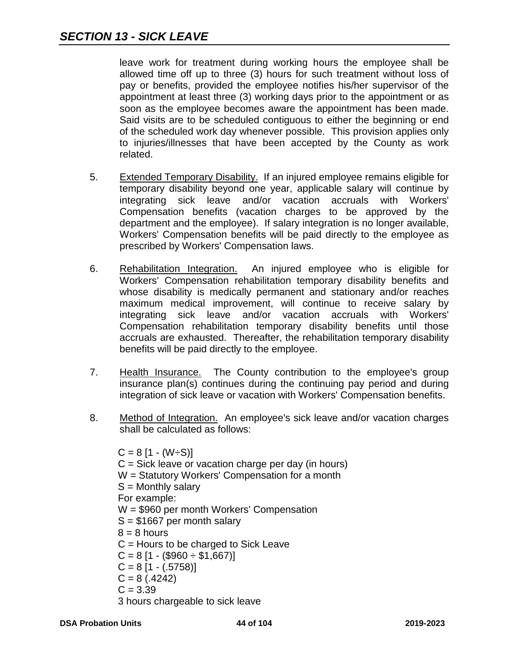leave work for treatment during working hours the employee shall be allowed time off up to three (3) hours for such treatment without loss of pay or benefits, provided the employee notifies his/her supervisor of the appointment at least three (3) working days prior to the appointment or as soon as the employee becomes aware the appointment has been made. Said visits are to be scheduled contiguous to either the beginning or end of the scheduled work day whenever possible. This provision applies only to injuries/illnesses that have been accepted by the County as work related.

- 5. Extended Temporary Disability. If an injured employee remains eligible for temporary disability beyond one year, applicable salary will continue by integrating sick leave and/or vacation accruals with Workers' Compensation benefits (vacation charges to be approved by the department and the employee). If salary integration is no longer available, Workers' Compensation benefits will be paid directly to the employee as prescribed by Workers' Compensation laws.
- 6. Rehabilitation Integration. An injured employee who is eligible for Workers' Compensation rehabilitation temporary disability benefits and whose disability is medically permanent and stationary and/or reaches maximum medical improvement, will continue to receive salary by integrating sick leave and/or vacation accruals with Workers' Compensation rehabilitation temporary disability benefits until those accruals are exhausted. Thereafter, the rehabilitation temporary disability benefits will be paid directly to the employee.
- 7. Health Insurance. The County contribution to the employee's group insurance plan(s) continues during the continuing pay period and during integration of sick leave or vacation with Workers' Compensation benefits.
- 8. Method of Integration. An employee's sick leave and/or vacation charges shall be calculated as follows:

 $C = 8$  [1 - (W÷S)]  $C =$  Sick leave or vacation charge per day (in hours) W = Statutory Workers' Compensation for a month  $S =$  Monthly salary For example: W = \$960 per month Workers' Compensation S = \$1667 per month salary  $8 = 8$  hours C = Hours to be charged to Sick Leave  $C = 8$  [1 - (\$960  $\div$  \$1,667)]  $C = 8$  [1 - (.5758)]  $C = 8(.4242)$  $C = 3.39$ 3 hours chargeable to sick leave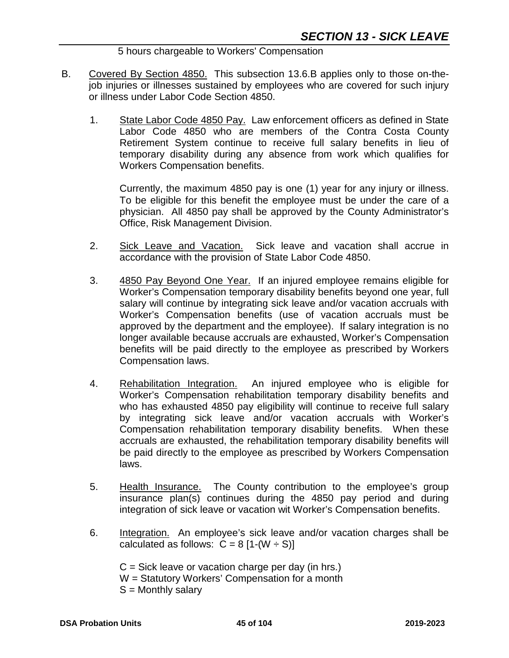5 hours chargeable to Workers' Compensation

- B. Covered By Section 4850. This subsection 13.6.B applies only to those on-thejob injuries or illnesses sustained by employees who are covered for such injury or illness under Labor Code Section 4850.
	- 1. State Labor Code 4850 Pay. Law enforcement officers as defined in State Labor Code 4850 who are members of the Contra Costa County Retirement System continue to receive full salary benefits in lieu of temporary disability during any absence from work which qualifies for Workers Compensation benefits.

Currently, the maximum 4850 pay is one (1) year for any injury or illness. To be eligible for this benefit the employee must be under the care of a physician. All 4850 pay shall be approved by the County Administrator's Office, Risk Management Division.

- 2. Sick Leave and Vacation. Sick leave and vacation shall accrue in accordance with the provision of State Labor Code 4850.
- 3. 4850 Pay Beyond One Year. If an injured employee remains eligible for Worker's Compensation temporary disability benefits beyond one year, full salary will continue by integrating sick leave and/or vacation accruals with Worker's Compensation benefits (use of vacation accruals must be approved by the department and the employee). If salary integration is no longer available because accruals are exhausted, Worker's Compensation benefits will be paid directly to the employee as prescribed by Workers Compensation laws.
- 4. Rehabilitation Integration. An injured employee who is eligible for Worker's Compensation rehabilitation temporary disability benefits and who has exhausted 4850 pay eligibility will continue to receive full salary by integrating sick leave and/or vacation accruals with Worker's Compensation rehabilitation temporary disability benefits. When these accruals are exhausted, the rehabilitation temporary disability benefits will be paid directly to the employee as prescribed by Workers Compensation laws.
- 5. Health Insurance. The County contribution to the employee's group insurance plan(s) continues during the 4850 pay period and during integration of sick leave or vacation wit Worker's Compensation benefits.
- 6. Integration. An employee's sick leave and/or vacation charges shall be calculated as follows:  $C = 8$  [1-(W  $\div$  S)]

 $C =$  Sick leave or vacation charge per day (in hrs.) W = Statutory Workers' Compensation for a month  $S =$  Monthly salary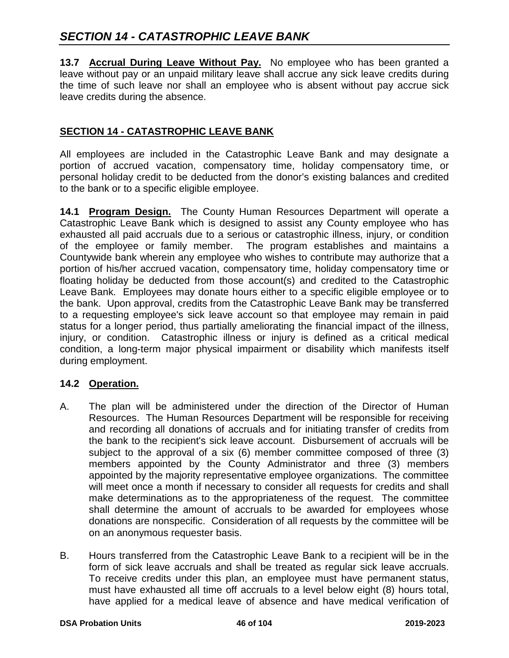**13.7 Accrual During Leave Without Pay.** No employee who has been granted a leave without pay or an unpaid military leave shall accrue any sick leave credits during the time of such leave nor shall an employee who is absent without pay accrue sick leave credits during the absence.

# **SECTION 14 - CATASTROPHIC LEAVE BANK**

All employees are included in the Catastrophic Leave Bank and may designate a portion of accrued vacation, compensatory time, holiday compensatory time, or personal holiday credit to be deducted from the donor's existing balances and credited to the bank or to a specific eligible employee.

**14.1 Program Design.** The County Human Resources Department will operate a Catastrophic Leave Bank which is designed to assist any County employee who has exhausted all paid accruals due to a serious or catastrophic illness, injury, or condition of the employee or family member. The program establishes and maintains a Countywide bank wherein any employee who wishes to contribute may authorize that a portion of his/her accrued vacation, compensatory time, holiday compensatory time or floating holiday be deducted from those account(s) and credited to the Catastrophic Leave Bank. Employees may donate hours either to a specific eligible employee or to the bank. Upon approval, credits from the Catastrophic Leave Bank may be transferred to a requesting employee's sick leave account so that employee may remain in paid status for a longer period, thus partially ameliorating the financial impact of the illness, injury, or condition. Catastrophic illness or injury is defined as a critical medical condition, a long-term major physical impairment or disability which manifests itself during employment.

# **14.2 Operation.**

- A. The plan will be administered under the direction of the Director of Human Resources. The Human Resources Department will be responsible for receiving and recording all donations of accruals and for initiating transfer of credits from the bank to the recipient's sick leave account. Disbursement of accruals will be subject to the approval of a six (6) member committee composed of three (3) members appointed by the County Administrator and three (3) members appointed by the majority representative employee organizations. The committee will meet once a month if necessary to consider all requests for credits and shall make determinations as to the appropriateness of the request. The committee shall determine the amount of accruals to be awarded for employees whose donations are nonspecific. Consideration of all requests by the committee will be on an anonymous requester basis.
- B. Hours transferred from the Catastrophic Leave Bank to a recipient will be in the form of sick leave accruals and shall be treated as regular sick leave accruals. To receive credits under this plan, an employee must have permanent status, must have exhausted all time off accruals to a level below eight (8) hours total, have applied for a medical leave of absence and have medical verification of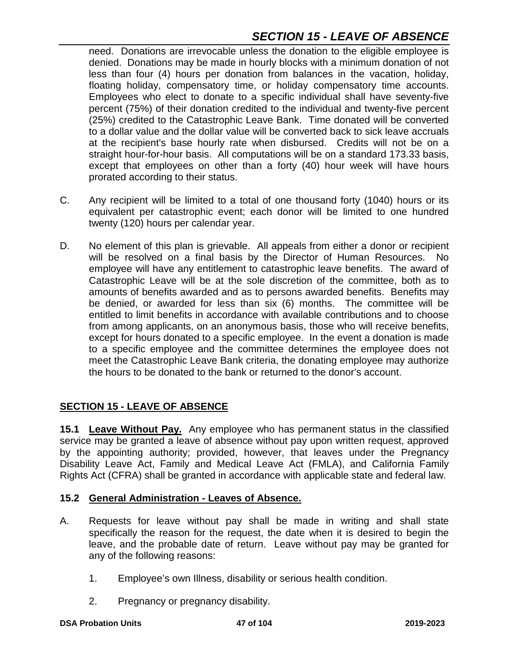# *SECTION 15 - LEAVE OF ABSENCE*

need. Donations are irrevocable unless the donation to the eligible employee is denied. Donations may be made in hourly blocks with a minimum donation of not less than four (4) hours per donation from balances in the vacation, holiday, floating holiday, compensatory time, or holiday compensatory time accounts. Employees who elect to donate to a specific individual shall have seventy-five percent (75%) of their donation credited to the individual and twenty-five percent (25%) credited to the Catastrophic Leave Bank. Time donated will be converted to a dollar value and the dollar value will be converted back to sick leave accruals at the recipient's base hourly rate when disbursed. Credits will not be on a straight hour-for-hour basis. All computations will be on a standard 173.33 basis, except that employees on other than a forty (40) hour week will have hours prorated according to their status.

- C. Any recipient will be limited to a total of one thousand forty (1040) hours or its equivalent per catastrophic event; each donor will be limited to one hundred twenty (120) hours per calendar year.
- D. No element of this plan is grievable. All appeals from either a donor or recipient will be resolved on a final basis by the Director of Human Resources. No employee will have any entitlement to catastrophic leave benefits. The award of Catastrophic Leave will be at the sole discretion of the committee, both as to amounts of benefits awarded and as to persons awarded benefits. Benefits may be denied, or awarded for less than six (6) months. The committee will be entitled to limit benefits in accordance with available contributions and to choose from among applicants, on an anonymous basis, those who will receive benefits, except for hours donated to a specific employee. In the event a donation is made to a specific employee and the committee determines the employee does not meet the Catastrophic Leave Bank criteria, the donating employee may authorize the hours to be donated to the bank or returned to the donor's account.

# **SECTION 15 - LEAVE OF ABSENCE**

**15.1 Leave Without Pay.** Any employee who has permanent status in the classified service may be granted a leave of absence without pay upon written request, approved by the appointing authority; provided, however, that leaves under the Pregnancy Disability Leave Act, Family and Medical Leave Act (FMLA), and California Family Rights Act (CFRA) shall be granted in accordance with applicable state and federal law.

#### **15.2 General Administration - Leaves of Absence.**

- A. Requests for leave without pay shall be made in writing and shall state specifically the reason for the request, the date when it is desired to begin the leave, and the probable date of return. Leave without pay may be granted for any of the following reasons:
	- 1. Employee's own Illness, disability or serious health condition.
	- 2. Pregnancy or pregnancy disability.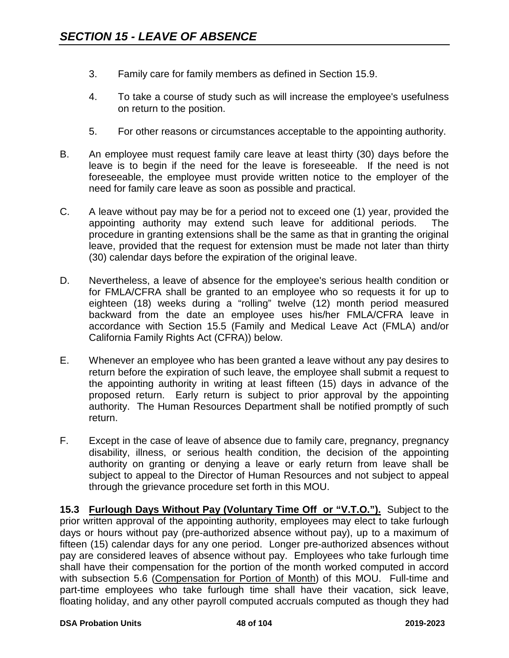- 3. Family care for family members as defined in Section 15.9.
- 4. To take a course of study such as will increase the employee's usefulness on return to the position.
- 5. For other reasons or circumstances acceptable to the appointing authority.
- B. An employee must request family care leave at least thirty (30) days before the leave is to begin if the need for the leave is foreseeable. If the need is not foreseeable, the employee must provide written notice to the employer of the need for family care leave as soon as possible and practical.
- C. A leave without pay may be for a period not to exceed one (1) year, provided the appointing authority may extend such leave for additional periods. The procedure in granting extensions shall be the same as that in granting the original leave, provided that the request for extension must be made not later than thirty (30) calendar days before the expiration of the original leave.
- D. Nevertheless, a leave of absence for the employee's serious health condition or for FMLA/CFRA shall be granted to an employee who so requests it for up to eighteen (18) weeks during a "rolling" twelve (12) month period measured backward from the date an employee uses his/her FMLA/CFRA leave in accordance with Section 15.5 (Family and Medical Leave Act (FMLA) and/or California Family Rights Act (CFRA)) below.
- E. Whenever an employee who has been granted a leave without any pay desires to return before the expiration of such leave, the employee shall submit a request to the appointing authority in writing at least fifteen (15) days in advance of the proposed return. Early return is subject to prior approval by the appointing authority. The Human Resources Department shall be notified promptly of such return.
- F. Except in the case of leave of absence due to family care, pregnancy, pregnancy disability, illness, or serious health condition, the decision of the appointing authority on granting or denying a leave or early return from leave shall be subject to appeal to the Director of Human Resources and not subject to appeal through the grievance procedure set forth in this MOU.

**15.3 Furlough Days Without Pay (Voluntary Time Off or "V.T.O.").** Subject to the prior written approval of the appointing authority, employees may elect to take furlough days or hours without pay (pre-authorized absence without pay), up to a maximum of fifteen (15) calendar days for any one period. Longer pre-authorized absences without pay are considered leaves of absence without pay. Employees who take furlough time shall have their compensation for the portion of the month worked computed in accord with subsection 5.6 (Compensation for Portion of Month) of this MOU. Full-time and part-time employees who take furlough time shall have their vacation, sick leave, floating holiday, and any other payroll computed accruals computed as though they had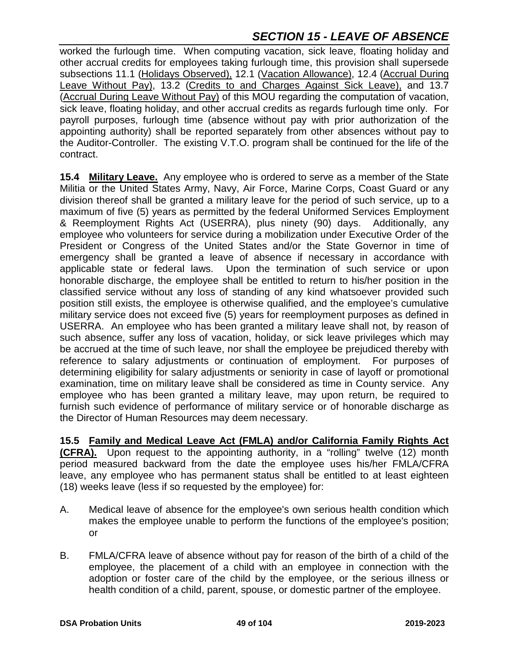worked the furlough time. When computing vacation, sick leave, floating holiday and other accrual credits for employees taking furlough time, this provision shall supersede subsections 11.1 (Holidays Observed), 12.1 (Vacation Allowance), 12.4 (Accrual During Leave Without Pay), 13.2 (Credits to and Charges Against Sick Leave), and 13.7 (Accrual During Leave Without Pay) of this MOU regarding the computation of vacation, sick leave, floating holiday, and other accrual credits as regards furlough time only. For payroll purposes, furlough time (absence without pay with prior authorization of the appointing authority) shall be reported separately from other absences without pay to the Auditor-Controller. The existing V.T.O. program shall be continued for the life of the contract.

**15.4 Military Leave.** Any employee who is ordered to serve as a member of the State Militia or the United States Army, Navy, Air Force, Marine Corps, Coast Guard or any division thereof shall be granted a military leave for the period of such service, up to a maximum of five (5) years as permitted by the federal Uniformed Services Employment & Reemployment Rights Act (USERRA), plus ninety (90) days. Additionally, any employee who volunteers for service during a mobilization under Executive Order of the President or Congress of the United States and/or the State Governor in time of emergency shall be granted a leave of absence if necessary in accordance with applicable state or federal laws. Upon the termination of such service or upon honorable discharge, the employee shall be entitled to return to his/her position in the classified service without any loss of standing of any kind whatsoever provided such position still exists, the employee is otherwise qualified, and the employee's cumulative military service does not exceed five (5) years for reemployment purposes as defined in USERRA. An employee who has been granted a military leave shall not, by reason of such absence, suffer any loss of vacation, holiday, or sick leave privileges which may be accrued at the time of such leave, nor shall the employee be prejudiced thereby with reference to salary adjustments or continuation of employment. For purposes of determining eligibility for salary adjustments or seniority in case of layoff or promotional examination, time on military leave shall be considered as time in County service. Any employee who has been granted a military leave, may upon return, be required to furnish such evidence of performance of military service or of honorable discharge as the Director of Human Resources may deem necessary.

**15.5 Family and Medical Leave Act (FMLA) and/or California Family Rights Act (CFRA).** Upon request to the appointing authority, in a "rolling" twelve (12) month period measured backward from the date the employee uses his/her FMLA/CFRA leave, any employee who has permanent status shall be entitled to at least eighteen (18) weeks leave (less if so requested by the employee) for:

- A. Medical leave of absence for the employee's own serious health condition which makes the employee unable to perform the functions of the employee's position; or
- B. FMLA/CFRA leave of absence without pay for reason of the birth of a child of the employee, the placement of a child with an employee in connection with the adoption or foster care of the child by the employee, or the serious illness or health condition of a child, parent, spouse, or domestic partner of the employee.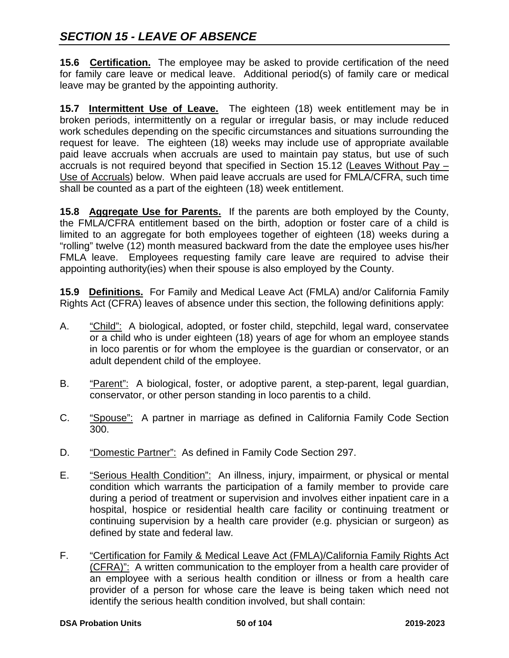**15.6 Certification.** The employee may be asked to provide certification of the need for family care leave or medical leave. Additional period(s) of family care or medical leave may be granted by the appointing authority.

**15.7 Intermittent Use of Leave.** The eighteen (18) week entitlement may be in broken periods, intermittently on a regular or irregular basis, or may include reduced work schedules depending on the specific circumstances and situations surrounding the request for leave. The eighteen (18) weeks may include use of appropriate available paid leave accruals when accruals are used to maintain pay status, but use of such accruals is not required beyond that specified in Section 15.12 (Leaves Without Pay – Use of Accruals) below. When paid leave accruals are used for FMLA/CFRA, such time shall be counted as a part of the eighteen (18) week entitlement.

**15.8 Aggregate Use for Parents.** If the parents are both employed by the County, the FMLA/CFRA entitlement based on the birth, adoption or foster care of a child is limited to an aggregate for both employees together of eighteen (18) weeks during a "rolling" twelve (12) month measured backward from the date the employee uses his/her FMLA leave. Employees requesting family care leave are required to advise their appointing authority(ies) when their spouse is also employed by the County.

**15.9 Definitions.** For Family and Medical Leave Act (FMLA) and/or California Family Rights Act (CFRA) leaves of absence under this section, the following definitions apply:

- A. "Child": A biological, adopted, or foster child, stepchild, legal ward, conservatee or a child who is under eighteen (18) years of age for whom an employee stands in loco parentis or for whom the employee is the guardian or conservator, or an adult dependent child of the employee.
- B. "Parent": A biological, foster, or adoptive parent, a step-parent, legal guardian, conservator, or other person standing in loco parentis to a child.
- C. "Spouse": A partner in marriage as defined in California Family Code Section 300.
- D. "Domestic Partner": As defined in Family Code Section 297.
- E. "Serious Health Condition": An illness, injury, impairment, or physical or mental condition which warrants the participation of a family member to provide care during a period of treatment or supervision and involves either inpatient care in a hospital, hospice or residential health care facility or continuing treatment or continuing supervision by a health care provider (e.g. physician or surgeon) as defined by state and federal law.
- F. "Certification for Family & Medical Leave Act (FMLA)/California Family Rights Act (CFRA)": A written communication to the employer from a health care provider of an employee with a serious health condition or illness or from a health care provider of a person for whose care the leave is being taken which need not identify the serious health condition involved, but shall contain: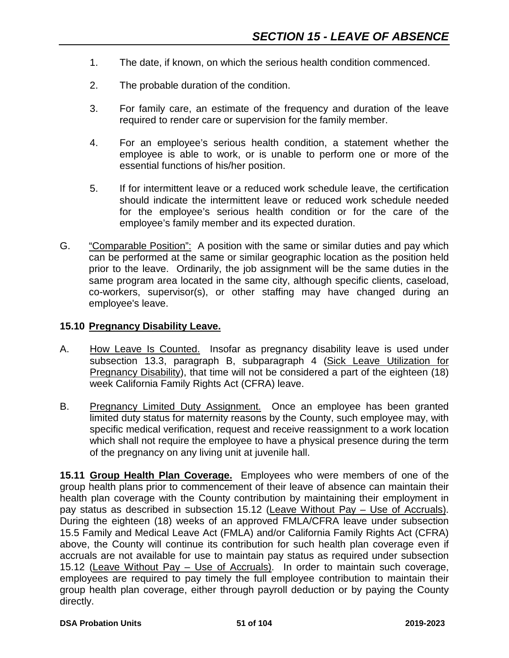- 1. The date, if known, on which the serious health condition commenced.
- 2. The probable duration of the condition.
- 3. For family care, an estimate of the frequency and duration of the leave required to render care or supervision for the family member.
- 4. For an employee's serious health condition, a statement whether the employee is able to work, or is unable to perform one or more of the essential functions of his/her position.
- 5. If for intermittent leave or a reduced work schedule leave, the certification should indicate the intermittent leave or reduced work schedule needed for the employee's serious health condition or for the care of the employee's family member and its expected duration.
- G. "Comparable Position": A position with the same or similar duties and pay which can be performed at the same or similar geographic location as the position held prior to the leave. Ordinarily, the job assignment will be the same duties in the same program area located in the same city, although specific clients, caseload, co-workers, supervisor(s), or other staffing may have changed during an employee's leave.

#### **15.10 Pregnancy Disability Leave.**

- A. How Leave Is Counted. Insofar as pregnancy disability leave is used under subsection 13.3, paragraph B, subparagraph 4 (Sick Leave Utilization for Pregnancy Disability), that time will not be considered a part of the eighteen (18) week California Family Rights Act (CFRA) leave.
- B. Pregnancy Limited Duty Assignment. Once an employee has been granted limited duty status for maternity reasons by the County, such employee may, with specific medical verification, request and receive reassignment to a work location which shall not require the employee to have a physical presence during the term of the pregnancy on any living unit at juvenile hall.

**15.11 Group Health Plan Coverage.** Employees who were members of one of the group health plans prior to commencement of their leave of absence can maintain their health plan coverage with the County contribution by maintaining their employment in pay status as described in subsection 15.12 (Leave Without Pay – Use of Accruals). During the eighteen (18) weeks of an approved FMLA/CFRA leave under subsection 15.5 Family and Medical Leave Act (FMLA) and/or California Family Rights Act (CFRA) above, the County will continue its contribution for such health plan coverage even if accruals are not available for use to maintain pay status as required under subsection 15.12 (Leave Without Pay – Use of Accruals). In order to maintain such coverage, employees are required to pay timely the full employee contribution to maintain their group health plan coverage, either through payroll deduction or by paying the County directly.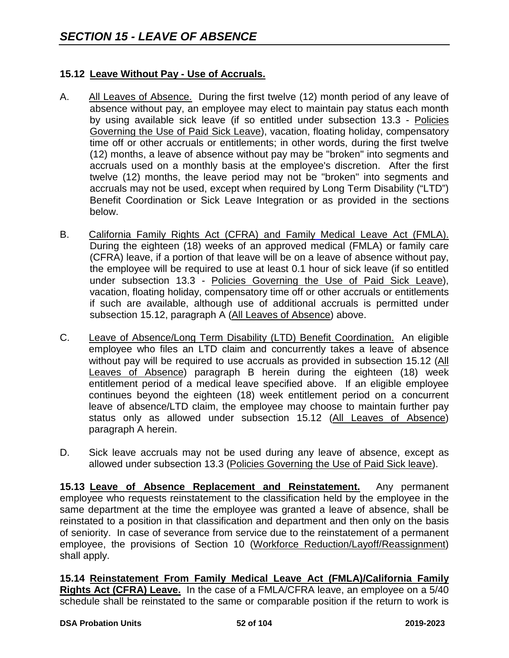#### **15.12 Leave Without Pay - Use of Accruals.**

- A. All Leaves of Absence. During the first twelve (12) month period of any leave of absence without pay, an employee may elect to maintain pay status each month by using available sick leave (if so entitled under subsection 13.3 - Policies Governing the Use of Paid Sick Leave), vacation, floating holiday, compensatory time off or other accruals or entitlements; in other words, during the first twelve (12) months, a leave of absence without pay may be "broken" into segments and accruals used on a monthly basis at the employee's discretion. After the first twelve (12) months, the leave period may not be "broken" into segments and accruals may not be used, except when required by Long Term Disability ("LTD") Benefit Coordination or Sick Leave Integration or as provided in the sections below.
- B. California Family Rights Act (CFRA) and Family Medical Leave Act (FMLA). During the eighteen (18) weeks of an approved medical (FMLA) or family care (CFRA) leave, if a portion of that leave will be on a leave of absence without pay, the employee will be required to use at least 0.1 hour of sick leave (if so entitled under subsection 13.3 - Policies Governing the Use of Paid Sick Leave), vacation, floating holiday, compensatory time off or other accruals or entitlements if such are available, although use of additional accruals is permitted under subsection 15.12, paragraph A (All Leaves of Absence) above.
- C. Leave of Absence/Long Term Disability (LTD) Benefit Coordination. An eligible employee who files an LTD claim and concurrently takes a leave of absence without pay will be required to use accruals as provided in subsection 15.12 (All Leaves of Absence) paragraph B herein during the eighteen (18) week entitlement period of a medical leave specified above. If an eligible employee continues beyond the eighteen (18) week entitlement period on a concurrent leave of absence/LTD claim, the employee may choose to maintain further pay status only as allowed under subsection 15.12 (All Leaves of Absence) paragraph A herein.
- D. Sick leave accruals may not be used during any leave of absence, except as allowed under subsection 13.3 (Policies Governing the Use of Paid Sick leave).

**15.13 Leave of Absence Replacement and Reinstatement.** Any permanent employee who requests reinstatement to the classification held by the employee in the same department at the time the employee was granted a leave of absence, shall be reinstated to a position in that classification and department and then only on the basis of seniority. In case of severance from service due to the reinstatement of a permanent employee, the provisions of Section 10 (Workforce Reduction/Layoff/Reassignment) shall apply.

**15.14 Reinstatement From Family Medical Leave Act (FMLA)/California Family Rights Act (CFRA) Leave.** In the case of a FMLA/CFRA leave, an employee on a 5/40 schedule shall be reinstated to the same or comparable position if the return to work is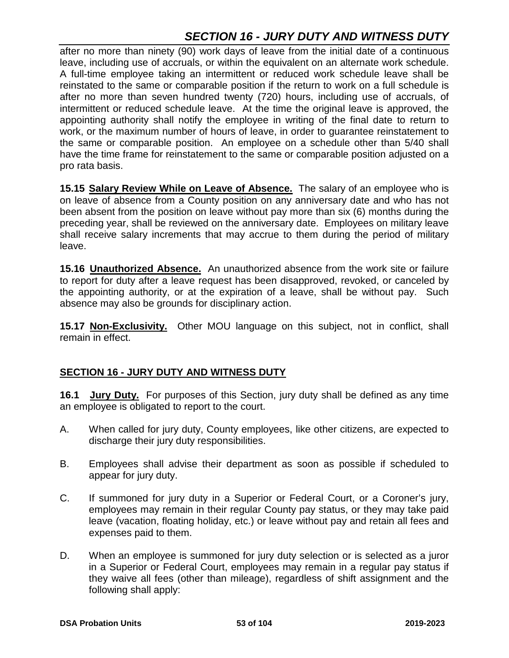# *SECTION 16 - JURY DUTY AND WITNESS DUTY*

after no more than ninety (90) work days of leave from the initial date of a continuous leave, including use of accruals, or within the equivalent on an alternate work schedule. A full-time employee taking an intermittent or reduced work schedule leave shall be reinstated to the same or comparable position if the return to work on a full schedule is after no more than seven hundred twenty (720) hours, including use of accruals, of intermittent or reduced schedule leave. At the time the original leave is approved, the appointing authority shall notify the employee in writing of the final date to return to work, or the maximum number of hours of leave, in order to guarantee reinstatement to the same or comparable position. An employee on a schedule other than 5/40 shall have the time frame for reinstatement to the same or comparable position adjusted on a pro rata basis.

**15.15 Salary Review While on Leave of Absence.** The salary of an employee who is on leave of absence from a County position on any anniversary date and who has not been absent from the position on leave without pay more than six (6) months during the preceding year, shall be reviewed on the anniversary date. Employees on military leave shall receive salary increments that may accrue to them during the period of military leave.

**15.16 Unauthorized Absence.** An unauthorized absence from the work site or failure to report for duty after a leave request has been disapproved, revoked, or canceled by the appointing authority, or at the expiration of a leave, shall be without pay. Such absence may also be grounds for disciplinary action.

**15.17 Non-Exclusivity.** Other MOU language on this subject, not in conflict, shall remain in effect.

# **SECTION 16 - JURY DUTY AND WITNESS DUTY**

**16.1 Jury Duty.** For purposes of this Section, jury duty shall be defined as any time an employee is obligated to report to the court.

- A. When called for jury duty, County employees, like other citizens, are expected to discharge their jury duty responsibilities.
- B. Employees shall advise their department as soon as possible if scheduled to appear for jury duty.
- C. If summoned for jury duty in a Superior or Federal Court, or a Coroner's jury, employees may remain in their regular County pay status, or they may take paid leave (vacation, floating holiday, etc.) or leave without pay and retain all fees and expenses paid to them.
- D. When an employee is summoned for jury duty selection or is selected as a juror in a Superior or Federal Court, employees may remain in a regular pay status if they waive all fees (other than mileage), regardless of shift assignment and the following shall apply: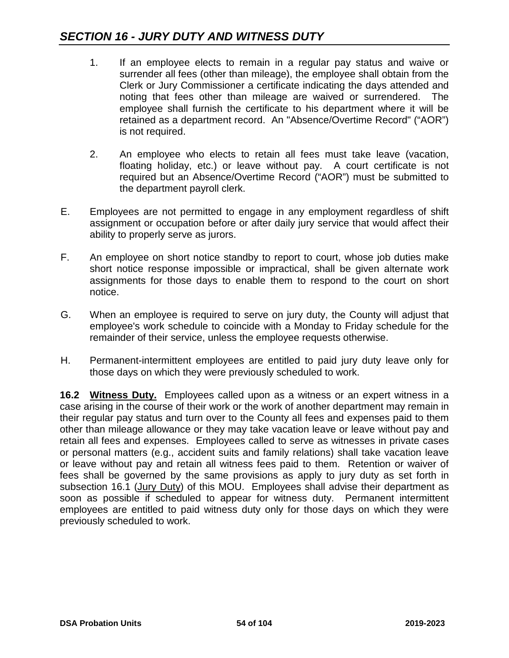- 1. If an employee elects to remain in a regular pay status and waive or surrender all fees (other than mileage), the employee shall obtain from the Clerk or Jury Commissioner a certificate indicating the days attended and noting that fees other than mileage are waived or surrendered. The employee shall furnish the certificate to his department where it will be retained as a department record. An "Absence/Overtime Record" ("AOR") is not required.
- 2. An employee who elects to retain all fees must take leave (vacation, floating holiday, etc.) or leave without pay. A court certificate is not required but an Absence/Overtime Record ("AOR") must be submitted to the department payroll clerk.
- E. Employees are not permitted to engage in any employment regardless of shift assignment or occupation before or after daily jury service that would affect their ability to properly serve as jurors.
- F. An employee on short notice standby to report to court, whose job duties make short notice response impossible or impractical, shall be given alternate work assignments for those days to enable them to respond to the court on short notice.
- G. When an employee is required to serve on jury duty, the County will adjust that employee's work schedule to coincide with a Monday to Friday schedule for the remainder of their service, unless the employee requests otherwise.
- H. Permanent-intermittent employees are entitled to paid jury duty leave only for those days on which they were previously scheduled to work.

**16.2 Witness Duty.** Employees called upon as a witness or an expert witness in a case arising in the course of their work or the work of another department may remain in their regular pay status and turn over to the County all fees and expenses paid to them other than mileage allowance or they may take vacation leave or leave without pay and retain all fees and expenses. Employees called to serve as witnesses in private cases or personal matters (e.g., accident suits and family relations) shall take vacation leave or leave without pay and retain all witness fees paid to them. Retention or waiver of fees shall be governed by the same provisions as apply to jury duty as set forth in subsection 16.1 (Jury Duty) of this MOU. Employees shall advise their department as soon as possible if scheduled to appear for witness duty. Permanent intermittent employees are entitled to paid witness duty only for those days on which they were previously scheduled to work.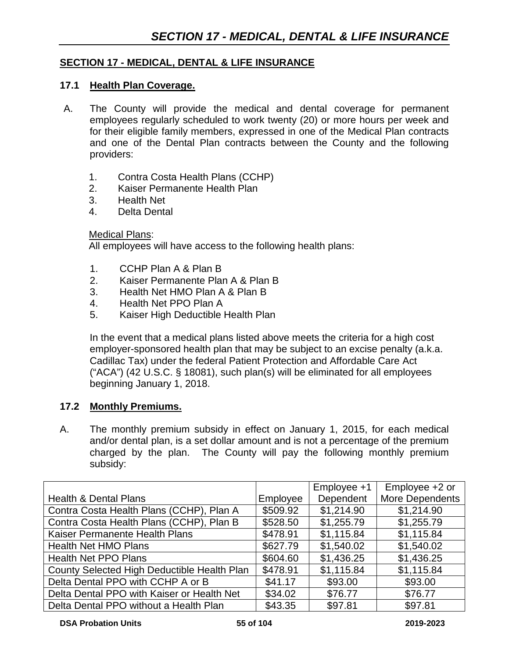#### **SECTION 17 - MEDICAL, DENTAL & LIFE INSURANCE**

#### **17.1 Health Plan Coverage.**

- A. The County will provide the medical and dental coverage for permanent employees regularly scheduled to work twenty (20) or more hours per week and for their eligible family members, expressed in one of the Medical Plan contracts and one of the Dental Plan contracts between the County and the following providers:
	- 1. Contra Costa Health Plans (CCHP)
	- 2. Kaiser Permanente Health Plan
	- 3. Health Net
	- 4. Delta Dental

#### Medical Plans:

All employees will have access to the following health plans:

- 1. CCHP Plan A & Plan B
- 2. Kaiser Permanente Plan A & Plan B
- 3. Health Net HMO Plan A & Plan B
- 4. Health Net PPO Plan A
- 5. Kaiser High Deductible Health Plan

In the event that a medical plans listed above meets the criteria for a high cost employer-sponsored health plan that may be subject to an excise penalty (a.k.a. Cadillac Tax) under the federal Patient Protection and Affordable Care Act ("ACA") (42 U.S.C. § 18081), such plan(s) will be eliminated for all employees beginning January 1, 2018.

#### **17.2 Monthly Premiums.**

A. The monthly premium subsidy in effect on January 1, 2015, for each medical and/or dental plan, is a set dollar amount and is not a percentage of the premium charged by the plan. The County will pay the following monthly premium subsidy:

|                                             |          | Employee +1 | Employee +2 or  |
|---------------------------------------------|----------|-------------|-----------------|
| <b>Health &amp; Dental Plans</b>            | Employee | Dependent   | More Dependents |
| Contra Costa Health Plans (CCHP), Plan A    | \$509.92 | \$1,214.90  | \$1,214.90      |
| Contra Costa Health Plans (CCHP), Plan B    | \$528.50 | \$1,255.79  | \$1,255.79      |
| Kaiser Permanente Health Plans              | \$478.91 | \$1,115.84  | \$1,115.84      |
| <b>Health Net HMO Plans</b>                 | \$627.79 | \$1,540.02  | \$1,540.02      |
| <b>Health Net PPO Plans</b>                 | \$604.60 | \$1,436.25  | \$1,436.25      |
| County Selected High Deductible Health Plan | \$478.91 | \$1,115.84  | \$1,115.84      |
| Delta Dental PPO with CCHP A or B           | \$41.17  | \$93.00     | \$93.00         |
| Delta Dental PPO with Kaiser or Health Net  | \$34.02  | \$76.77     | \$76.77         |
| Delta Dental PPO without a Health Plan      | \$43.35  | \$97.81     | \$97.81         |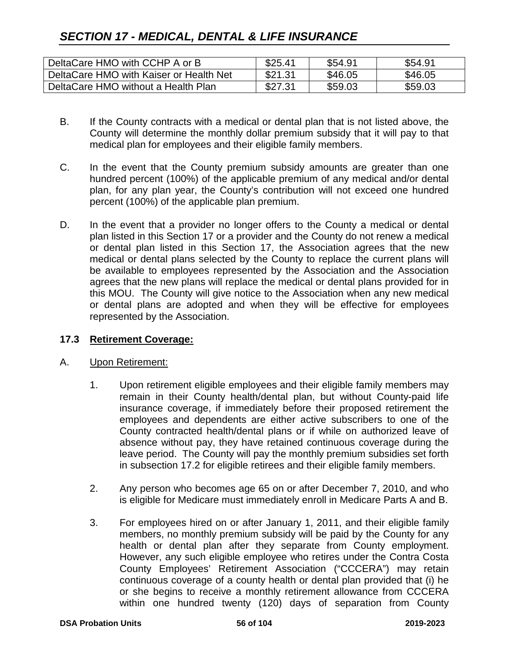# *SECTION 17 - MEDICAL, DENTAL & LIFE INSURANCE*

| DeltaCare HMO with CCHP A or B          | \$25.41 | \$54.91 | \$54.91 |
|-----------------------------------------|---------|---------|---------|
| DeltaCare HMO with Kaiser or Health Net | \$21.31 | \$46.05 | \$46.05 |
| DeltaCare HMO without a Health Plan     | \$27.31 | \$59.03 | \$59.03 |

- B. If the County contracts with a medical or dental plan that is not listed above, the County will determine the monthly dollar premium subsidy that it will pay to that medical plan for employees and their eligible family members.
- C. In the event that the County premium subsidy amounts are greater than one hundred percent (100%) of the applicable premium of any medical and/or dental plan, for any plan year, the County's contribution will not exceed one hundred percent (100%) of the applicable plan premium.
- D. In the event that a provider no longer offers to the County a medical or dental plan listed in this Section 17 or a provider and the County do not renew a medical or dental plan listed in this Section 17, the Association agrees that the new medical or dental plans selected by the County to replace the current plans will be available to employees represented by the Association and the Association agrees that the new plans will replace the medical or dental plans provided for in this MOU. The County will give notice to the Association when any new medical or dental plans are adopted and when they will be effective for employees represented by the Association.

#### **17.3 Retirement Coverage:**

#### A. Upon Retirement:

- 1. Upon retirement eligible employees and their eligible family members may remain in their County health/dental plan, but without County-paid life insurance coverage, if immediately before their proposed retirement the employees and dependents are either active subscribers to one of the County contracted health/dental plans or if while on authorized leave of absence without pay, they have retained continuous coverage during the leave period. The County will pay the monthly premium subsidies set forth in subsection 17.2 for eligible retirees and their eligible family members.
- 2. Any person who becomes age 65 on or after December 7, 2010, and who is eligible for Medicare must immediately enroll in Medicare Parts A and B.
- 3. For employees hired on or after January 1, 2011, and their eligible family members, no monthly premium subsidy will be paid by the County for any health or dental plan after they separate from County employment. However, any such eligible employee who retires under the Contra Costa County Employees' Retirement Association ("CCCERA") may retain continuous coverage of a county health or dental plan provided that (i) he or she begins to receive a monthly retirement allowance from CCCERA within one hundred twenty (120) days of separation from County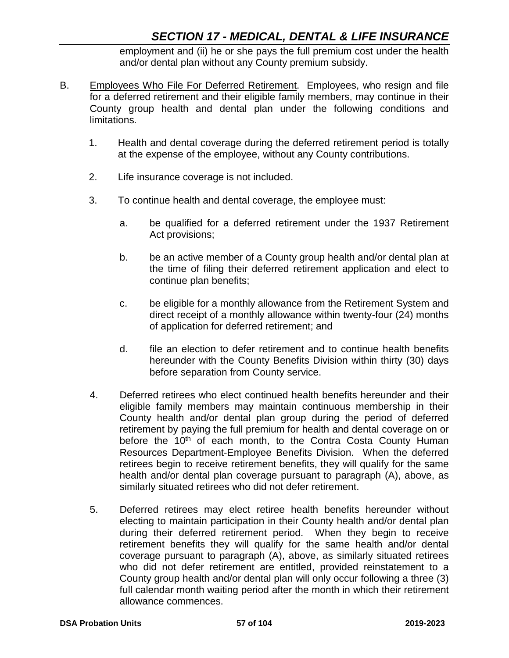employment and (ii) he or she pays the full premium cost under the health and/or dental plan without any County premium subsidy.

- B. Employees Who File For Deferred Retirement. Employees, who resign and file for a deferred retirement and their eligible family members, may continue in their County group health and dental plan under the following conditions and limitations.
	- 1. Health and dental coverage during the deferred retirement period is totally at the expense of the employee, without any County contributions.
	- 2. Life insurance coverage is not included.
	- 3. To continue health and dental coverage, the employee must:
		- a. be qualified for a deferred retirement under the 1937 Retirement Act provisions;
		- b. be an active member of a County group health and/or dental plan at the time of filing their deferred retirement application and elect to continue plan benefits;
		- c. be eligible for a monthly allowance from the Retirement System and direct receipt of a monthly allowance within twenty-four (24) months of application for deferred retirement; and
		- d. file an election to defer retirement and to continue health benefits hereunder with the County Benefits Division within thirty (30) days before separation from County service.
	- 4. Deferred retirees who elect continued health benefits hereunder and their eligible family members may maintain continuous membership in their County health and/or dental plan group during the period of deferred retirement by paying the full premium for health and dental coverage on or before the 10<sup>th</sup> of each month, to the Contra Costa County Human Resources Department-Employee Benefits Division. When the deferred retirees begin to receive retirement benefits, they will qualify for the same health and/or dental plan coverage pursuant to paragraph (A), above, as similarly situated retirees who did not defer retirement.
	- 5. Deferred retirees may elect retiree health benefits hereunder without electing to maintain participation in their County health and/or dental plan during their deferred retirement period. When they begin to receive retirement benefits they will qualify for the same health and/or dental coverage pursuant to paragraph (A), above, as similarly situated retirees who did not defer retirement are entitled, provided reinstatement to a County group health and/or dental plan will only occur following a three (3) full calendar month waiting period after the month in which their retirement allowance commences.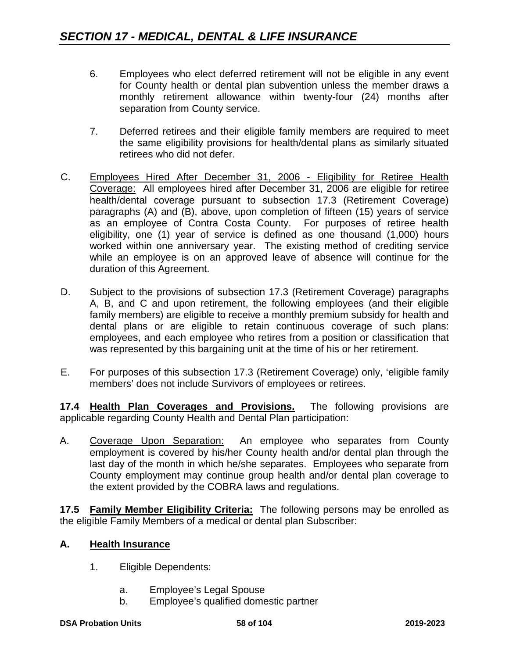- 6. Employees who elect deferred retirement will not be eligible in any event for County health or dental plan subvention unless the member draws a monthly retirement allowance within twenty-four (24) months after separation from County service.
- 7. Deferred retirees and their eligible family members are required to meet the same eligibility provisions for health/dental plans as similarly situated retirees who did not defer.
- C. Employees Hired After December 31, 2006 Eligibility for Retiree Health Coverage: All employees hired after December 31, 2006 are eligible for retiree health/dental coverage pursuant to subsection 17.3 (Retirement Coverage) paragraphs (A) and (B), above, upon completion of fifteen (15) years of service as an employee of Contra Costa County. For purposes of retiree health eligibility, one (1) year of service is defined as one thousand (1,000) hours worked within one anniversary year. The existing method of crediting service while an employee is on an approved leave of absence will continue for the duration of this Agreement.
- D. Subject to the provisions of subsection 17.3 (Retirement Coverage) paragraphs A, B, and C and upon retirement, the following employees (and their eligible family members) are eligible to receive a monthly premium subsidy for health and dental plans or are eligible to retain continuous coverage of such plans: employees, and each employee who retires from a position or classification that was represented by this bargaining unit at the time of his or her retirement.
- E. For purposes of this subsection 17.3 (Retirement Coverage) only, 'eligible family members' does not include Survivors of employees or retirees.

**17.4 Health Plan Coverages and Provisions.** The following provisions are applicable regarding County Health and Dental Plan participation:

A. Coverage Upon Separation: An employee who separates from County employment is covered by his/her County health and/or dental plan through the last day of the month in which he/she separates. Employees who separate from County employment may continue group health and/or dental plan coverage to the extent provided by the COBRA laws and regulations.

**17.5 Family Member Eligibility Criteria:** The following persons may be enrolled as the eligible Family Members of a medical or dental plan Subscriber:

# **A. Health Insurance**

- 1. Eligible Dependents:
	- a. Employee's Legal Spouse
	- b. Employee's qualified domestic partner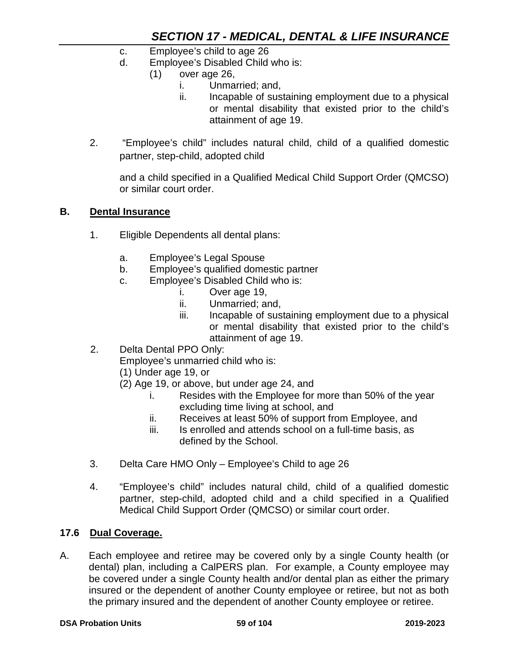- c. Employee's child to age 26
- d. Employee's Disabled Child who is:
	- (1) over age 26,
		- i. Unmarried; and,
		- ii. Incapable of sustaining employment due to a physical or mental disability that existed prior to the child's attainment of age 19.
- 2. "Employee's child" includes natural child, child of a qualified domestic partner, step-child, adopted child

and a child specified in a Qualified Medical Child Support Order (QMCSO) or similar court order.

#### **B. Dental Insurance**

- 1. Eligible Dependents all dental plans:
	- a. Employee's Legal Spouse
	- b. Employee's qualified domestic partner
	- c. Employee's Disabled Child who is:
		- i. Over age 19,
		- ii. Unmarried; and,
		- iii. Incapable of sustaining employment due to a physical or mental disability that existed prior to the child's attainment of age 19.
- 2. Delta Dental PPO Only:

Employee's unmarried child who is:

- (1) Under age 19, or
- (2) Age 19, or above, but under age 24, and
	- i. Resides with the Employee for more than 50% of the year excluding time living at school, and
	- ii. Receives at least 50% of support from Employee, and
	- iii. Is enrolled and attends school on a full-time basis, as defined by the School.
- 3. Delta Care HMO Only Employee's Child to age 26
- 4. "Employee's child" includes natural child, child of a qualified domestic partner, step-child, adopted child and a child specified in a Qualified Medical Child Support Order (QMCSO) or similar court order.

#### **17.6 Dual Coverage.**

A. Each employee and retiree may be covered only by a single County health (or dental) plan, including a CalPERS plan. For example, a County employee may be covered under a single County health and/or dental plan as either the primary insured or the dependent of another County employee or retiree, but not as both the primary insured and the dependent of another County employee or retiree.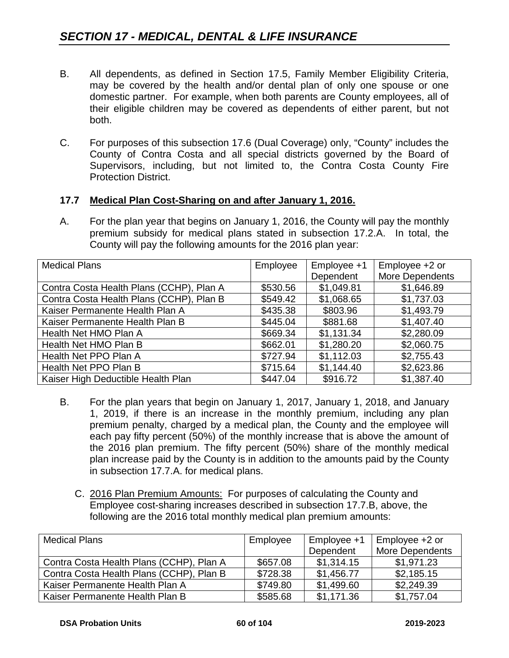- B. All dependents, as defined in Section 17.5, Family Member Eligibility Criteria, may be covered by the health and/or dental plan of only one spouse or one domestic partner. For example, when both parents are County employees, all of their eligible children may be covered as dependents of either parent, but not both.
- C. For purposes of this subsection 17.6 (Dual Coverage) only, "County" includes the County of Contra Costa and all special districts governed by the Board of Supervisors, including, but not limited to, the Contra Costa County Fire Protection District.

#### **17.7 Medical Plan Cost-Sharing on and after January 1, 2016.**

A. For the plan year that begins on January 1, 2016, the County will pay the monthly premium subsidy for medical plans stated in subsection 17.2.A. In total, the County will pay the following amounts for the 2016 plan year:

| <b>Medical Plans</b>                     | Employee | Employee +1 | Employee +2 or  |
|------------------------------------------|----------|-------------|-----------------|
|                                          |          | Dependent   | More Dependents |
| Contra Costa Health Plans (CCHP), Plan A | \$530.56 | \$1,049.81  | \$1,646.89      |
| Contra Costa Health Plans (CCHP), Plan B | \$549.42 | \$1,068.65  | \$1,737.03      |
| Kaiser Permanente Health Plan A          | \$435.38 | \$803.96    | \$1,493.79      |
| Kaiser Permanente Health Plan B          | \$445.04 | \$881.68    | \$1,407.40      |
| Health Net HMO Plan A                    | \$669.34 | \$1,131.34  | \$2,280.09      |
| Health Net HMO Plan B                    | \$662.01 | \$1,280.20  | \$2,060.75      |
| Health Net PPO Plan A                    | \$727.94 | \$1,112.03  | \$2,755.43      |
| Health Net PPO Plan B                    | \$715.64 | \$1,144.40  | \$2,623.86      |
| Kaiser High Deductible Health Plan       | \$447.04 | \$916.72    | \$1,387.40      |

- B. For the plan years that begin on January 1, 2017, January 1, 2018, and January 1, 2019, if there is an increase in the monthly premium, including any plan premium penalty, charged by a medical plan, the County and the employee will each pay fifty percent (50%) of the monthly increase that is above the amount of the 2016 plan premium. The fifty percent (50%) share of the monthly medical plan increase paid by the County is in addition to the amounts paid by the County in subsection 17.7.A. for medical plans.
	- C. 2016 Plan Premium Amounts: For purposes of calculating the County and Employee cost-sharing increases described in subsection 17.7.B, above, the following are the 2016 total monthly medical plan premium amounts:

| <b>Medical Plans</b>                     | Employee | Employee +1 | Employee $+2$ or |
|------------------------------------------|----------|-------------|------------------|
|                                          |          | Dependent   | More Dependents  |
| Contra Costa Health Plans (CCHP), Plan A | \$657.08 | \$1,314.15  | \$1,971.23       |
| Contra Costa Health Plans (CCHP), Plan B | \$728.38 | \$1,456.77  | \$2,185.15       |
| Kaiser Permanente Health Plan A          | \$749.80 | \$1,499.60  | \$2,249.39       |
| Kaiser Permanente Health Plan B          | \$585.68 | \$1,171.36  | \$1,757.04       |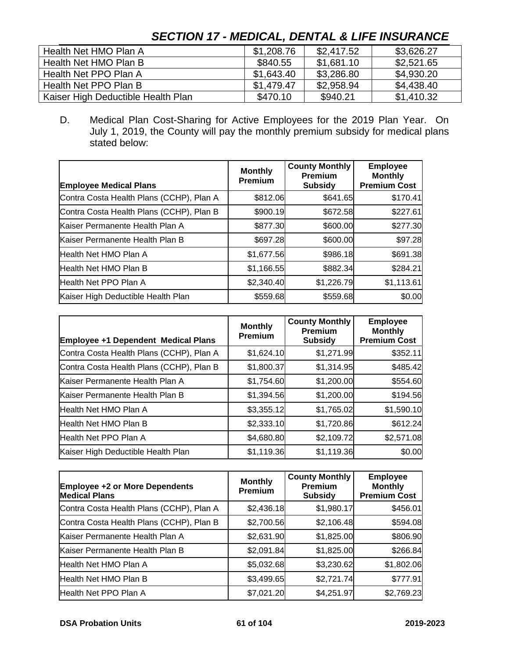# Health Net HMO Plan A <br>  $\begin{array}{|c|c|c|c|c|c|c|c|c|} \hline \text{$3,626.27$} \end{array}$ Health Net HMO Plan B  $\parallel$  \$840.55  $\parallel$  \$1,681.10  $\parallel$  \$2,521.65 Health Net PPO Plan A 61,643.40 \$3,286.80 \$4,930.20 Health Net PPO Plan B **\$1,479.47** \$2,958.94 \$4,438.40 Kaiser High Deductible Health Plan **\$470.10** \$940.21 \$1,410.32

# *SECTION 17 - MEDICAL, DENTAL & LIFE INSURANCE*

D. Medical Plan Cost-Sharing for Active Employees for the 2019 Plan Year. On July 1, 2019, the County will pay the monthly premium subsidy for medical plans stated below:

| <b>Employee Medical Plans</b>            | <b>Monthly</b><br><b>Premium</b> | <b>County Monthly</b><br>Premium<br><b>Subsidy</b> | <b>Employee</b><br><b>Monthly</b><br><b>Premium Cost</b> |
|------------------------------------------|----------------------------------|----------------------------------------------------|----------------------------------------------------------|
| Contra Costa Health Plans (CCHP), Plan A | \$812.06                         | \$641.65                                           | \$170.41                                                 |
| Contra Costa Health Plans (CCHP), Plan B | \$900.19                         | \$672.58                                           | \$227.61                                                 |
| Kaiser Permanente Health Plan A          | \$877.30                         | \$600.00                                           | \$277.30                                                 |
| Kaiser Permanente Health Plan B          | \$697.28                         | \$600.00                                           | \$97.28                                                  |
| Health Net HMO Plan A                    | \$1,677.56                       | \$986.18                                           | \$691.38                                                 |
| Health Net HMO Plan B                    | \$1,166.55                       | \$882.34                                           | \$284.21                                                 |
| Health Net PPO Plan A                    | \$2,340.40                       | \$1,226.79                                         | \$1,113.61                                               |
| Kaiser High Deductible Health Plan       | \$559.68                         | \$559.68                                           | \$0.00                                                   |

| <b>Employee +1 Dependent Medical Plans</b> | <b>Monthly</b><br><b>Premium</b> | <b>County Monthly</b><br><b>Premium</b><br><b>Subsidy</b> | <b>Employee</b><br><b>Monthly</b><br><b>Premium Cost</b> |
|--------------------------------------------|----------------------------------|-----------------------------------------------------------|----------------------------------------------------------|
| Contra Costa Health Plans (CCHP), Plan A   | \$1,624.10                       | \$1,271.99                                                | \$352.11                                                 |
| Contra Costa Health Plans (CCHP), Plan B   | \$1,800.37                       | \$1,314.95                                                | \$485.42                                                 |
| Kaiser Permanente Health Plan A            | \$1,754.60                       | \$1,200.00                                                | \$554.60                                                 |
| Kaiser Permanente Health Plan B            | \$1,394.56                       | \$1,200.00                                                | \$194.56                                                 |
| Health Net HMO Plan A                      | \$3,355.12                       | \$1,765.02                                                | \$1,590.10                                               |
| Health Net HMO Plan B                      | \$2,333.10                       | \$1,720.86                                                | \$612.24                                                 |
| Health Net PPO Plan A                      | \$4,680.80                       | \$2,109.72                                                | \$2,571.08                                               |
| Kaiser High Deductible Health Plan         | \$1,119.36                       | \$1,119.36                                                | \$0.00                                                   |

| <b>Employee +2 or More Dependents</b><br><b>Medical Plans</b> | <b>Monthly</b><br>Premium | <b>County Monthly</b><br><b>Premium</b><br><b>Subsidy</b> | <b>Employee</b><br><b>Monthly</b><br><b>Premium Cost</b> |
|---------------------------------------------------------------|---------------------------|-----------------------------------------------------------|----------------------------------------------------------|
| Contra Costa Health Plans (CCHP), Plan A                      | \$2,436.18                | \$1,980.17                                                | \$456.01                                                 |
| Contra Costa Health Plans (CCHP), Plan B                      | \$2,700.56                | \$2,106.48                                                | \$594.08                                                 |
| Kaiser Permanente Health Plan A                               | \$2,631.90                | \$1,825.00                                                | \$806.90                                                 |
| Kaiser Permanente Health Plan B                               | \$2,091.84                | \$1,825.00                                                | \$266.84                                                 |
| Health Net HMO Plan A                                         | \$5,032.68                | \$3,230.62                                                | \$1,802.06                                               |
| Health Net HMO Plan B                                         | \$3,499.65                | \$2,721.74                                                | \$777.91                                                 |
| Health Net PPO Plan A                                         | \$7,021.20                | \$4,251.97                                                | \$2,769.23                                               |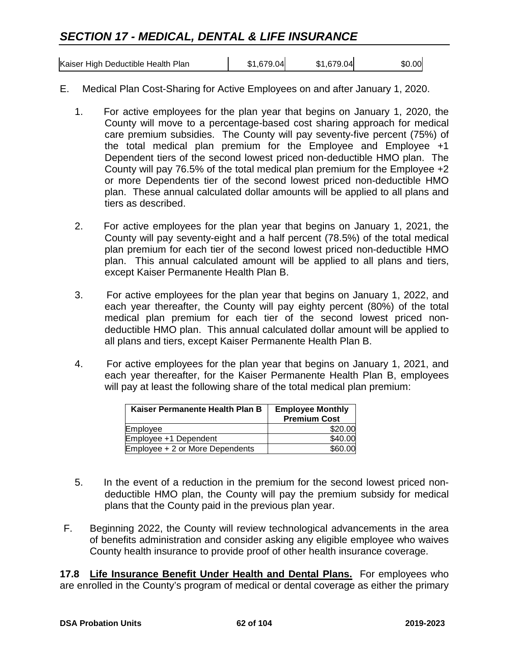# *SECTION 17 - MEDICAL, DENTAL & LIFE INSURANCE*

| Kaiser High Deductible Health Plan | \$1,679.04 | \$1,679.04 | \$0.00 |
|------------------------------------|------------|------------|--------|

- E. Medical Plan Cost-Sharing for Active Employees on and after January 1, 2020.
	- 1. For active employees for the plan year that begins on January 1, 2020, the County will move to a percentage-based cost sharing approach for medical care premium subsidies. The County will pay seventy-five percent (75%) of the total medical plan premium for the Employee and Employee +1 Dependent tiers of the second lowest priced non-deductible HMO plan. The County will pay 76.5% of the total medical plan premium for the Employee +2 or more Dependents tier of the second lowest priced non-deductible HMO plan. These annual calculated dollar amounts will be applied to all plans and tiers as described.
	- 2. For active employees for the plan year that begins on January 1, 2021, the County will pay seventy-eight and a half percent (78.5%) of the total medical plan premium for each tier of the second lowest priced non-deductible HMO plan. This annual calculated amount will be applied to all plans and tiers, except Kaiser Permanente Health Plan B.
	- 3. For active employees for the plan year that begins on January 1, 2022, and each year thereafter, the County will pay eighty percent (80%) of the total medical plan premium for each tier of the second lowest priced nondeductible HMO plan. This annual calculated dollar amount will be applied to all plans and tiers, except Kaiser Permanente Health Plan B.
	- 4. For active employees for the plan year that begins on January 1, 2021, and each year thereafter, for the Kaiser Permanente Health Plan B, employees will pay at least the following share of the total medical plan premium:

| Kaiser Permanente Health Plan B | <b>Employee Monthly</b><br><b>Premium Cost</b> |
|---------------------------------|------------------------------------------------|
| Employee                        | \$20.00                                        |
| Employee +1 Dependent           | \$40.00                                        |
| Employee + 2 or More Dependents | \$60.00                                        |

- 5. In the event of a reduction in the premium for the second lowest priced nondeductible HMO plan, the County will pay the premium subsidy for medical plans that the County paid in the previous plan year.
- F. Beginning 2022, the County will review technological advancements in the area of benefits administration and consider asking any eligible employee who waives County health insurance to provide proof of other health insurance coverage.

**17.8 Life Insurance Benefit Under Health and Dental Plans.** For employees who are enrolled in the County's program of medical or dental coverage as either the primary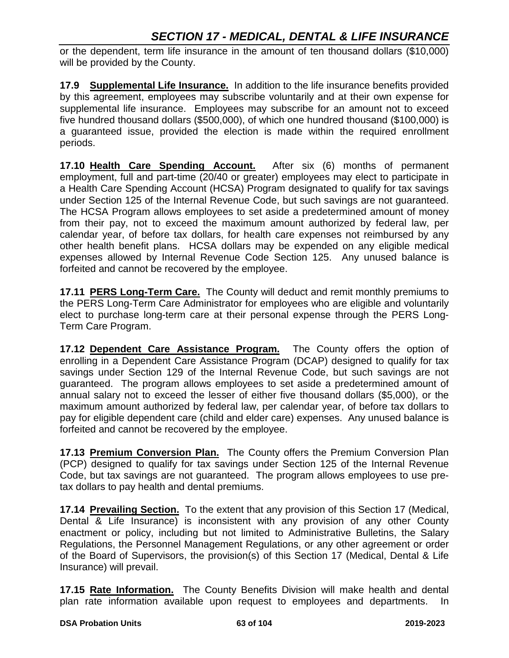or the dependent, term life insurance in the amount of ten thousand dollars (\$10,000) will be provided by the County.

**17.9 Supplemental Life Insurance.** In addition to the life insurance benefits provided by this agreement, employees may subscribe voluntarily and at their own expense for supplemental life insurance. Employees may subscribe for an amount not to exceed five hundred thousand dollars (\$500,000), of which one hundred thousand (\$100,000) is a guaranteed issue, provided the election is made within the required enrollment periods.

**17.10 Health Care Spending Account.** After six (6) months of permanent employment, full and part-time (20/40 or greater) employees may elect to participate in a Health Care Spending Account (HCSA) Program designated to qualify for tax savings under Section 125 of the Internal Revenue Code, but such savings are not guaranteed. The HCSA Program allows employees to set aside a predetermined amount of money from their pay, not to exceed the maximum amount authorized by federal law, per calendar year, of before tax dollars, for health care expenses not reimbursed by any other health benefit plans. HCSA dollars may be expended on any eligible medical expenses allowed by Internal Revenue Code Section 125. Any unused balance is forfeited and cannot be recovered by the employee.

**17.11 PERS Long-Term Care.** The County will deduct and remit monthly premiums to the PERS Long-Term Care Administrator for employees who are eligible and voluntarily elect to purchase long-term care at their personal expense through the PERS Long-Term Care Program.

**17.12 Dependent Care Assistance Program.** The County offers the option of enrolling in a Dependent Care Assistance Program (DCAP) designed to qualify for tax savings under Section 129 of the Internal Revenue Code, but such savings are not guaranteed. The program allows employees to set aside a predetermined amount of annual salary not to exceed the lesser of either five thousand dollars (\$5,000), or the maximum amount authorized by federal law, per calendar year, of before tax dollars to pay for eligible dependent care (child and elder care) expenses. Any unused balance is forfeited and cannot be recovered by the employee.

**17.13 Premium Conversion Plan.** The County offers the Premium Conversion Plan (PCP) designed to qualify for tax savings under Section 125 of the Internal Revenue Code, but tax savings are not guaranteed. The program allows employees to use pretax dollars to pay health and dental premiums.

**17.14 Prevailing Section.** To the extent that any provision of this Section 17 (Medical, Dental & Life Insurance) is inconsistent with any provision of any other County enactment or policy, including but not limited to Administrative Bulletins, the Salary Regulations, the Personnel Management Regulations, or any other agreement or order of the Board of Supervisors, the provision(s) of this Section 17 (Medical, Dental & Life Insurance) will prevail.

**17.15 Rate Information.** The County Benefits Division will make health and dental plan rate information available upon request to employees and departments. In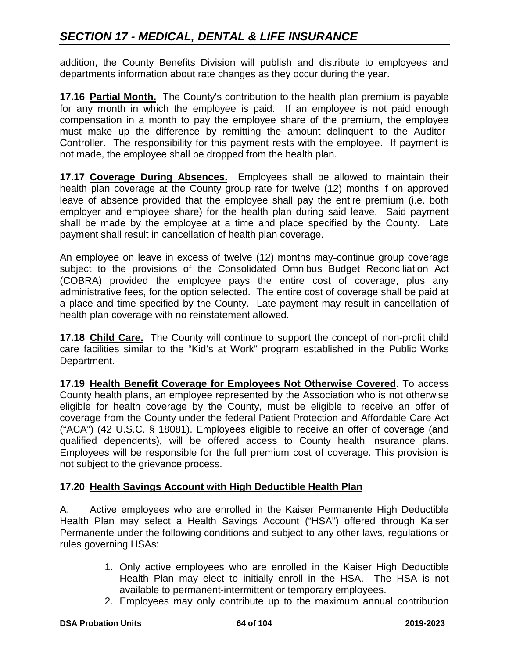addition, the County Benefits Division will publish and distribute to employees and departments information about rate changes as they occur during the year.

**17.16 Partial Month.** The County's contribution to the health plan premium is payable for any month in which the employee is paid. If an employee is not paid enough compensation in a month to pay the employee share of the premium, the employee must make up the difference by remitting the amount delinquent to the Auditor-Controller. The responsibility for this payment rests with the employee. If payment is not made, the employee shall be dropped from the health plan.

**17.17 Coverage During Absences.** Employees shall be allowed to maintain their health plan coverage at the County group rate for twelve (12) months if on approved leave of absence provided that the employee shall pay the entire premium (i.e. both employer and employee share) for the health plan during said leave. Said payment shall be made by the employee at a time and place specified by the County. Late payment shall result in cancellation of health plan coverage.

An employee on leave in excess of twelve (12) months may-continue group coverage subject to the provisions of the Consolidated Omnibus Budget Reconciliation Act (COBRA) provided the employee pays the entire cost of coverage, plus any administrative fees, for the option selected. The entire cost of coverage shall be paid at a place and time specified by the County. Late payment may result in cancellation of health plan coverage with no reinstatement allowed.

**17.18 Child Care.** The County will continue to support the concept of non-profit child care facilities similar to the "Kid's at Work" program established in the Public Works Department.

**17.19 Health Benefit Coverage for Employees Not Otherwise Covered**. To access County health plans, an employee represented by the Association who is not otherwise eligible for health coverage by the County, must be eligible to receive an offer of coverage from the County under the federal Patient Protection and Affordable Care Act ("ACA") (42 U.S.C. § 18081). Employees eligible to receive an offer of coverage (and qualified dependents), will be offered access to County health insurance plans. Employees will be responsible for the full premium cost of coverage. This provision is not subject to the grievance process.

# **17.20 Health Savings Account with High Deductible Health Plan**

A. Active employees who are enrolled in the Kaiser Permanente High Deductible Health Plan may select a Health Savings Account ("HSA") offered through Kaiser Permanente under the following conditions and subject to any other laws, regulations or rules governing HSAs:

- 1. Only active employees who are enrolled in the Kaiser High Deductible Health Plan may elect to initially enroll in the HSA. The HSA is not available to permanent-intermittent or temporary employees.
- 2. Employees may only contribute up to the maximum annual contribution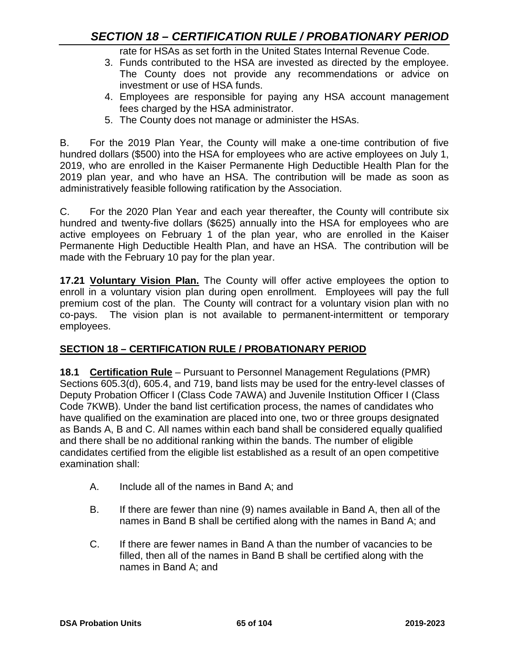rate for HSAs as set forth in the United States Internal Revenue Code.

- 3. Funds contributed to the HSA are invested as directed by the employee. The County does not provide any recommendations or advice on investment or use of HSA funds.
- 4. Employees are responsible for paying any HSA account management fees charged by the HSA administrator.
- 5. The County does not manage or administer the HSAs.

B. For the 2019 Plan Year, the County will make a one-time contribution of five hundred dollars (\$500) into the HSA for employees who are active employees on July 1, 2019, who are enrolled in the Kaiser Permanente High Deductible Health Plan for the 2019 plan year, and who have an HSA. The contribution will be made as soon as administratively feasible following ratification by the Association.

C. For the 2020 Plan Year and each year thereafter, the County will contribute six hundred and twenty-five dollars (\$625) annually into the HSA for employees who are active employees on February 1 of the plan year, who are enrolled in the Kaiser Permanente High Deductible Health Plan, and have an HSA. The contribution will be made with the February 10 pay for the plan year.

**17.21 Voluntary Vision Plan.** The County will offer active employees the option to enroll in a voluntary vision plan during open enrollment. Employees will pay the full premium cost of the plan. The County will contract for a voluntary vision plan with no co-pays. The vision plan is not available to permanent-intermittent or temporary employees.

# **SECTION 18 – CERTIFICATION RULE / PROBATIONARY PERIOD**

**18.1 Certification Rule** – Pursuant to Personnel Management Regulations (PMR) Sections 605.3(d), 605.4, and 719, band lists may be used for the entry-level classes of Deputy Probation Officer I (Class Code 7AWA) and Juvenile Institution Officer I (Class Code 7KWB). Under the band list certification process, the names of candidates who have qualified on the examination are placed into one, two or three groups designated as Bands A, B and C. All names within each band shall be considered equally qualified and there shall be no additional ranking within the bands. The number of eligible candidates certified from the eligible list established as a result of an open competitive examination shall:

- A. Include all of the names in Band A; and
- B. If there are fewer than nine (9) names available in Band A, then all of the names in Band B shall be certified along with the names in Band A; and
- C. If there are fewer names in Band A than the number of vacancies to be filled, then all of the names in Band B shall be certified along with the names in Band A; and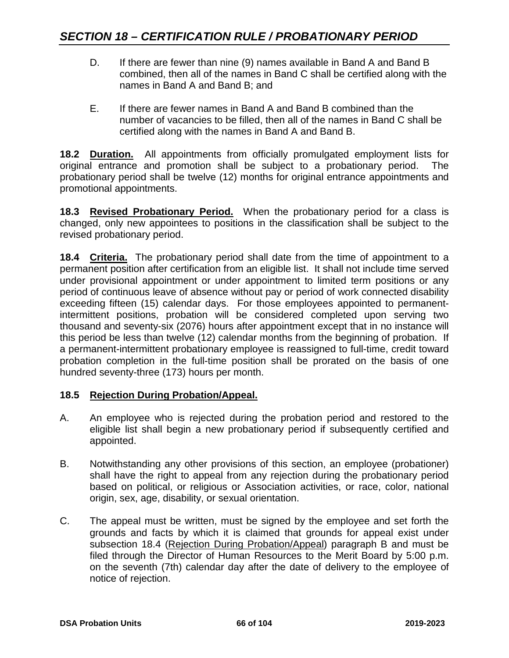- D. If there are fewer than nine (9) names available in Band A and Band B combined, then all of the names in Band C shall be certified along with the names in Band A and Band B; and
- E. If there are fewer names in Band A and Band B combined than the number of vacancies to be filled, then all of the names in Band C shall be certified along with the names in Band A and Band B.

**18.2 Duration.** All appointments from officially promulgated employment lists for original entrance and promotion shall be subject to a probationary period. The probationary period shall be twelve (12) months for original entrance appointments and promotional appointments.

**18.3 Revised Probationary Period.** When the probationary period for a class is changed, only new appointees to positions in the classification shall be subject to the revised probationary period.

**18.4 Criteria.** The probationary period shall date from the time of appointment to a permanent position after certification from an eligible list. It shall not include time served under provisional appointment or under appointment to limited term positions or any period of continuous leave of absence without pay or period of work connected disability exceeding fifteen (15) calendar days. For those employees appointed to permanentintermittent positions, probation will be considered completed upon serving two thousand and seventy-six (2076) hours after appointment except that in no instance will this period be less than twelve (12) calendar months from the beginning of probation. If a permanent-intermittent probationary employee is reassigned to full-time, credit toward probation completion in the full-time position shall be prorated on the basis of one hundred seventy-three (173) hours per month.

### **18.5 Rejection During Probation/Appeal.**

- A. An employee who is rejected during the probation period and restored to the eligible list shall begin a new probationary period if subsequently certified and appointed.
- B. Notwithstanding any other provisions of this section, an employee (probationer) shall have the right to appeal from any rejection during the probationary period based on political, or religious or Association activities, or race, color, national origin, sex, age, disability, or sexual orientation.
- C. The appeal must be written, must be signed by the employee and set forth the grounds and facts by which it is claimed that grounds for appeal exist under subsection 18.4 (Rejection During Probation/Appeal) paragraph B and must be filed through the Director of Human Resources to the Merit Board by 5:00 p.m. on the seventh (7th) calendar day after the date of delivery to the employee of notice of rejection.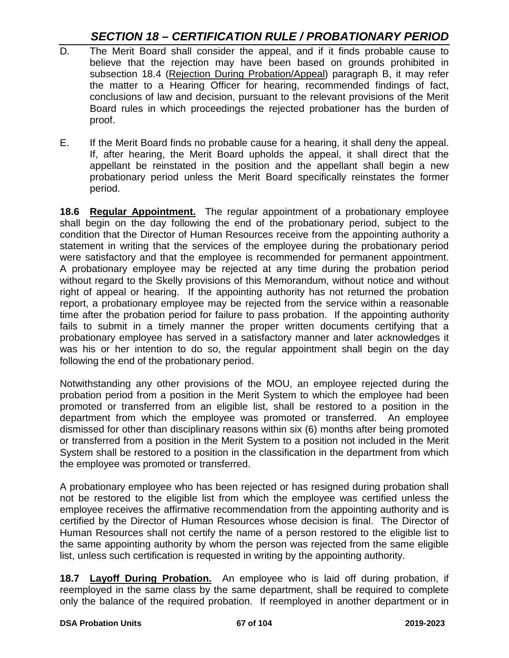# *SECTION 18 – CERTIFICATION RULE / PROBATIONARY PERIOD*

- D. The Merit Board shall consider the appeal, and if it finds probable cause to believe that the rejection may have been based on grounds prohibited in subsection 18.4 (Rejection During Probation/Appeal) paragraph B, it may refer the matter to a Hearing Officer for hearing, recommended findings of fact, conclusions of law and decision, pursuant to the relevant provisions of the Merit Board rules in which proceedings the rejected probationer has the burden of proof.
- E. If the Merit Board finds no probable cause for a hearing, it shall deny the appeal. If, after hearing, the Merit Board upholds the appeal, it shall direct that the appellant be reinstated in the position and the appellant shall begin a new probationary period unless the Merit Board specifically reinstates the former period.

**18.6 Regular Appointment.** The regular appointment of a probationary employee shall begin on the day following the end of the probationary period, subject to the condition that the Director of Human Resources receive from the appointing authority a statement in writing that the services of the employee during the probationary period were satisfactory and that the employee is recommended for permanent appointment. A probationary employee may be rejected at any time during the probation period without regard to the Skelly provisions of this Memorandum, without notice and without right of appeal or hearing. If the appointing authority has not returned the probation report, a probationary employee may be rejected from the service within a reasonable time after the probation period for failure to pass probation. If the appointing authority fails to submit in a timely manner the proper written documents certifying that a probationary employee has served in a satisfactory manner and later acknowledges it was his or her intention to do so, the regular appointment shall begin on the day following the end of the probationary period.

Notwithstanding any other provisions of the MOU, an employee rejected during the probation period from a position in the Merit System to which the employee had been promoted or transferred from an eligible list, shall be restored to a position in the department from which the employee was promoted or transferred. An employee dismissed for other than disciplinary reasons within six (6) months after being promoted or transferred from a position in the Merit System to a position not included in the Merit System shall be restored to a position in the classification in the department from which the employee was promoted or transferred.

A probationary employee who has been rejected or has resigned during probation shall not be restored to the eligible list from which the employee was certified unless the employee receives the affirmative recommendation from the appointing authority and is certified by the Director of Human Resources whose decision is final. The Director of Human Resources shall not certify the name of a person restored to the eligible list to the same appointing authority by whom the person was rejected from the same eligible list, unless such certification is requested in writing by the appointing authority.

**18.7 Layoff During Probation.** An employee who is laid off during probation, if reemployed in the same class by the same department, shall be required to complete only the balance of the required probation. If reemployed in another department or in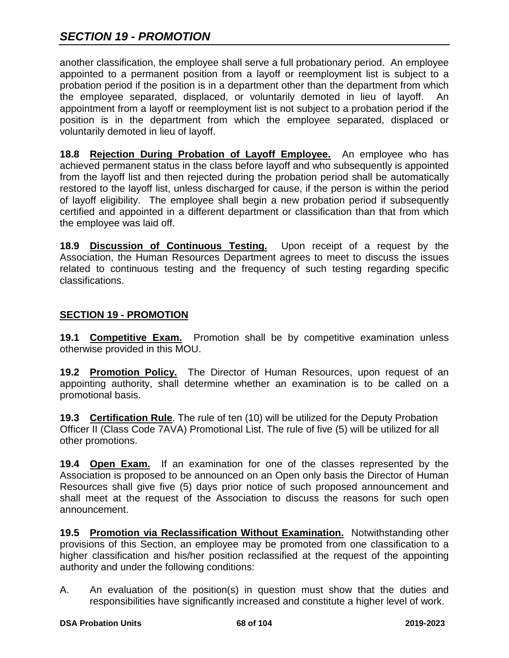another classification, the employee shall serve a full probationary period. An employee appointed to a permanent position from a layoff or reemployment list is subject to a probation period if the position is in a department other than the department from which the employee separated, displaced, or voluntarily demoted in lieu of layoff. An appointment from a layoff or reemployment list is not subject to a probation period if the position is in the department from which the employee separated, displaced or voluntarily demoted in lieu of layoff.

**18.8 Rejection During Probation of Layoff Employee.** An employee who has achieved permanent status in the class before layoff and who subsequently is appointed from the layoff list and then rejected during the probation period shall be automatically restored to the layoff list, unless discharged for cause, if the person is within the period of layoff eligibility. The employee shall begin a new probation period if subsequently certified and appointed in a different department or classification than that from which the employee was laid off.

**18.9 Discussion of Continuous Testing.** Upon receipt of a request by the Association, the Human Resources Department agrees to meet to discuss the issues related to continuous testing and the frequency of such testing regarding specific classifications.

### **SECTION 19 - PROMOTION**

19.1 **Competitive Exam.** Promotion shall be by competitive examination unless otherwise provided in this MOU.

**19.2 Promotion Policy.** The Director of Human Resources, upon request of an appointing authority, shall determine whether an examination is to be called on a promotional basis.

**19.3 Certification Rule**. The rule of ten (10) will be utilized for the Deputy Probation Officer II (Class Code 7AVA) Promotional List. The rule of five (5) will be utilized for all other promotions.

**19.4 Open Exam.** If an examination for one of the classes represented by the Association is proposed to be announced on an Open only basis the Director of Human Resources shall give five (5) days prior notice of such proposed announcement and shall meet at the request of the Association to discuss the reasons for such open announcement.

**19.5 Promotion via Reclassification Without Examination.** Notwithstanding other provisions of this Section, an employee may be promoted from one classification to a higher classification and his/her position reclassified at the request of the appointing authority and under the following conditions:

A. An evaluation of the position(s) in question must show that the duties and responsibilities have significantly increased and constitute a higher level of work.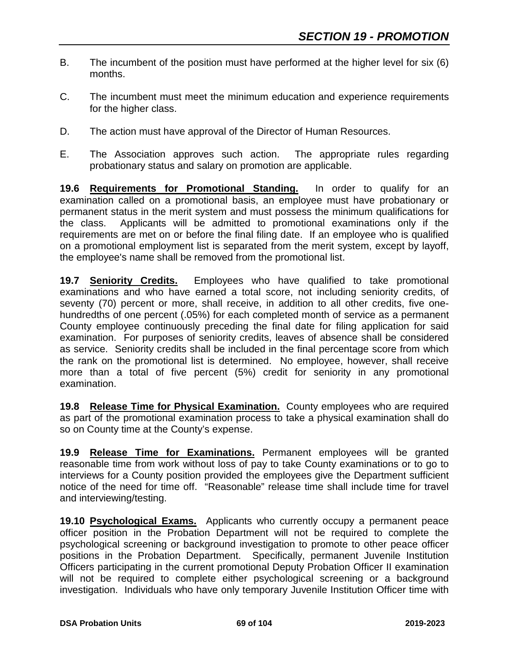- B. The incumbent of the position must have performed at the higher level for six (6) months.
- C. The incumbent must meet the minimum education and experience requirements for the higher class.
- D. The action must have approval of the Director of Human Resources.
- E. The Association approves such action. The appropriate rules regarding probationary status and salary on promotion are applicable.

**19.6 Requirements for Promotional Standing.** In order to qualify for an examination called on a promotional basis, an employee must have probationary or permanent status in the merit system and must possess the minimum qualifications for the class. Applicants will be admitted to promotional examinations only if the requirements are met on or before the final filing date. If an employee who is qualified on a promotional employment list is separated from the merit system, except by layoff, the employee's name shall be removed from the promotional list.

**19.7 Seniority Credits.** Employees who have qualified to take promotional examinations and who have earned a total score, not including seniority credits, of seventy (70) percent or more, shall receive, in addition to all other credits, five onehundredths of one percent (.05%) for each completed month of service as a permanent County employee continuously preceding the final date for filing application for said examination. For purposes of seniority credits, leaves of absence shall be considered as service. Seniority credits shall be included in the final percentage score from which the rank on the promotional list is determined. No employee, however, shall receive more than a total of five percent (5%) credit for seniority in any promotional examination.

**19.8 Release Time for Physical Examination.** County employees who are required as part of the promotional examination process to take a physical examination shall do so on County time at the County's expense.

**19.9 Release Time for Examinations.** Permanent employees will be granted reasonable time from work without loss of pay to take County examinations or to go to interviews for a County position provided the employees give the Department sufficient notice of the need for time off. "Reasonable" release time shall include time for travel and interviewing/testing.

**19.10 Psychological Exams.** Applicants who currently occupy a permanent peace officer position in the Probation Department will not be required to complete the psychological screening or background investigation to promote to other peace officer positions in the Probation Department. Specifically, permanent Juvenile Institution Officers participating in the current promotional Deputy Probation Officer II examination will not be required to complete either psychological screening or a background investigation. Individuals who have only temporary Juvenile Institution Officer time with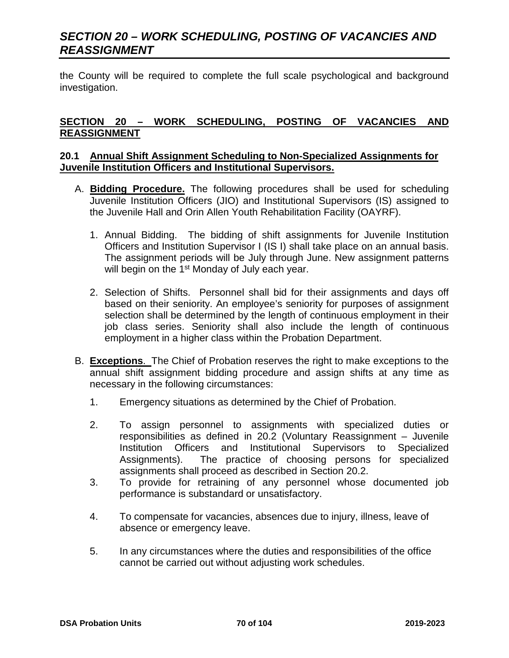the County will be required to complete the full scale psychological and background investigation.

### **SECTION 20 – WORK SCHEDULING, POSTING OF VACANCIES AND REASSIGNMENT**

#### **20.1 Annual Shift Assignment Scheduling to Non-Specialized Assignments for Juvenile Institution Officers and Institutional Supervisors.**

- A. **Bidding Procedure.** The following procedures shall be used for scheduling Juvenile Institution Officers (JIO) and Institutional Supervisors (IS) assigned to the Juvenile Hall and Orin Allen Youth Rehabilitation Facility (OAYRF).
	- 1. Annual Bidding. The bidding of shift assignments for Juvenile Institution Officers and Institution Supervisor I (IS I) shall take place on an annual basis. The assignment periods will be July through June. New assignment patterns will begin on the 1<sup>st</sup> Monday of July each year.
	- 2. Selection of Shifts. Personnel shall bid for their assignments and days off based on their seniority. An employee's seniority for purposes of assignment selection shall be determined by the length of continuous employment in their job class series. Seniority shall also include the length of continuous employment in a higher class within the Probation Department.
- B. **Exceptions**. The Chief of Probation reserves the right to make exceptions to the annual shift assignment bidding procedure and assign shifts at any time as necessary in the following circumstances:
	- 1. Emergency situations as determined by the Chief of Probation.
	- 2. To assign personnel to assignments with specialized duties or responsibilities as defined in 20.2 (Voluntary Reassignment – Juvenile Institution Officers and Institutional Supervisors to Specialized Assignments). The practice of choosing persons for specialized assignments shall proceed as described in Section 20.2.
	- 3. To provide for retraining of any personnel whose documented job performance is substandard or unsatisfactory.
	- 4. To compensate for vacancies, absences due to injury, illness, leave of absence or emergency leave.
	- 5. In any circumstances where the duties and responsibilities of the office cannot be carried out without adjusting work schedules.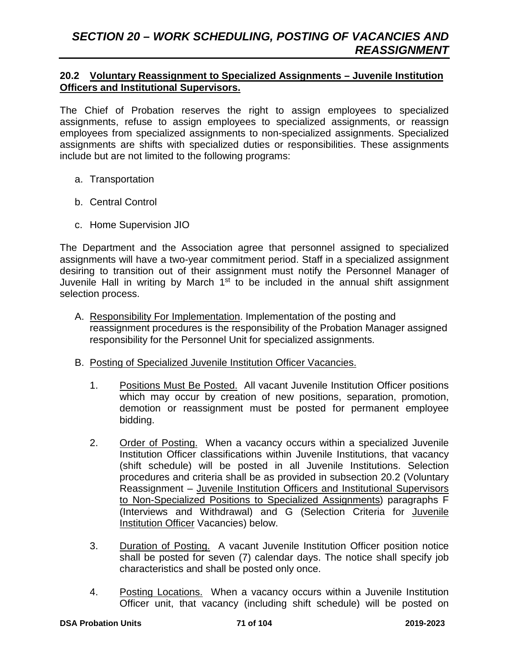### **20.2 Voluntary Reassignment to Specialized Assignments – Juvenile Institution Officers and Institutional Supervisors.**

The Chief of Probation reserves the right to assign employees to specialized assignments, refuse to assign employees to specialized assignments, or reassign employees from specialized assignments to non-specialized assignments. Specialized assignments are shifts with specialized duties or responsibilities. These assignments include but are not limited to the following programs:

- a. Transportation
- b. Central Control
- c. Home Supervision JIO

The Department and the Association agree that personnel assigned to specialized assignments will have a two-year commitment period. Staff in a specialized assignment desiring to transition out of their assignment must notify the Personnel Manager of Juvenile Hall in writing by March 1<sup>st</sup> to be included in the annual shift assignment selection process.

- A. Responsibility For Implementation. Implementation of the posting and reassignment procedures is the responsibility of the Probation Manager assigned responsibility for the Personnel Unit for specialized assignments.
- B. Posting of Specialized Juvenile Institution Officer Vacancies.
	- 1. Positions Must Be Posted. All vacant Juvenile Institution Officer positions which may occur by creation of new positions, separation, promotion, demotion or reassignment must be posted for permanent employee bidding.
	- 2. Order of Posting. When a vacancy occurs within a specialized Juvenile Institution Officer classifications within Juvenile Institutions, that vacancy (shift schedule) will be posted in all Juvenile Institutions. Selection procedures and criteria shall be as provided in subsection 20.2 (Voluntary Reassignment – Juvenile Institution Officers and Institutional Supervisors to Non-Specialized Positions to Specialized Assignments) paragraphs F (Interviews and Withdrawal) and G (Selection Criteria for Juvenile Institution Officer Vacancies) below.
	- 3. Duration of Posting. A vacant Juvenile Institution Officer position notice shall be posted for seven (7) calendar days. The notice shall specify job characteristics and shall be posted only once.
	- 4. Posting Locations. When a vacancy occurs within a Juvenile Institution Officer unit, that vacancy (including shift schedule) will be posted on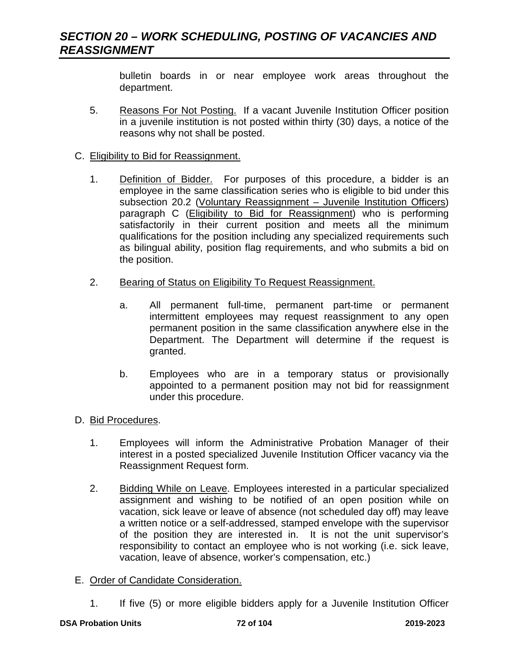bulletin boards in or near employee work areas throughout the department.

5. Reasons For Not Posting. If a vacant Juvenile Institution Officer position in a juvenile institution is not posted within thirty (30) days, a notice of the reasons why not shall be posted.

### C. Eligibility to Bid for Reassignment.

- 1. Definition of Bidder. For purposes of this procedure, a bidder is an employee in the same classification series who is eligible to bid under this subsection 20.2 (Voluntary Reassignment – Juvenile Institution Officers) paragraph C (Eligibility to Bid for Reassignment) who is performing satisfactorily in their current position and meets all the minimum qualifications for the position including any specialized requirements such as bilingual ability, position flag requirements, and who submits a bid on the position.
- 2. Bearing of Status on Eligibility To Request Reassignment.
	- a. All permanent full-time, permanent part-time or permanent intermittent employees may request reassignment to any open permanent position in the same classification anywhere else in the Department. The Department will determine if the request is granted.
	- b. Employees who are in a temporary status or provisionally appointed to a permanent position may not bid for reassignment under this procedure.
- D. Bid Procedures.
	- 1. Employees will inform the Administrative Probation Manager of their interest in a posted specialized Juvenile Institution Officer vacancy via the Reassignment Request form.
	- 2. Bidding While on Leave. Employees interested in a particular specialized assignment and wishing to be notified of an open position while on vacation, sick leave or leave of absence (not scheduled day off) may leave a written notice or a self-addressed, stamped envelope with the supervisor of the position they are interested in. It is not the unit supervisor's responsibility to contact an employee who is not working (i.e. sick leave, vacation, leave of absence, worker's compensation, etc.)
- E. Order of Candidate Consideration.
	- 1. If five (5) or more eligible bidders apply for a Juvenile Institution Officer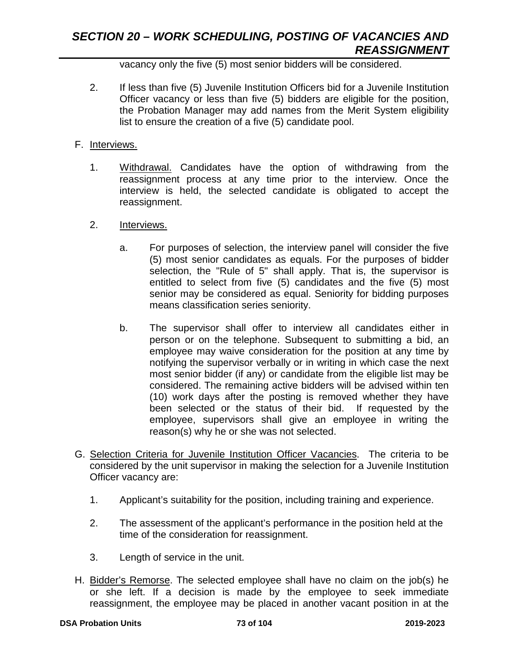vacancy only the five (5) most senior bidders will be considered.

- 2. If less than five (5) Juvenile Institution Officers bid for a Juvenile Institution Officer vacancy or less than five (5) bidders are eligible for the position, the Probation Manager may add names from the Merit System eligibility list to ensure the creation of a five (5) candidate pool.
- F. Interviews.
	- 1. Withdrawal. Candidates have the option of withdrawing from the reassignment process at any time prior to the interview. Once the interview is held, the selected candidate is obligated to accept the reassignment.
	- 2. Interviews.
		- a. For purposes of selection, the interview panel will consider the five (5) most senior candidates as equals. For the purposes of bidder selection, the "Rule of 5" shall apply. That is, the supervisor is entitled to select from five (5) candidates and the five (5) most senior may be considered as equal. Seniority for bidding purposes means classification series seniority.
		- b. The supervisor shall offer to interview all candidates either in person or on the telephone. Subsequent to submitting a bid, an employee may waive consideration for the position at any time by notifying the supervisor verbally or in writing in which case the next most senior bidder (if any) or candidate from the eligible list may be considered. The remaining active bidders will be advised within ten (10) work days after the posting is removed whether they have been selected or the status of their bid. If requested by the employee, supervisors shall give an employee in writing the reason(s) why he or she was not selected.
- G. Selection Criteria for Juvenile Institution Officer Vacancies. The criteria to be considered by the unit supervisor in making the selection for a Juvenile Institution Officer vacancy are:
	- 1. Applicant's suitability for the position, including training and experience.
	- 2. The assessment of the applicant's performance in the position held at the time of the consideration for reassignment.
	- 3. Length of service in the unit.
- H. Bidder's Remorse. The selected employee shall have no claim on the job(s) he or she left. If a decision is made by the employee to seek immediate reassignment, the employee may be placed in another vacant position in at the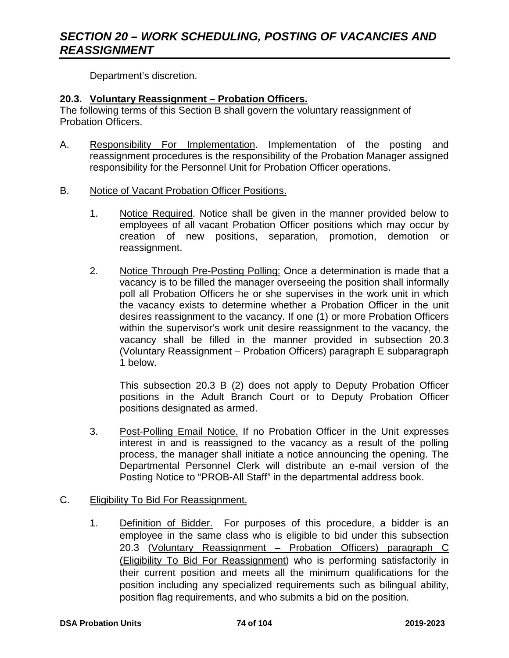Department's discretion.

#### **20.3. Voluntary Reassignment – Probation Officers.**

The following terms of this Section B shall govern the voluntary reassignment of Probation Officers.

- A. Responsibility For Implementation. Implementation of the posting and reassignment procedures is the responsibility of the Probation Manager assigned responsibility for the Personnel Unit for Probation Officer operations.
- B. Notice of Vacant Probation Officer Positions.
	- 1. Notice Required. Notice shall be given in the manner provided below to employees of all vacant Probation Officer positions which may occur by creation of new positions, separation, promotion, demotion or reassignment.
	- 2. Notice Through Pre-Posting Polling: Once a determination is made that a vacancy is to be filled the manager overseeing the position shall informally poll all Probation Officers he or she supervises in the work unit in which the vacancy exists to determine whether a Probation Officer in the unit desires reassignment to the vacancy. If one (1) or more Probation Officers within the supervisor's work unit desire reassignment to the vacancy, the vacancy shall be filled in the manner provided in subsection 20.3 (Voluntary Reassignment – Probation Officers) paragraph E subparagraph 1 below.

This subsection 20.3 B (2) does not apply to Deputy Probation Officer positions in the Adult Branch Court or to Deputy Probation Officer positions designated as armed.

3. Post-Polling Email Notice. If no Probation Officer in the Unit expresses interest in and is reassigned to the vacancy as a result of the polling process, the manager shall initiate a notice announcing the opening. The Departmental Personnel Clerk will distribute an e-mail version of the Posting Notice to "PROB-All Staff" in the departmental address book.

### C. Eligibility To Bid For Reassignment.

1. Definition of Bidder. For purposes of this procedure, a bidder is an employee in the same class who is eligible to bid under this subsection 20.3 (Voluntary Reassignment – Probation Officers) paragraph C (Eligibility To Bid For Reassignment) who is performing satisfactorily in their current position and meets all the minimum qualifications for the position including any specialized requirements such as bilingual ability, position flag requirements, and who submits a bid on the position.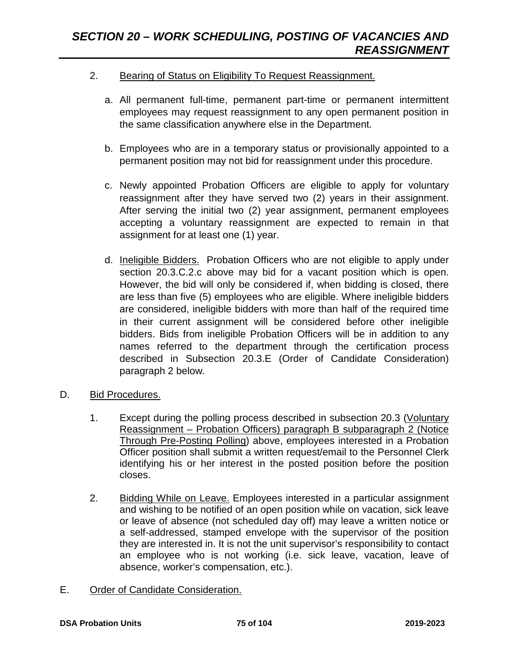### 2. Bearing of Status on Eligibility To Request Reassignment.

- a. All permanent full-time, permanent part-time or permanent intermittent employees may request reassignment to any open permanent position in the same classification anywhere else in the Department.
- b. Employees who are in a temporary status or provisionally appointed to a permanent position may not bid for reassignment under this procedure.
- c. Newly appointed Probation Officers are eligible to apply for voluntary reassignment after they have served two (2) years in their assignment. After serving the initial two (2) year assignment, permanent employees accepting a voluntary reassignment are expected to remain in that assignment for at least one (1) year.
- d. Ineligible Bidders. Probation Officers who are not eligible to apply under section 20.3.C.2.c above may bid for a vacant position which is open. However, the bid will only be considered if, when bidding is closed, there are less than five (5) employees who are eligible. Where ineligible bidders are considered, ineligible bidders with more than half of the required time in their current assignment will be considered before other ineligible bidders. Bids from ineligible Probation Officers will be in addition to any names referred to the department through the certification process described in Subsection 20.3.E (Order of Candidate Consideration) paragraph 2 below.
- D. Bid Procedures.
	- 1. Except during the polling process described in subsection 20.3 (Voluntary Reassignment – Probation Officers) paragraph B subparagraph 2 (Notice Through Pre-Posting Polling) above, employees interested in a Probation Officer position shall submit a written request/email to the Personnel Clerk identifying his or her interest in the posted position before the position closes.
	- 2. Bidding While on Leave. Employees interested in a particular assignment and wishing to be notified of an open position while on vacation, sick leave or leave of absence (not scheduled day off) may leave a written notice or a self-addressed, stamped envelope with the supervisor of the position they are interested in. It is not the unit supervisor's responsibility to contact an employee who is not working (i.e. sick leave, vacation, leave of absence, worker's compensation, etc.).
- E. Order of Candidate Consideration.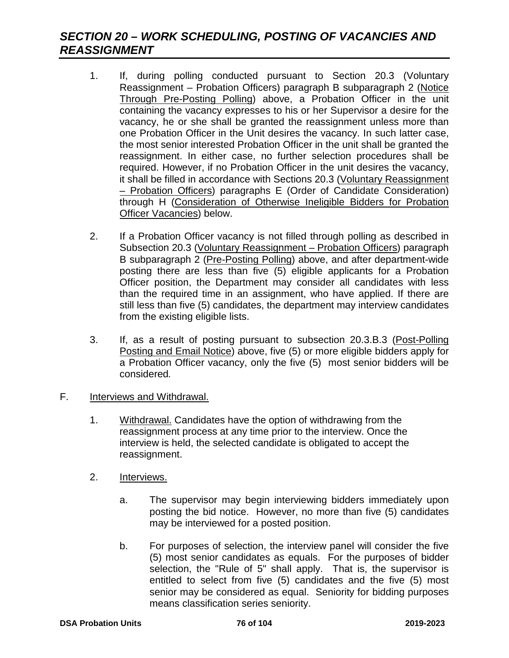- 1. If, during polling conducted pursuant to Section 20.3 (Voluntary Reassignment – Probation Officers) paragraph B subparagraph 2 (Notice Through Pre-Posting Polling) above, a Probation Officer in the unit containing the vacancy expresses to his or her Supervisor a desire for the vacancy, he or she shall be granted the reassignment unless more than one Probation Officer in the Unit desires the vacancy. In such latter case, the most senior interested Probation Officer in the unit shall be granted the reassignment. In either case, no further selection procedures shall be required. However, if no Probation Officer in the unit desires the vacancy, it shall be filled in accordance with Sections 20.3 (Voluntary Reassignment – Probation Officers) paragraphs E (Order of Candidate Consideration) through H (Consideration of Otherwise Ineligible Bidders for Probation Officer Vacancies) below.
- 2. If a Probation Officer vacancy is not filled through polling as described in Subsection 20.3 (Voluntary Reassignment – Probation Officers) paragraph B subparagraph 2 (Pre-Posting Polling) above, and after department-wide posting there are less than five (5) eligible applicants for a Probation Officer position, the Department may consider all candidates with less than the required time in an assignment, who have applied. If there are still less than five (5) candidates, the department may interview candidates from the existing eligible lists.
- 3. If, as a result of posting pursuant to subsection 20.3.B.3 (Post-Polling Posting and Email Notice) above, five (5) or more eligible bidders apply for a Probation Officer vacancy, only the five (5) most senior bidders will be considered*.*
- F. **Interviews and Withdrawal.** 
	- 1. Withdrawal. Candidates have the option of withdrawing from the reassignment process at any time prior to the interview. Once the interview is held, the selected candidate is obligated to accept the reassignment.
	- 2. Interviews.
		- a. The supervisor may begin interviewing bidders immediately upon posting the bid notice. However, no more than five (5) candidates may be interviewed for a posted position.
		- b. For purposes of selection, the interview panel will consider the five (5) most senior candidates as equals. For the purposes of bidder selection, the "Rule of 5" shall apply. That is, the supervisor is entitled to select from five (5) candidates and the five (5) most senior may be considered as equal. Seniority for bidding purposes means classification series seniority.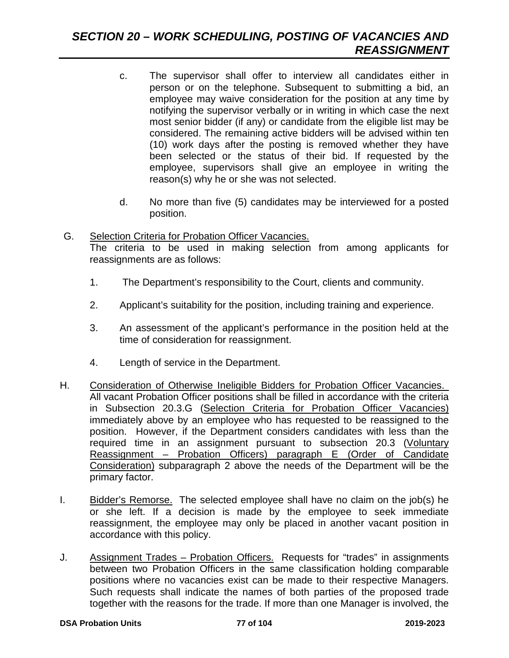- c. The supervisor shall offer to interview all candidates either in person or on the telephone. Subsequent to submitting a bid, an employee may waive consideration for the position at any time by notifying the supervisor verbally or in writing in which case the next most senior bidder (if any) or candidate from the eligible list may be considered. The remaining active bidders will be advised within ten (10) work days after the posting is removed whether they have been selected or the status of their bid. If requested by the employee, supervisors shall give an employee in writing the reason(s) why he or she was not selected.
- d. No more than five (5) candidates may be interviewed for a posted position.
- G. Selection Criteria for Probation Officer Vacancies. The criteria to be used in making selection from among applicants for reassignments are as follows:
	- 1. The Department's responsibility to the Court, clients and community.
	- 2. Applicant's suitability for the position, including training and experience.
	- 3. An assessment of the applicant's performance in the position held at the time of consideration for reassignment.
	- 4. Length of service in the Department.
- H. Consideration of Otherwise Ineligible Bidders for Probation Officer Vacancies. All vacant Probation Officer positions shall be filled in accordance with the criteria in Subsection 20.3.G (Selection Criteria for Probation Officer Vacancies) immediately above by an employee who has requested to be reassigned to the position. However, if the Department considers candidates with less than the required time in an assignment pursuant to subsection 20.3 (Voluntary Reassignment – Probation Officers) paragraph E (Order of Candidate Consideration) subparagraph 2 above the needs of the Department will be the primary factor.
- I. Bidder's Remorse. The selected employee shall have no claim on the job(s) he or she left. If a decision is made by the employee to seek immediate reassignment, the employee may only be placed in another vacant position in accordance with this policy.
- J. Assignment Trades Probation Officers. Requests for "trades" in assignments between two Probation Officers in the same classification holding comparable positions where no vacancies exist can be made to their respective Managers. Such requests shall indicate the names of both parties of the proposed trade together with the reasons for the trade. If more than one Manager is involved, the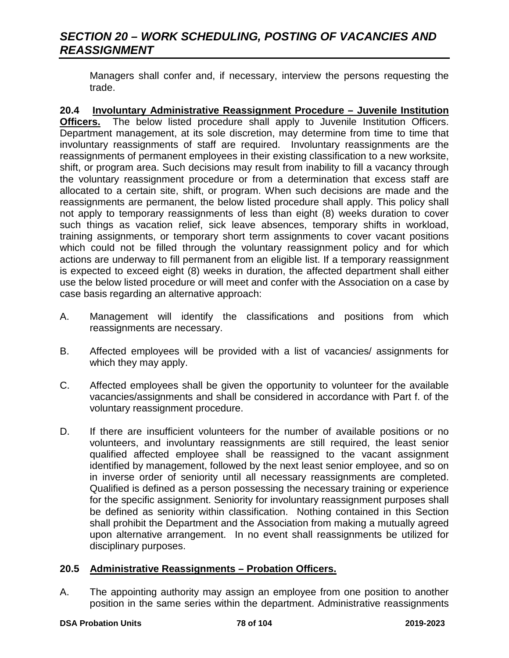Managers shall confer and, if necessary, interview the persons requesting the trade.

**20.4 Involuntary Administrative Reassignment Procedure – Juvenile Institution Officers.** The below listed procedure shall apply to Juvenile Institution Officers. Department management, at its sole discretion, may determine from time to time that involuntary reassignments of staff are required. Involuntary reassignments are the reassignments of permanent employees in their existing classification to a new worksite, shift, or program area. Such decisions may result from inability to fill a vacancy through the voluntary reassignment procedure or from a determination that excess staff are allocated to a certain site, shift, or program. When such decisions are made and the reassignments are permanent, the below listed procedure shall apply. This policy shall not apply to temporary reassignments of less than eight (8) weeks duration to cover such things as vacation relief, sick leave absences, temporary shifts in workload, training assignments, or temporary short term assignments to cover vacant positions which could not be filled through the voluntary reassignment policy and for which actions are underway to fill permanent from an eligible list. If a temporary reassignment is expected to exceed eight (8) weeks in duration, the affected department shall either use the below listed procedure or will meet and confer with the Association on a case by case basis regarding an alternative approach:

- A. Management will identify the classifications and positions from which reassignments are necessary.
- B. Affected employees will be provided with a list of vacancies/ assignments for which they may apply.
- C. Affected employees shall be given the opportunity to volunteer for the available vacancies/assignments and shall be considered in accordance with Part f. of the voluntary reassignment procedure.
- D. If there are insufficient volunteers for the number of available positions or no volunteers, and involuntary reassignments are still required, the least senior qualified affected employee shall be reassigned to the vacant assignment identified by management, followed by the next least senior employee, and so on in inverse order of seniority until all necessary reassignments are completed. Qualified is defined as a person possessing the necessary training or experience for the specific assignment. Seniority for involuntary reassignment purposes shall be defined as seniority within classification. Nothing contained in this Section shall prohibit the Department and the Association from making a mutually agreed upon alternative arrangement. In no event shall reassignments be utilized for disciplinary purposes.

### **20.5 Administrative Reassignments – Probation Officers.**

A. The appointing authority may assign an employee from one position to another position in the same series within the department. Administrative reassignments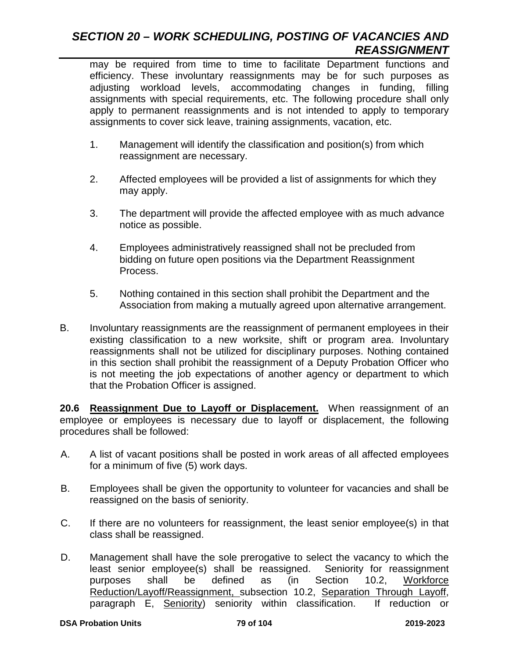may be required from time to time to facilitate Department functions and efficiency. These involuntary reassignments may be for such purposes as adjusting workload levels, accommodating changes in funding, filling assignments with special requirements, etc. The following procedure shall only apply to permanent reassignments and is not intended to apply to temporary assignments to cover sick leave, training assignments, vacation, etc.

- 1. Management will identify the classification and position(s) from which reassignment are necessary.
- 2. Affected employees will be provided a list of assignments for which they may apply.
- 3. The department will provide the affected employee with as much advance notice as possible.
- 4. Employees administratively reassigned shall not be precluded from bidding on future open positions via the Department Reassignment Process.
- 5. Nothing contained in this section shall prohibit the Department and the Association from making a mutually agreed upon alternative arrangement.
- B. Involuntary reassignments are the reassignment of permanent employees in their existing classification to a new worksite, shift or program area. Involuntary reassignments shall not be utilized for disciplinary purposes. Nothing contained in this section shall prohibit the reassignment of a Deputy Probation Officer who is not meeting the job expectations of another agency or department to which that the Probation Officer is assigned.

**20.6 Reassignment Due to Layoff or Displacement.** When reassignment of an employee or employees is necessary due to layoff or displacement, the following procedures shall be followed:

- A. A list of vacant positions shall be posted in work areas of all affected employees for a minimum of five (5) work days.
- B. Employees shall be given the opportunity to volunteer for vacancies and shall be reassigned on the basis of seniority.
- C. If there are no volunteers for reassignment, the least senior employee(s) in that class shall be reassigned.
- D. Management shall have the sole prerogative to select the vacancy to which the least senior employee(s) shall be reassigned. Seniority for reassignment purposes shall be defined as (in Section 10.2, Workforce Reduction/Layoff/Reassignment, subsection 10.2, Separation Through Layoff, paragraph E, Seniority) seniority within classification. If reduction or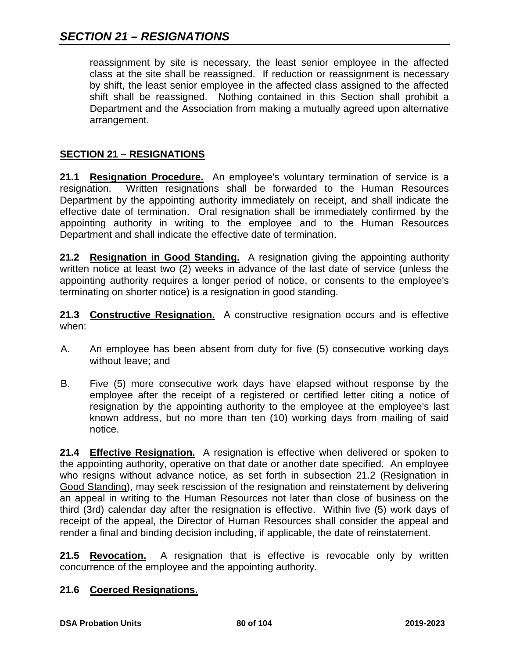reassignment by site is necessary, the least senior employee in the affected class at the site shall be reassigned. If reduction or reassignment is necessary by shift, the least senior employee in the affected class assigned to the affected shift shall be reassigned. Nothing contained in this Section shall prohibit a Department and the Association from making a mutually agreed upon alternative arrangement.

### **SECTION 21 – RESIGNATIONS**

**21.1 Resignation Procedure.** An employee's voluntary termination of service is a resignation. Written resignations shall be forwarded to the Human Resources Department by the appointing authority immediately on receipt, and shall indicate the effective date of termination. Oral resignation shall be immediately confirmed by the appointing authority in writing to the employee and to the Human Resources Department and shall indicate the effective date of termination.

**21.2 Resignation in Good Standing.** A resignation giving the appointing authority written notice at least two (2) weeks in advance of the last date of service (unless the appointing authority requires a longer period of notice, or consents to the employee's terminating on shorter notice) is a resignation in good standing.

**21.3 Constructive Resignation.** A constructive resignation occurs and is effective when:

- A. An employee has been absent from duty for five (5) consecutive working days without leave; and
- B. Five (5) more consecutive work days have elapsed without response by the employee after the receipt of a registered or certified letter citing a notice of resignation by the appointing authority to the employee at the employee's last known address, but no more than ten (10) working days from mailing of said notice.

**21.4 Effective Resignation.** A resignation is effective when delivered or spoken to the appointing authority, operative on that date or another date specified. An employee who resigns without advance notice, as set forth in subsection 21.2 (Resignation in Good Standing), may seek rescission of the resignation and reinstatement by delivering an appeal in writing to the Human Resources not later than close of business on the third (3rd) calendar day after the resignation is effective. Within five (5) work days of receipt of the appeal, the Director of Human Resources shall consider the appeal and render a final and binding decision including, if applicable, the date of reinstatement.

**21.5 Revocation.** A resignation that is effective is revocable only by written concurrence of the employee and the appointing authority.

### **21.6 Coerced Resignations.**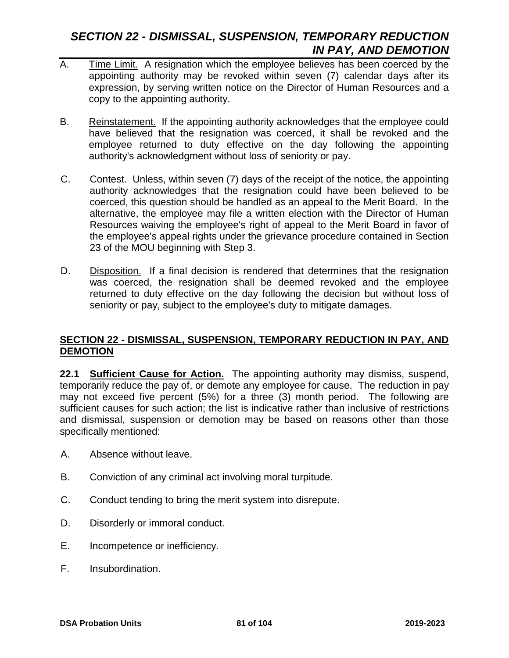# *SECTION 22 - DISMISSAL, SUSPENSION, TEMPORARY REDUCTION IN PAY, AND DEMOTION*

- A. Time Limit. A resignation which the employee believes has been coerced by the appointing authority may be revoked within seven (7) calendar days after its expression, by serving written notice on the Director of Human Resources and a copy to the appointing authority.
- B. Reinstatement. If the appointing authority acknowledges that the employee could have believed that the resignation was coerced, it shall be revoked and the employee returned to duty effective on the day following the appointing authority's acknowledgment without loss of seniority or pay.
- C. Contest. Unless, within seven (7) days of the receipt of the notice, the appointing authority acknowledges that the resignation could have been believed to be coerced, this question should be handled as an appeal to the Merit Board. In the alternative, the employee may file a written election with the Director of Human Resources waiving the employee's right of appeal to the Merit Board in favor of the employee's appeal rights under the grievance procedure contained in Section 23 of the MOU beginning with Step 3.
- D. Disposition. If a final decision is rendered that determines that the resignation was coerced, the resignation shall be deemed revoked and the employee returned to duty effective on the day following the decision but without loss of seniority or pay, subject to the employee's duty to mitigate damages.

### **SECTION 22 - DISMISSAL, SUSPENSION, TEMPORARY REDUCTION IN PAY, AND DEMOTION**

**22.1 Sufficient Cause for Action.** The appointing authority may dismiss, suspend, temporarily reduce the pay of, or demote any employee for cause. The reduction in pay may not exceed five percent (5%) for a three (3) month period. The following are sufficient causes for such action; the list is indicative rather than inclusive of restrictions and dismissal, suspension or demotion may be based on reasons other than those specifically mentioned:

- A. Absence without leave.
- B. Conviction of any criminal act involving moral turpitude.
- C. Conduct tending to bring the merit system into disrepute.
- D. Disorderly or immoral conduct.
- E. Incompetence or inefficiency.
- F. Insubordination.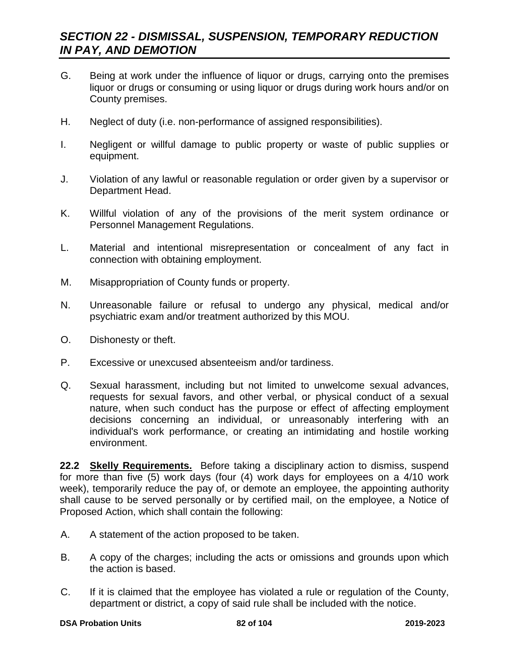## *SECTION 22 - DISMISSAL, SUSPENSION, TEMPORARY REDUCTION IN PAY, AND DEMOTION*

- G. Being at work under the influence of liquor or drugs, carrying onto the premises liquor or drugs or consuming or using liquor or drugs during work hours and/or on County premises.
- H. Neglect of duty (i.e. non-performance of assigned responsibilities).
- I. Negligent or willful damage to public property or waste of public supplies or equipment.
- J. Violation of any lawful or reasonable regulation or order given by a supervisor or Department Head.
- K. Willful violation of any of the provisions of the merit system ordinance or Personnel Management Regulations.
- L. Material and intentional misrepresentation or concealment of any fact in connection with obtaining employment.
- M. Misappropriation of County funds or property.
- N. Unreasonable failure or refusal to undergo any physical, medical and/or psychiatric exam and/or treatment authorized by this MOU.
- O. Dishonesty or theft.
- P. Excessive or unexcused absenteeism and/or tardiness.
- Q. Sexual harassment, including but not limited to unwelcome sexual advances, requests for sexual favors, and other verbal, or physical conduct of a sexual nature, when such conduct has the purpose or effect of affecting employment decisions concerning an individual, or unreasonably interfering with an individual's work performance, or creating an intimidating and hostile working environment.

**22.2 Skelly Requirements.** Before taking a disciplinary action to dismiss, suspend for more than five (5) work days (four (4) work days for employees on a 4/10 work week), temporarily reduce the pay of, or demote an employee, the appointing authority shall cause to be served personally or by certified mail, on the employee, a Notice of Proposed Action, which shall contain the following:

- A. A statement of the action proposed to be taken.
- B. A copy of the charges; including the acts or omissions and grounds upon which the action is based.
- C. If it is claimed that the employee has violated a rule or regulation of the County, department or district, a copy of said rule shall be included with the notice.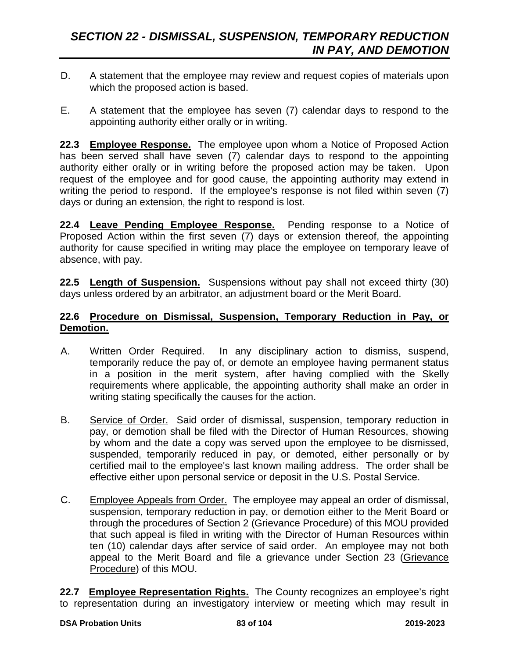- D. A statement that the employee may review and request copies of materials upon which the proposed action is based.
- E. A statement that the employee has seven (7) calendar days to respond to the appointing authority either orally or in writing.

**22.3 Employee Response.** The employee upon whom a Notice of Proposed Action has been served shall have seven (7) calendar days to respond to the appointing authority either orally or in writing before the proposed action may be taken. Upon request of the employee and for good cause, the appointing authority may extend in writing the period to respond. If the employee's response is not filed within seven (7) days or during an extension, the right to respond is lost.

**22.4 Leave Pending Employee Response.** Pending response to a Notice of Proposed Action within the first seven (7) days or extension thereof, the appointing authority for cause specified in writing may place the employee on temporary leave of absence, with pay.

**22.5 Length of Suspension.** Suspensions without pay shall not exceed thirty (30) days unless ordered by an arbitrator, an adjustment board or the Merit Board.

### **22.6 Procedure on Dismissal, Suspension, Temporary Reduction in Pay, or Demotion.**

- A. Written Order Required. In any disciplinary action to dismiss, suspend, temporarily reduce the pay of, or demote an employee having permanent status in a position in the merit system, after having complied with the Skelly requirements where applicable, the appointing authority shall make an order in writing stating specifically the causes for the action.
- B. Service of Order. Said order of dismissal, suspension, temporary reduction in pay, or demotion shall be filed with the Director of Human Resources, showing by whom and the date a copy was served upon the employee to be dismissed, suspended, temporarily reduced in pay, or demoted, either personally or by certified mail to the employee's last known mailing address. The order shall be effective either upon personal service or deposit in the U.S. Postal Service.
- C. Employee Appeals from Order. The employee may appeal an order of dismissal, suspension, temporary reduction in pay, or demotion either to the Merit Board or through the procedures of Section 2 (Grievance Procedure) of this MOU provided that such appeal is filed in writing with the Director of Human Resources within ten (10) calendar days after service of said order. An employee may not both appeal to the Merit Board and file a grievance under Section 23 (Grievance Procedure) of this MOU.

**22.7 Employee Representation Rights.** The County recognizes an employee's right to representation during an investigatory interview or meeting which may result in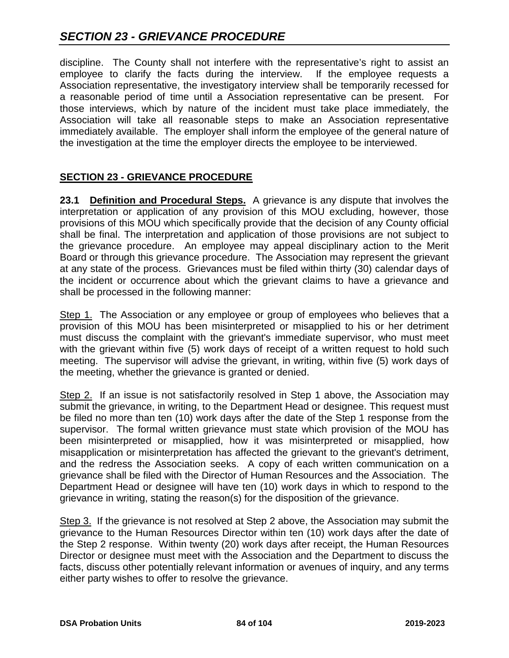discipline. The County shall not interfere with the representative's right to assist an employee to clarify the facts during the interview. If the employee requests a Association representative, the investigatory interview shall be temporarily recessed for a reasonable period of time until a Association representative can be present. For those interviews, which by nature of the incident must take place immediately, the Association will take all reasonable steps to make an Association representative immediately available. The employer shall inform the employee of the general nature of the investigation at the time the employer directs the employee to be interviewed.

### **SECTION 23 - GRIEVANCE PROCEDURE**

**23.1 Definition and Procedural Steps.** A grievance is any dispute that involves the interpretation or application of any provision of this MOU excluding, however, those provisions of this MOU which specifically provide that the decision of any County official shall be final. The interpretation and application of those provisions are not subject to the grievance procedure. An employee may appeal disciplinary action to the Merit Board or through this grievance procedure. The Association may represent the grievant at any state of the process. Grievances must be filed within thirty (30) calendar days of the incident or occurrence about which the grievant claims to have a grievance and shall be processed in the following manner:

Step 1. The Association or any employee or group of employees who believes that a provision of this MOU has been misinterpreted or misapplied to his or her detriment must discuss the complaint with the grievant's immediate supervisor, who must meet with the grievant within five (5) work days of receipt of a written request to hold such meeting. The supervisor will advise the grievant, in writing, within five (5) work days of the meeting, whether the grievance is granted or denied.

Step 2. If an issue is not satisfactorily resolved in Step 1 above, the Association may submit the grievance, in writing, to the Department Head or designee. This request must be filed no more than ten (10) work days after the date of the Step 1 response from the supervisor. The formal written grievance must state which provision of the MOU has been misinterpreted or misapplied, how it was misinterpreted or misapplied, how misapplication or misinterpretation has affected the grievant to the grievant's detriment, and the redress the Association seeks. A copy of each written communication on a grievance shall be filed with the Director of Human Resources and the Association. The Department Head or designee will have ten (10) work days in which to respond to the grievance in writing, stating the reason(s) for the disposition of the grievance.

Step 3. If the grievance is not resolved at Step 2 above, the Association may submit the grievance to the Human Resources Director within ten (10) work days after the date of the Step 2 response. Within twenty (20) work days after receipt, the Human Resources Director or designee must meet with the Association and the Department to discuss the facts, discuss other potentially relevant information or avenues of inquiry, and any terms either party wishes to offer to resolve the grievance.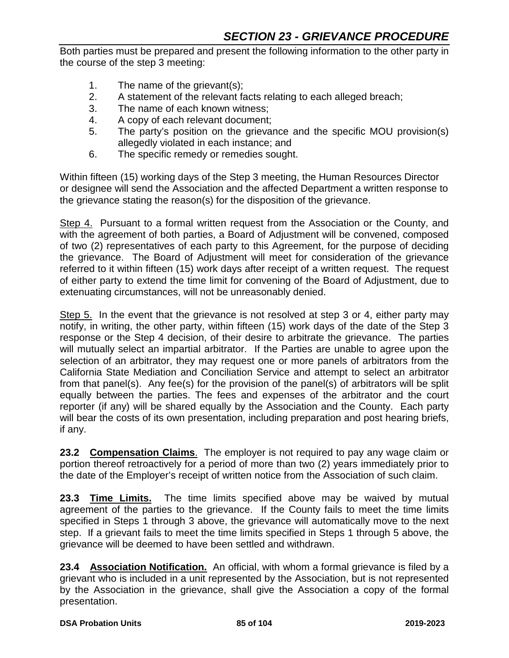Both parties must be prepared and present the following information to the other party in the course of the step 3 meeting:

- 1. The name of the grievant(s);
- 2. A statement of the relevant facts relating to each alleged breach;
- 3. The name of each known witness;
- 4. A copy of each relevant document;
- 5. The party's position on the grievance and the specific MOU provision(s) allegedly violated in each instance; and
- 6. The specific remedy or remedies sought.

Within fifteen (15) working days of the Step 3 meeting, the Human Resources Director or designee will send the Association and the affected Department a written response to the grievance stating the reason(s) for the disposition of the grievance.

Step 4. Pursuant to a formal written request from the Association or the County, and with the agreement of both parties, a Board of Adjustment will be convened, composed of two (2) representatives of each party to this Agreement, for the purpose of deciding the grievance. The Board of Adjustment will meet for consideration of the grievance referred to it within fifteen (15) work days after receipt of a written request. The request of either party to extend the time limit for convening of the Board of Adjustment, due to extenuating circumstances, will not be unreasonably denied.

Step 5. In the event that the grievance is not resolved at step 3 or 4, either party may notify, in writing, the other party, within fifteen (15) work days of the date of the Step 3 response or the Step 4 decision, of their desire to arbitrate the grievance. The parties will mutually select an impartial arbitrator. If the Parties are unable to agree upon the selection of an arbitrator, they may request one or more panels of arbitrators from the California State Mediation and Conciliation Service and attempt to select an arbitrator from that panel(s). Any fee(s) for the provision of the panel(s) of arbitrators will be split equally between the parties. The fees and expenses of the arbitrator and the court reporter (if any) will be shared equally by the Association and the County. Each party will bear the costs of its own presentation, including preparation and post hearing briefs, if any.

**23.2 Compensation Claims**. The employer is not required to pay any wage claim or portion thereof retroactively for a period of more than two (2) years immediately prior to the date of the Employer's receipt of written notice from the Association of such claim.

**23.3 Time Limits.** The time limits specified above may be waived by mutual agreement of the parties to the grievance. If the County fails to meet the time limits specified in Steps 1 through 3 above, the grievance will automatically move to the next step. If a grievant fails to meet the time limits specified in Steps 1 through 5 above, the grievance will be deemed to have been settled and withdrawn.

**23.4 Association Notification.** An official, with whom a formal grievance is filed by a grievant who is included in a unit represented by the Association, but is not represented by the Association in the grievance, shall give the Association a copy of the formal presentation.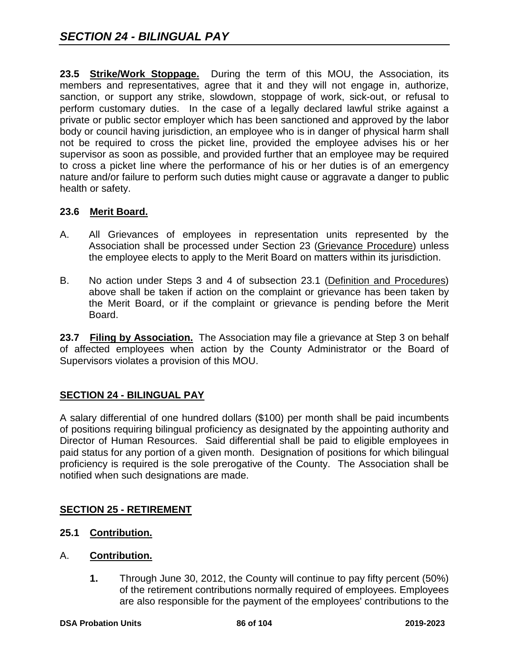**23.5 Strike/Work Stoppage.** During the term of this MOU, the Association, its members and representatives, agree that it and they will not engage in, authorize, sanction, or support any strike, slowdown, stoppage of work, sick-out, or refusal to perform customary duties. In the case of a legally declared lawful strike against a private or public sector employer which has been sanctioned and approved by the labor body or council having jurisdiction, an employee who is in danger of physical harm shall not be required to cross the picket line, provided the employee advises his or her supervisor as soon as possible, and provided further that an employee may be required to cross a picket line where the performance of his or her duties is of an emergency nature and/or failure to perform such duties might cause or aggravate a danger to public health or safety.

### **23.6 Merit Board.**

- A. All Grievances of employees in representation units represented by the Association shall be processed under Section 23 (Grievance Procedure) unless the employee elects to apply to the Merit Board on matters within its jurisdiction.
- B. No action under Steps 3 and 4 of subsection 23.1 (Definition and Procedures) above shall be taken if action on the complaint or grievance has been taken by the Merit Board, or if the complaint or grievance is pending before the Merit Board.

**23.7 Filing by Association.** The Association may file a grievance at Step 3 on behalf of affected employees when action by the County Administrator or the Board of Supervisors violates a provision of this MOU.

### **SECTION 24 - BILINGUAL PAY**

A salary differential of one hundred dollars (\$100) per month shall be paid incumbents of positions requiring bilingual proficiency as designated by the appointing authority and Director of Human Resources. Said differential shall be paid to eligible employees in paid status for any portion of a given month. Designation of positions for which bilingual proficiency is required is the sole prerogative of the County. The Association shall be notified when such designations are made.

### **SECTION 25 - RETIREMENT**

- **25.1 Contribution.**
- A. **Contribution.**
	- **1.** Through June 30, 2012, the County will continue to pay fifty percent (50%) of the retirement contributions normally required of employees. Employees are also responsible for the payment of the employees' contributions to the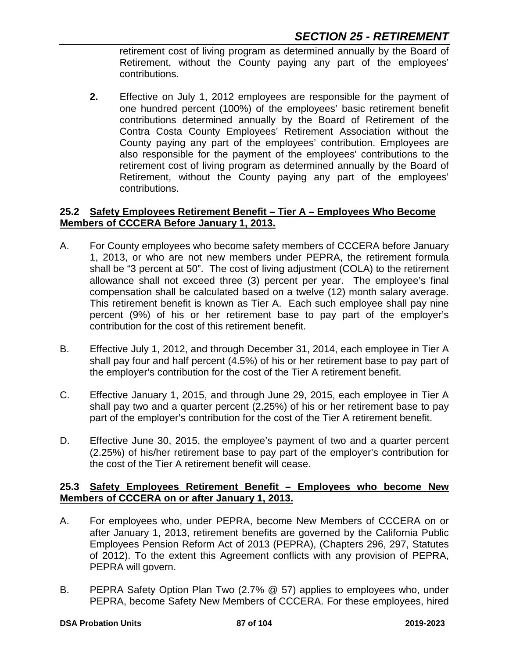retirement cost of living program as determined annually by the Board of Retirement, without the County paying any part of the employees' contributions.

**2.** Effective on July 1, 2012 employees are responsible for the payment of one hundred percent (100%) of the employees' basic retirement benefit contributions determined annually by the Board of Retirement of the Contra Costa County Employees' Retirement Association without the County paying any part of the employees' contribution. Employees are also responsible for the payment of the employees' contributions to the retirement cost of living program as determined annually by the Board of Retirement, without the County paying any part of the employees' contributions.

### **25.2 Safety Employees Retirement Benefit – Tier A – Employees Who Become Members of CCCERA Before January 1, 2013.**

- A. For County employees who become safety members of CCCERA before January 1, 2013, or who are not new members under PEPRA, the retirement formula shall be "3 percent at 50". The cost of living adjustment (COLA) to the retirement allowance shall not exceed three (3) percent per year. The employee's final compensation shall be calculated based on a twelve (12) month salary average. This retirement benefit is known as Tier A. Each such employee shall pay nine percent (9%) of his or her retirement base to pay part of the employer's contribution for the cost of this retirement benefit.
- B. Effective July 1, 2012, and through December 31, 2014, each employee in Tier A shall pay four and half percent (4.5%) of his or her retirement base to pay part of the employer's contribution for the cost of the Tier A retirement benefit.
- C. Effective January 1, 2015, and through June 29, 2015, each employee in Tier A shall pay two and a quarter percent (2.25%) of his or her retirement base to pay part of the employer's contribution for the cost of the Tier A retirement benefit.
- D. Effective June 30, 2015, the employee's payment of two and a quarter percent (2.25%) of his/her retirement base to pay part of the employer's contribution for the cost of the Tier A retirement benefit will cease.

### **25.3 Safety Employees Retirement Benefit – Employees who become New Members of CCCERA on or after January 1, 2013.**

- A. For employees who, under PEPRA, become New Members of CCCERA on or after January 1, 2013, retirement benefits are governed by the California Public Employees Pension Reform Act of 2013 (PEPRA), (Chapters 296, 297, Statutes of 2012). To the extent this Agreement conflicts with any provision of PEPRA, PEPRA will govern.
- B. PEPRA Safety Option Plan Two (2.7% @ 57) applies to employees who, under PEPRA, become Safety New Members of CCCERA. For these employees, hired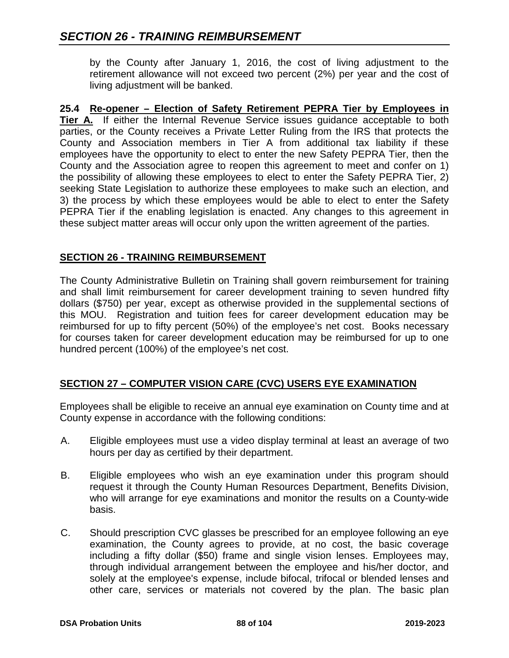by the County after January 1, 2016, the cost of living adjustment to the retirement allowance will not exceed two percent (2%) per year and the cost of living adjustment will be banked.

**25.4 Re-opener – Election of Safety Retirement PEPRA Tier by Employees in Tier A.** If either the Internal Revenue Service issues guidance acceptable to both parties, or the County receives a Private Letter Ruling from the IRS that protects the County and Association members in Tier A from additional tax liability if these employees have the opportunity to elect to enter the new Safety PEPRA Tier, then the County and the Association agree to reopen this agreement to meet and confer on 1) the possibility of allowing these employees to elect to enter the Safety PEPRA Tier, 2) seeking State Legislation to authorize these employees to make such an election, and 3) the process by which these employees would be able to elect to enter the Safety PEPRA Tier if the enabling legislation is enacted. Any changes to this agreement in these subject matter areas will occur only upon the written agreement of the parties.

### **SECTION 26 - TRAINING REIMBURSEMENT**

The County Administrative Bulletin on Training shall govern reimbursement for training and shall limit reimbursement for career development training to seven hundred fifty dollars (\$750) per year, except as otherwise provided in the supplemental sections of this MOU. Registration and tuition fees for career development education may be reimbursed for up to fifty percent (50%) of the employee's net cost. Books necessary for courses taken for career development education may be reimbursed for up to one hundred percent (100%) of the employee's net cost.

### **SECTION 27 – COMPUTER VISION CARE (CVC) USERS EYE EXAMINATION**

Employees shall be eligible to receive an annual eye examination on County time and at County expense in accordance with the following conditions:

- A. Eligible employees must use a video display terminal at least an average of two hours per day as certified by their department.
- B. Eligible employees who wish an eye examination under this program should request it through the County Human Resources Department, Benefits Division, who will arrange for eye examinations and monitor the results on a County-wide basis.
- C. Should prescription CVC glasses be prescribed for an employee following an eye examination, the County agrees to provide, at no cost, the basic coverage including a fifty dollar (\$50) frame and single vision lenses. Employees may, through individual arrangement between the employee and his/her doctor, and solely at the employee's expense, include bifocal, trifocal or blended lenses and other care, services or materials not covered by the plan. The basic plan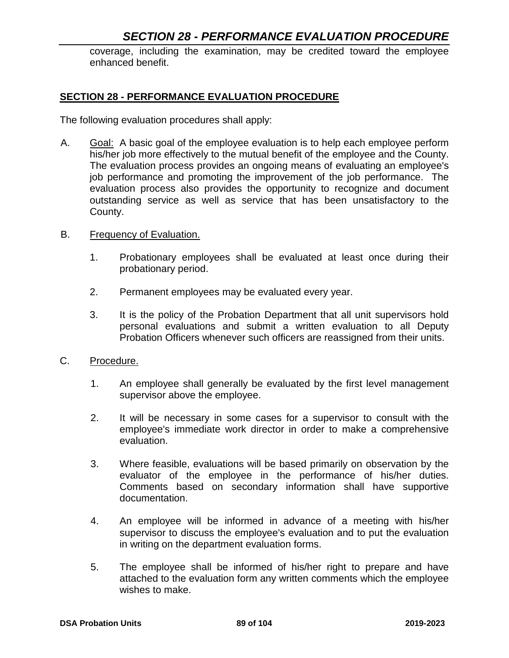## *SECTION 28 - PERFORMANCE EVALUATION PROCEDURE*

coverage, including the examination, may be credited toward the employee enhanced benefit.

#### **SECTION 28 - PERFORMANCE EVALUATION PROCEDURE**

The following evaluation procedures shall apply:

- A. Goal: A basic goal of the employee evaluation is to help each employee perform his/her job more effectively to the mutual benefit of the employee and the County. The evaluation process provides an ongoing means of evaluating an employee's job performance and promoting the improvement of the job performance. The evaluation process also provides the opportunity to recognize and document outstanding service as well as service that has been unsatisfactory to the County.
- B. Frequency of Evaluation.
	- 1. Probationary employees shall be evaluated at least once during their probationary period.
	- 2. Permanent employees may be evaluated every year.
	- 3. It is the policy of the Probation Department that all unit supervisors hold personal evaluations and submit a written evaluation to all Deputy Probation Officers whenever such officers are reassigned from their units.
- C. Procedure.
	- 1. An employee shall generally be evaluated by the first level management supervisor above the employee.
	- 2. It will be necessary in some cases for a supervisor to consult with the employee's immediate work director in order to make a comprehensive evaluation.
	- 3. Where feasible, evaluations will be based primarily on observation by the evaluator of the employee in the performance of his/her duties. Comments based on secondary information shall have supportive documentation.
	- 4. An employee will be informed in advance of a meeting with his/her supervisor to discuss the employee's evaluation and to put the evaluation in writing on the department evaluation forms.
	- 5. The employee shall be informed of his/her right to prepare and have attached to the evaluation form any written comments which the employee wishes to make.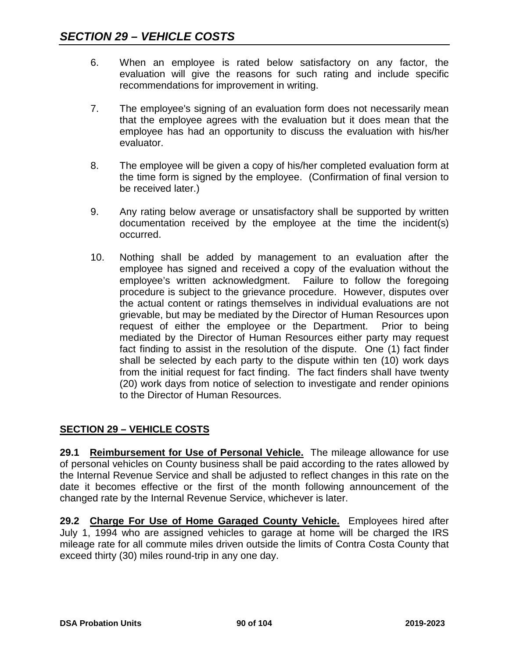- 6. When an employee is rated below satisfactory on any factor, the evaluation will give the reasons for such rating and include specific recommendations for improvement in writing.
- 7. The employee's signing of an evaluation form does not necessarily mean that the employee agrees with the evaluation but it does mean that the employee has had an opportunity to discuss the evaluation with his/her evaluator.
- 8. The employee will be given a copy of his/her completed evaluation form at the time form is signed by the employee. (Confirmation of final version to be received later.)
- 9. Any rating below average or unsatisfactory shall be supported by written documentation received by the employee at the time the incident(s) occurred.
- 10. Nothing shall be added by management to an evaluation after the employee has signed and received a copy of the evaluation without the employee's written acknowledgment. Failure to follow the foregoing procedure is subject to the grievance procedure. However, disputes over the actual content or ratings themselves in individual evaluations are not grievable, but may be mediated by the Director of Human Resources upon request of either the employee or the Department. Prior to being mediated by the Director of Human Resources either party may request fact finding to assist in the resolution of the dispute. One (1) fact finder shall be selected by each party to the dispute within ten (10) work days from the initial request for fact finding. The fact finders shall have twenty (20) work days from notice of selection to investigate and render opinions to the Director of Human Resources.

## **SECTION 29 – VEHICLE COSTS**

**29.1 Reimbursement for Use of Personal Vehicle.** The mileage allowance for use of personal vehicles on County business shall be paid according to the rates allowed by the Internal Revenue Service and shall be adjusted to reflect changes in this rate on the date it becomes effective or the first of the month following announcement of the changed rate by the Internal Revenue Service, whichever is later.

**29.2 Charge For Use of Home Garaged County Vehicle.** Employees hired after July 1, 1994 who are assigned vehicles to garage at home will be charged the IRS mileage rate for all commute miles driven outside the limits of Contra Costa County that exceed thirty (30) miles round-trip in any one day.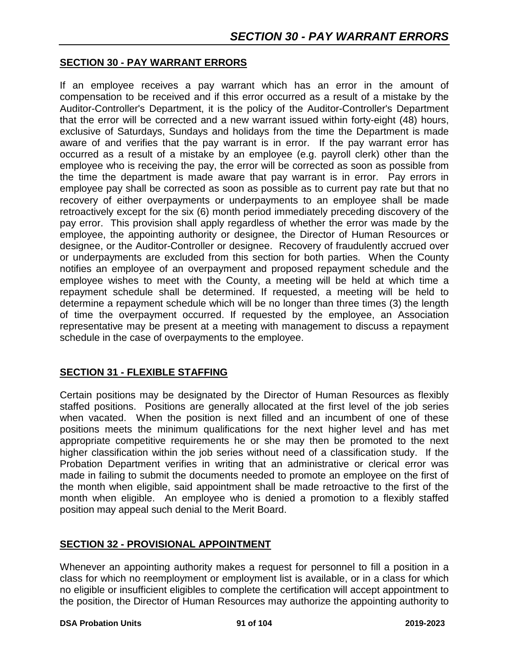#### **SECTION 30 - PAY WARRANT ERRORS**

If an employee receives a pay warrant which has an error in the amount of compensation to be received and if this error occurred as a result of a mistake by the Auditor-Controller's Department, it is the policy of the Auditor-Controller's Department that the error will be corrected and a new warrant issued within forty-eight (48) hours, exclusive of Saturdays, Sundays and holidays from the time the Department is made aware of and verifies that the pay warrant is in error. If the pay warrant error has occurred as a result of a mistake by an employee (e.g. payroll clerk) other than the employee who is receiving the pay, the error will be corrected as soon as possible from the time the department is made aware that pay warrant is in error. Pay errors in employee pay shall be corrected as soon as possible as to current pay rate but that no recovery of either overpayments or underpayments to an employee shall be made retroactively except for the six (6) month period immediately preceding discovery of the pay error. This provision shall apply regardless of whether the error was made by the employee, the appointing authority or designee, the Director of Human Resources or designee, or the Auditor-Controller or designee. Recovery of fraudulently accrued over or underpayments are excluded from this section for both parties. When the County notifies an employee of an overpayment and proposed repayment schedule and the employee wishes to meet with the County, a meeting will be held at which time a repayment schedule shall be determined. If requested, a meeting will be held to determine a repayment schedule which will be no longer than three times (3) the length of time the overpayment occurred. If requested by the employee, an Association representative may be present at a meeting with management to discuss a repayment schedule in the case of overpayments to the employee.

### **SECTION 31 - FLEXIBLE STAFFING**

Certain positions may be designated by the Director of Human Resources as flexibly staffed positions. Positions are generally allocated at the first level of the job series when vacated. When the position is next filled and an incumbent of one of these positions meets the minimum qualifications for the next higher level and has met appropriate competitive requirements he or she may then be promoted to the next higher classification within the job series without need of a classification study. If the Probation Department verifies in writing that an administrative or clerical error was made in failing to submit the documents needed to promote an employee on the first of the month when eligible, said appointment shall be made retroactive to the first of the month when eligible. An employee who is denied a promotion to a flexibly staffed position may appeal such denial to the Merit Board.

#### **SECTION 32 - PROVISIONAL APPOINTMENT**

Whenever an appointing authority makes a request for personnel to fill a position in a class for which no reemployment or employment list is available, or in a class for which no eligible or insufficient eligibles to complete the certification will accept appointment to the position, the Director of Human Resources may authorize the appointing authority to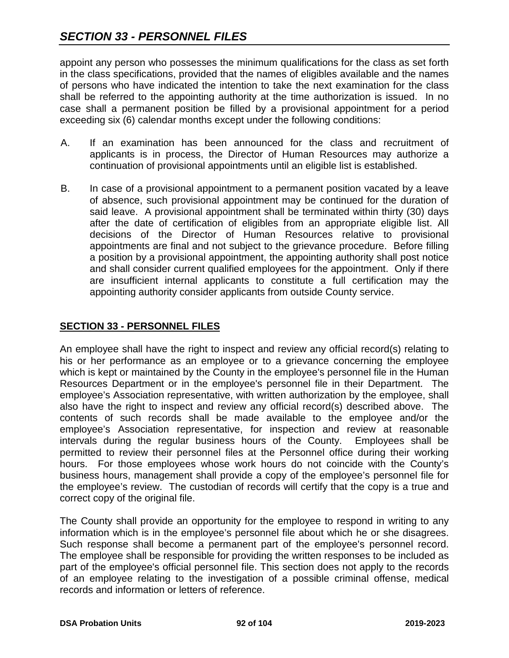appoint any person who possesses the minimum qualifications for the class as set forth in the class specifications, provided that the names of eligibles available and the names of persons who have indicated the intention to take the next examination for the class shall be referred to the appointing authority at the time authorization is issued. In no case shall a permanent position be filled by a provisional appointment for a period exceeding six (6) calendar months except under the following conditions:

- A. If an examination has been announced for the class and recruitment of applicants is in process, the Director of Human Resources may authorize a continuation of provisional appointments until an eligible list is established.
- B. In case of a provisional appointment to a permanent position vacated by a leave of absence, such provisional appointment may be continued for the duration of said leave. A provisional appointment shall be terminated within thirty (30) days after the date of certification of eligibles from an appropriate eligible list. All decisions of the Director of Human Resources relative to provisional appointments are final and not subject to the grievance procedure. Before filling a position by a provisional appointment, the appointing authority shall post notice and shall consider current qualified employees for the appointment. Only if there are insufficient internal applicants to constitute a full certification may the appointing authority consider applicants from outside County service.

### **SECTION 33 - PERSONNEL FILES**

An employee shall have the right to inspect and review any official record(s) relating to his or her performance as an employee or to a grievance concerning the employee which is kept or maintained by the County in the employee's personnel file in the Human Resources Department or in the employee's personnel file in their Department. The employee's Association representative, with written authorization by the employee, shall also have the right to inspect and review any official record(s) described above. The contents of such records shall be made available to the employee and/or the employee's Association representative, for inspection and review at reasonable intervals during the regular business hours of the County. Employees shall be permitted to review their personnel files at the Personnel office during their working hours. For those employees whose work hours do not coincide with the County's business hours, management shall provide a copy of the employee's personnel file for the employee's review. The custodian of records will certify that the copy is a true and correct copy of the original file.

The County shall provide an opportunity for the employee to respond in writing to any information which is in the employee's personnel file about which he or she disagrees. Such response shall become a permanent part of the employee's personnel record. The employee shall be responsible for providing the written responses to be included as part of the employee's official personnel file. This section does not apply to the records of an employee relating to the investigation of a possible criminal offense, medical records and information or letters of reference.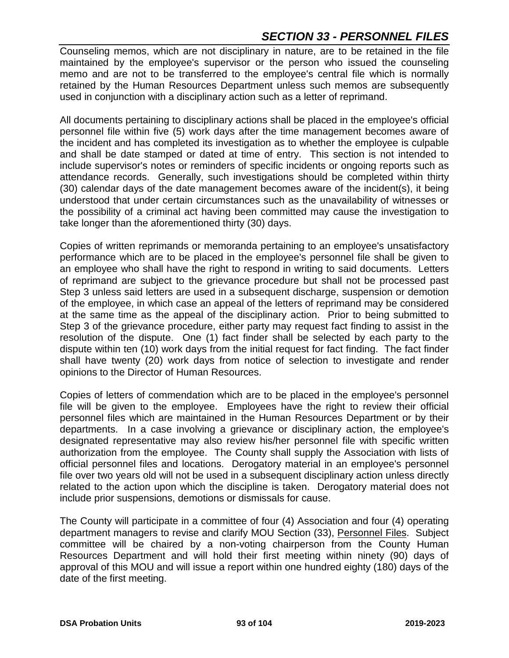## *SECTION 33 - PERSONNEL FILES*

Counseling memos, which are not disciplinary in nature, are to be retained in the file maintained by the employee's supervisor or the person who issued the counseling memo and are not to be transferred to the employee's central file which is normally retained by the Human Resources Department unless such memos are subsequently used in conjunction with a disciplinary action such as a letter of reprimand.

All documents pertaining to disciplinary actions shall be placed in the employee's official personnel file within five (5) work days after the time management becomes aware of the incident and has completed its investigation as to whether the employee is culpable and shall be date stamped or dated at time of entry. This section is not intended to include supervisor's notes or reminders of specific incidents or ongoing reports such as attendance records. Generally, such investigations should be completed within thirty (30) calendar days of the date management becomes aware of the incident(s), it being understood that under certain circumstances such as the unavailability of witnesses or the possibility of a criminal act having been committed may cause the investigation to take longer than the aforementioned thirty (30) days.

Copies of written reprimands or memoranda pertaining to an employee's unsatisfactory performance which are to be placed in the employee's personnel file shall be given to an employee who shall have the right to respond in writing to said documents. Letters of reprimand are subject to the grievance procedure but shall not be processed past Step 3 unless said letters are used in a subsequent discharge, suspension or demotion of the employee, in which case an appeal of the letters of reprimand may be considered at the same time as the appeal of the disciplinary action. Prior to being submitted to Step 3 of the grievance procedure, either party may request fact finding to assist in the resolution of the dispute. One (1) fact finder shall be selected by each party to the dispute within ten (10) work days from the initial request for fact finding. The fact finder shall have twenty (20) work days from notice of selection to investigate and render opinions to the Director of Human Resources.

Copies of letters of commendation which are to be placed in the employee's personnel file will be given to the employee. Employees have the right to review their official personnel files which are maintained in the Human Resources Department or by their departments. In a case involving a grievance or disciplinary action, the employee's designated representative may also review his/her personnel file with specific written authorization from the employee. The County shall supply the Association with lists of official personnel files and locations. Derogatory material in an employee's personnel file over two years old will not be used in a subsequent disciplinary action unless directly related to the action upon which the discipline is taken. Derogatory material does not include prior suspensions, demotions or dismissals for cause.

The County will participate in a committee of four (4) Association and four (4) operating department managers to revise and clarify MOU Section (33), Personnel Files. Subject committee will be chaired by a non-voting chairperson from the County Human Resources Department and will hold their first meeting within ninety (90) days of approval of this MOU and will issue a report within one hundred eighty (180) days of the date of the first meeting.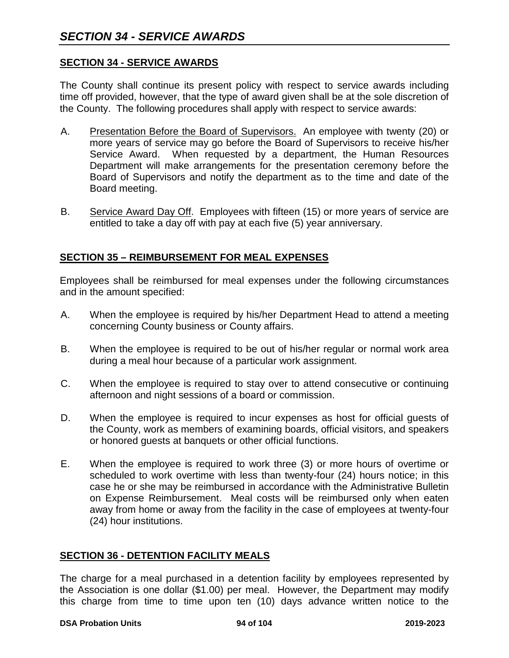### **SECTION 34 - SERVICE AWARDS**

The County shall continue its present policy with respect to service awards including time off provided, however, that the type of award given shall be at the sole discretion of the County. The following procedures shall apply with respect to service awards:

- A. Presentation Before the Board of Supervisors. An employee with twenty (20) or more years of service may go before the Board of Supervisors to receive his/her Service Award. When requested by a department, the Human Resources Department will make arrangements for the presentation ceremony before the Board of Supervisors and notify the department as to the time and date of the Board meeting.
- B. Service Award Day Off. Employees with fifteen (15) or more years of service are entitled to take a day off with pay at each five (5) year anniversary.

### **SECTION 35 – REIMBURSEMENT FOR MEAL EXPENSES**

Employees shall be reimbursed for meal expenses under the following circumstances and in the amount specified:

- A. When the employee is required by his/her Department Head to attend a meeting concerning County business or County affairs.
- B. When the employee is required to be out of his/her regular or normal work area during a meal hour because of a particular work assignment.
- C. When the employee is required to stay over to attend consecutive or continuing afternoon and night sessions of a board or commission.
- D. When the employee is required to incur expenses as host for official guests of the County, work as members of examining boards, official visitors, and speakers or honored guests at banquets or other official functions.
- E. When the employee is required to work three (3) or more hours of overtime or scheduled to work overtime with less than twenty-four (24) hours notice; in this case he or she may be reimbursed in accordance with the Administrative Bulletin on Expense Reimbursement. Meal costs will be reimbursed only when eaten away from home or away from the facility in the case of employees at twenty-four (24) hour institutions.

### **SECTION 36 - DETENTION FACILITY MEALS**

The charge for a meal purchased in a detention facility by employees represented by the Association is one dollar (\$1.00) per meal. However, the Department may modify this charge from time to time upon ten (10) days advance written notice to the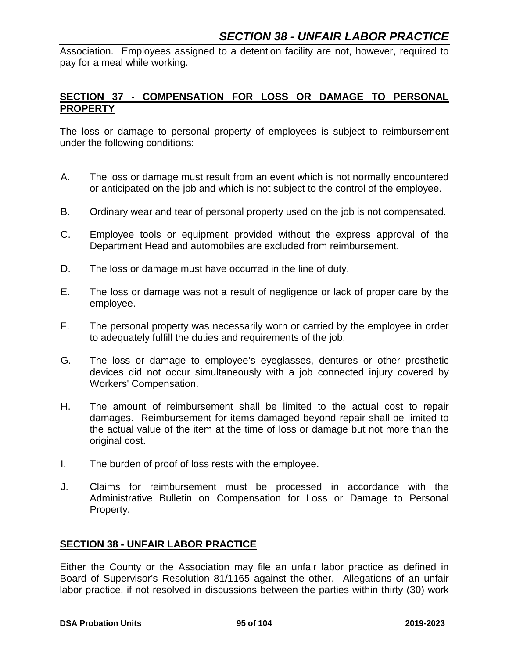Association. Employees assigned to a detention facility are not, however, required to pay for a meal while working.

### **SECTION 37 - COMPENSATION FOR LOSS OR DAMAGE TO PERSONAL PROPERTY**

The loss or damage to personal property of employees is subject to reimbursement under the following conditions:

- A. The loss or damage must result from an event which is not normally encountered or anticipated on the job and which is not subject to the control of the employee.
- B. Ordinary wear and tear of personal property used on the job is not compensated.
- C. Employee tools or equipment provided without the express approval of the Department Head and automobiles are excluded from reimbursement.
- D. The loss or damage must have occurred in the line of duty.
- E. The loss or damage was not a result of negligence or lack of proper care by the employee.
- F. The personal property was necessarily worn or carried by the employee in order to adequately fulfill the duties and requirements of the job.
- G. The loss or damage to employee's eyeglasses, dentures or other prosthetic devices did not occur simultaneously with a job connected injury covered by Workers' Compensation.
- H. The amount of reimbursement shall be limited to the actual cost to repair damages. Reimbursement for items damaged beyond repair shall be limited to the actual value of the item at the time of loss or damage but not more than the original cost.
- I. The burden of proof of loss rests with the employee.
- J. Claims for reimbursement must be processed in accordance with the Administrative Bulletin on Compensation for Loss or Damage to Personal Property.

### **SECTION 38 - UNFAIR LABOR PRACTICE**

Either the County or the Association may file an unfair labor practice as defined in Board of Supervisor's Resolution 81/1165 against the other. Allegations of an unfair labor practice, if not resolved in discussions between the parties within thirty (30) work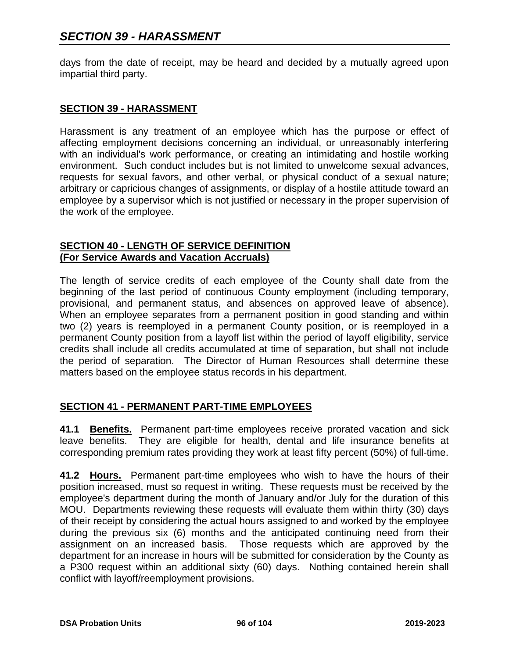days from the date of receipt, may be heard and decided by a mutually agreed upon impartial third party.

#### **SECTION 39 - HARASSMENT**

Harassment is any treatment of an employee which has the purpose or effect of affecting employment decisions concerning an individual, or unreasonably interfering with an individual's work performance, or creating an intimidating and hostile working environment. Such conduct includes but is not limited to unwelcome sexual advances, requests for sexual favors, and other verbal, or physical conduct of a sexual nature; arbitrary or capricious changes of assignments, or display of a hostile attitude toward an employee by a supervisor which is not justified or necessary in the proper supervision of the work of the employee.

### **SECTION 40 - LENGTH OF SERVICE DEFINITION (For Service Awards and Vacation Accruals)**

The length of service credits of each employee of the County shall date from the beginning of the last period of continuous County employment (including temporary, provisional, and permanent status, and absences on approved leave of absence). When an employee separates from a permanent position in good standing and within two (2) years is reemployed in a permanent County position, or is reemployed in a permanent County position from a layoff list within the period of layoff eligibility, service credits shall include all credits accumulated at time of separation, but shall not include the period of separation. The Director of Human Resources shall determine these matters based on the employee status records in his department.

### **SECTION 41 - PERMANENT PART-TIME EMPLOYEES**

**41.1 Benefits.** Permanent part-time employees receive prorated vacation and sick leave benefits. They are eligible for health, dental and life insurance benefits at corresponding premium rates providing they work at least fifty percent (50%) of full-time.

**41.2 Hours.** Permanent part-time employees who wish to have the hours of their position increased, must so request in writing. These requests must be received by the employee's department during the month of January and/or July for the duration of this MOU. Departments reviewing these requests will evaluate them within thirty (30) days of their receipt by considering the actual hours assigned to and worked by the employee during the previous six (6) months and the anticipated continuing need from their assignment on an increased basis. Those requests which are approved by the department for an increase in hours will be submitted for consideration by the County as a P300 request within an additional sixty (60) days. Nothing contained herein shall conflict with layoff/reemployment provisions.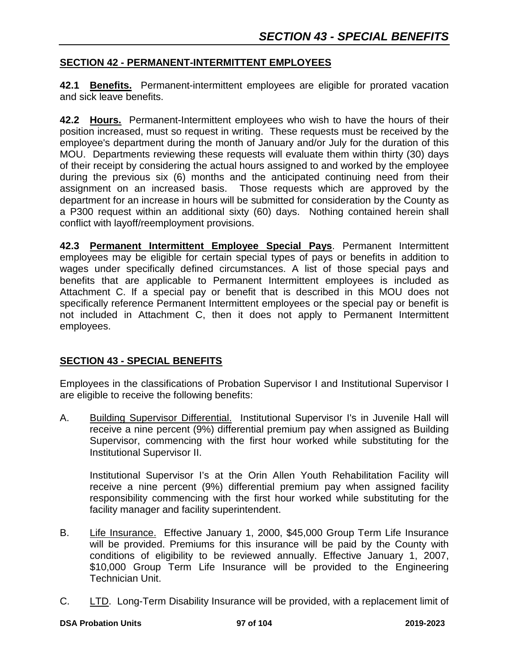### **SECTION 42 - PERMANENT-INTERMITTENT EMPLOYEES**

**42.1 Benefits.** Permanent-intermittent employees are eligible for prorated vacation and sick leave benefits.

**42.2 Hours.** Permanent-Intermittent employees who wish to have the hours of their position increased, must so request in writing. These requests must be received by the employee's department during the month of January and/or July for the duration of this MOU. Departments reviewing these requests will evaluate them within thirty (30) days of their receipt by considering the actual hours assigned to and worked by the employee during the previous six (6) months and the anticipated continuing need from their assignment on an increased basis. Those requests which are approved by the department for an increase in hours will be submitted for consideration by the County as a P300 request within an additional sixty (60) days. Nothing contained herein shall conflict with layoff/reemployment provisions.

**42.3 Permanent Intermittent Employee Special Pays**. Permanent Intermittent employees may be eligible for certain special types of pays or benefits in addition to wages under specifically defined circumstances. A list of those special pays and benefits that are applicable to Permanent Intermittent employees is included as Attachment C. If a special pay or benefit that is described in this MOU does not specifically reference Permanent Intermittent employees or the special pay or benefit is not included in Attachment C, then it does not apply to Permanent Intermittent employees.

### **SECTION 43 - SPECIAL BENEFITS**

Employees in the classifications of Probation Supervisor I and Institutional Supervisor I are eligible to receive the following benefits:

A. Building Supervisor Differential. Institutional Supervisor I's in Juvenile Hall will receive a nine percent (9%) differential premium pay when assigned as Building Supervisor, commencing with the first hour worked while substituting for the Institutional Supervisor II.

Institutional Supervisor I's at the Orin Allen Youth Rehabilitation Facility will receive a nine percent (9%) differential premium pay when assigned facility responsibility commencing with the first hour worked while substituting for the facility manager and facility superintendent.

- B. Life Insurance. Effective January 1, 2000, \$45,000 Group Term Life Insurance will be provided. Premiums for this insurance will be paid by the County with conditions of eligibility to be reviewed annually. Effective January 1, 2007, \$10,000 Group Term Life Insurance will be provided to the Engineering Technician Unit.
- C. LTD. Long-Term Disability Insurance will be provided, with a replacement limit of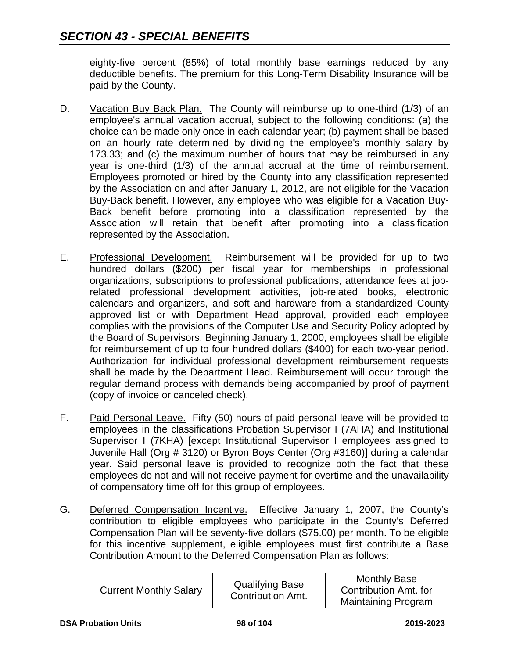eighty-five percent (85%) of total monthly base earnings reduced by any deductible benefits. The premium for this Long-Term Disability Insurance will be paid by the County.

- D. Vacation Buy Back Plan. The County will reimburse up to one-third (1/3) of an employee's annual vacation accrual, subject to the following conditions: (a) the choice can be made only once in each calendar year; (b) payment shall be based on an hourly rate determined by dividing the employee's monthly salary by 173.33; and (c) the maximum number of hours that may be reimbursed in any year is one-third (1/3) of the annual accrual at the time of reimbursement. Employees promoted or hired by the County into any classification represented by the Association on and after January 1, 2012, are not eligible for the Vacation Buy-Back benefit. However, any employee who was eligible for a Vacation Buy-Back benefit before promoting into a classification represented by the Association will retain that benefit after promoting into a classification represented by the Association.
- E. Professional Development. Reimbursement will be provided for up to two hundred dollars (\$200) per fiscal year for memberships in professional organizations, subscriptions to professional publications, attendance fees at jobrelated professional development activities, job-related books, electronic calendars and organizers, and soft and hardware from a standardized County approved list or with Department Head approval, provided each employee complies with the provisions of the Computer Use and Security Policy adopted by the Board of Supervisors. Beginning January 1, 2000, employees shall be eligible for reimbursement of up to four hundred dollars (\$400) for each two-year period. Authorization for individual professional development reimbursement requests shall be made by the Department Head. Reimbursement will occur through the regular demand process with demands being accompanied by proof of payment (copy of invoice or canceled check).
- F. Paid Personal Leave. Fifty (50) hours of paid personal leave will be provided to employees in the classifications Probation Supervisor I (7AHA) and Institutional Supervisor I (7KHA) [except Institutional Supervisor I employees assigned to Juvenile Hall (Org # 3120) or Byron Boys Center (Org #3160)] during a calendar year. Said personal leave is provided to recognize both the fact that these employees do not and will not receive payment for overtime and the unavailability of compensatory time off for this group of employees.
- G. Deferred Compensation Incentive. Effective January 1, 2007, the County's contribution to eligible employees who participate in the County's Deferred Compensation Plan will be seventy-five dollars (\$75.00) per month. To be eligible for this incentive supplement, eligible employees must first contribute a Base Contribution Amount to the Deferred Compensation Plan as follows:

| <b>Current Monthly Salary</b> | <b>Qualifying Base</b><br><b>Contribution Amt.</b> | <b>Monthly Base</b><br>Contribution Amt. for |
|-------------------------------|----------------------------------------------------|----------------------------------------------|
|                               |                                                    | <b>Maintaining Program</b>                   |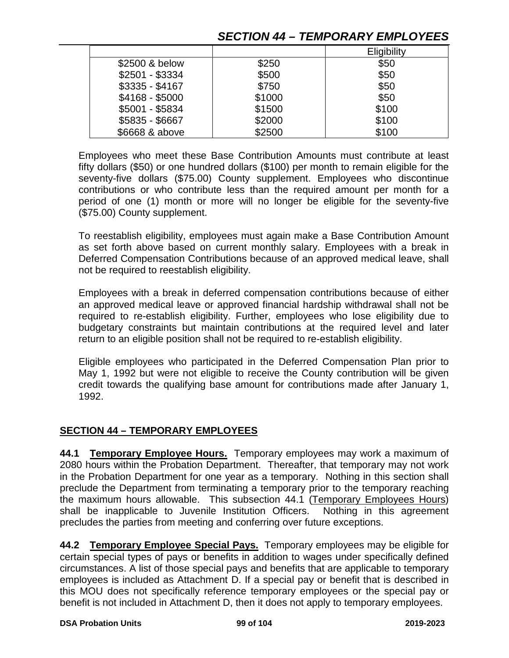## *SECTION 44 – TEMPORARY EMPLOYEES*

|                 |        | Eligibility |
|-----------------|--------|-------------|
| \$2500 & below  | \$250  | \$50        |
| \$2501 - \$3334 | \$500  | \$50        |
| $$3335 - $4167$ | \$750  | \$50        |
| \$4168 - \$5000 | \$1000 | \$50        |
| \$5001 - \$5834 | \$1500 | \$100       |
| \$5835 - \$6667 | \$2000 | \$100       |
| \$6668 & above  | \$2500 | \$100       |

Employees who meet these Base Contribution Amounts must contribute at least fifty dollars (\$50) or one hundred dollars (\$100) per month to remain eligible for the seventy-five dollars (\$75.00) County supplement. Employees who discontinue contributions or who contribute less than the required amount per month for a period of one (1) month or more will no longer be eligible for the seventy-five (\$75.00) County supplement.

To reestablish eligibility, employees must again make a Base Contribution Amount as set forth above based on current monthly salary. Employees with a break in Deferred Compensation Contributions because of an approved medical leave, shall not be required to reestablish eligibility.

Employees with a break in deferred compensation contributions because of either an approved medical leave or approved financial hardship withdrawal shall not be required to re-establish eligibility. Further, employees who lose eligibility due to budgetary constraints but maintain contributions at the required level and later return to an eligible position shall not be required to re-establish eligibility.

Eligible employees who participated in the Deferred Compensation Plan prior to May 1, 1992 but were not eligible to receive the County contribution will be given credit towards the qualifying base amount for contributions made after January 1, 1992.

### **SECTION 44 – TEMPORARY EMPLOYEES**

**44.1 Temporary Employee Hours.** Temporary employees may work a maximum of 2080 hours within the Probation Department. Thereafter, that temporary may not work in the Probation Department for one year as a temporary. Nothing in this section shall preclude the Department from terminating a temporary prior to the temporary reaching the maximum hours allowable. This subsection 44.1 (Temporary Employees Hours) shall be inapplicable to Juvenile Institution Officers. Nothing in this agreement precludes the parties from meeting and conferring over future exceptions.

**44.2 Temporary Employee Special Pays.** Temporary employees may be eligible for certain special types of pays or benefits in addition to wages under specifically defined circumstances. A list of those special pays and benefits that are applicable to temporary employees is included as Attachment D. If a special pay or benefit that is described in this MOU does not specifically reference temporary employees or the special pay or benefit is not included in Attachment D, then it does not apply to temporary employees.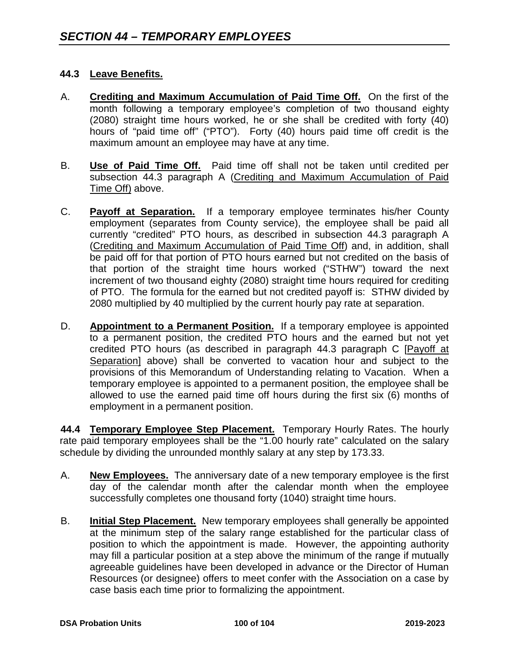### **44.3 Leave Benefits.**

- A. **Crediting and Maximum Accumulation of Paid Time Off.** On the first of the month following a temporary employee's completion of two thousand eighty (2080) straight time hours worked, he or she shall be credited with forty (40) hours of "paid time off" ("PTO"). Forty (40) hours paid time off credit is the maximum amount an employee may have at any time.
- B. **Use of Paid Time Off.** Paid time off shall not be taken until credited per subsection 44.3 paragraph A (Crediting and Maximum Accumulation of Paid Time Off) above.
- C. **Payoff at Separation.** If a temporary employee terminates his/her County employment (separates from County service), the employee shall be paid all currently "credited" PTO hours, as described in subsection 44.3 paragraph A (Crediting and Maximum Accumulation of Paid Time Off) and, in addition, shall be paid off for that portion of PTO hours earned but not credited on the basis of that portion of the straight time hours worked ("STHW") toward the next increment of two thousand eighty (2080) straight time hours required for crediting of PTO. The formula for the earned but not credited payoff is: STHW divided by 2080 multiplied by 40 multiplied by the current hourly pay rate at separation.
- D. **Appointment to a Permanent Position.** If a temporary employee is appointed to a permanent position, the credited PTO hours and the earned but not yet credited PTO hours (as described in paragraph 44.3 paragraph C [Payoff at Separation] above) shall be converted to vacation hour and subject to the provisions of this Memorandum of Understanding relating to Vacation. When a temporary employee is appointed to a permanent position, the employee shall be allowed to use the earned paid time off hours during the first six (6) months of employment in a permanent position.

**44.4 Temporary Employee Step Placement.** Temporary Hourly Rates. The hourly rate paid temporary employees shall be the "1.00 hourly rate" calculated on the salary schedule by dividing the unrounded monthly salary at any step by 173.33.

- A. **New Employees.** The anniversary date of a new temporary employee is the first day of the calendar month after the calendar month when the employee successfully completes one thousand forty (1040) straight time hours.
- B. **Initial Step Placement.** New temporary employees shall generally be appointed at the minimum step of the salary range established for the particular class of position to which the appointment is made. However, the appointing authority may fill a particular position at a step above the minimum of the range if mutually agreeable guidelines have been developed in advance or the Director of Human Resources (or designee) offers to meet confer with the Association on a case by case basis each time prior to formalizing the appointment.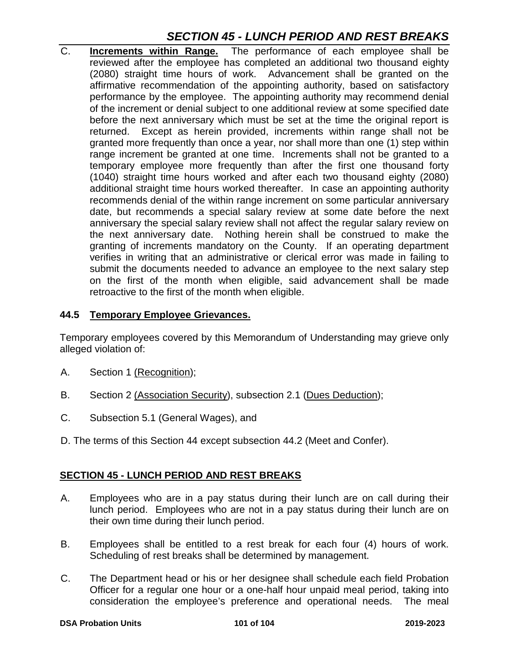# *SECTION 45 - LUNCH PERIOD AND REST BREAKS*

C. **Increments within Range.** The performance of each employee shall be reviewed after the employee has completed an additional two thousand eighty (2080) straight time hours of work. Advancement shall be granted on the affirmative recommendation of the appointing authority, based on satisfactory performance by the employee. The appointing authority may recommend denial of the increment or denial subject to one additional review at some specified date before the next anniversary which must be set at the time the original report is returned. Except as herein provided, increments within range shall not be granted more frequently than once a year, nor shall more than one (1) step within range increment be granted at one time. Increments shall not be granted to a temporary employee more frequently than after the first one thousand forty (1040) straight time hours worked and after each two thousand eighty (2080) additional straight time hours worked thereafter. In case an appointing authority recommends denial of the within range increment on some particular anniversary date, but recommends a special salary review at some date before the next anniversary the special salary review shall not affect the regular salary review on the next anniversary date. Nothing herein shall be construed to make the granting of increments mandatory on the County. If an operating department verifies in writing that an administrative or clerical error was made in failing to submit the documents needed to advance an employee to the next salary step on the first of the month when eligible, said advancement shall be made retroactive to the first of the month when eligible.

### **44.5 Temporary Employee Grievances.**

Temporary employees covered by this Memorandum of Understanding may grieve only alleged violation of:

- A. Section 1 (Recognition);
- B. Section 2 (Association Security), subsection 2.1 (Dues Deduction);
- C. Subsection 5.1 (General Wages), and
- D. The terms of this Section 44 except subsection 44.2 (Meet and Confer).

### **SECTION 45 - LUNCH PERIOD AND REST BREAKS**

- A. Employees who are in a pay status during their lunch are on call during their lunch period. Employees who are not in a pay status during their lunch are on their own time during their lunch period.
- B. Employees shall be entitled to a rest break for each four (4) hours of work. Scheduling of rest breaks shall be determined by management.
- C. The Department head or his or her designee shall schedule each field Probation Officer for a regular one hour or a one-half hour unpaid meal period, taking into consideration the employee's preference and operational needs. The meal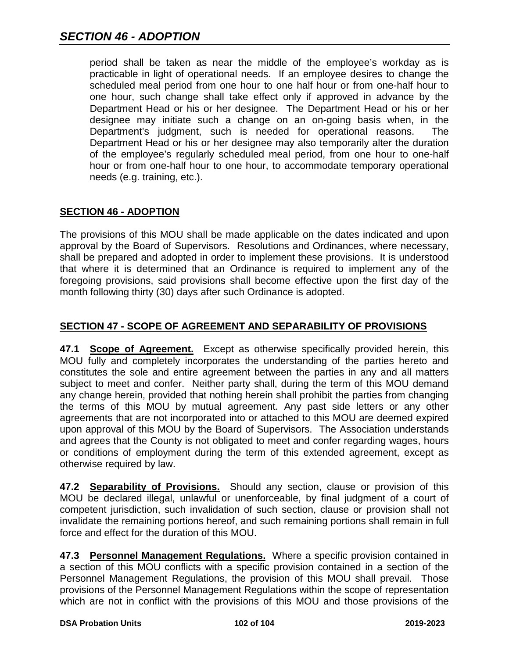period shall be taken as near the middle of the employee's workday as is practicable in light of operational needs. If an employee desires to change the scheduled meal period from one hour to one half hour or from one-half hour to one hour, such change shall take effect only if approved in advance by the Department Head or his or her designee. The Department Head or his or her designee may initiate such a change on an on-going basis when, in the Department's judgment, such is needed for operational reasons. The Department Head or his or her designee may also temporarily alter the duration of the employee's regularly scheduled meal period, from one hour to one-half hour or from one-half hour to one hour, to accommodate temporary operational needs (e.g. training, etc.).

## **SECTION 46 - ADOPTION**

The provisions of this MOU shall be made applicable on the dates indicated and upon approval by the Board of Supervisors. Resolutions and Ordinances, where necessary, shall be prepared and adopted in order to implement these provisions. It is understood that where it is determined that an Ordinance is required to implement any of the foregoing provisions, said provisions shall become effective upon the first day of the month following thirty (30) days after such Ordinance is adopted.

## **SECTION 47 - SCOPE OF AGREEMENT AND SEPARABILITY OF PROVISIONS**

**47.1 Scope of Agreement.** Except as otherwise specifically provided herein, this MOU fully and completely incorporates the understanding of the parties hereto and constitutes the sole and entire agreement between the parties in any and all matters subject to meet and confer. Neither party shall, during the term of this MOU demand any change herein, provided that nothing herein shall prohibit the parties from changing the terms of this MOU by mutual agreement. Any past side letters or any other agreements that are not incorporated into or attached to this MOU are deemed expired upon approval of this MOU by the Board of Supervisors. The Association understands and agrees that the County is not obligated to meet and confer regarding wages, hours or conditions of employment during the term of this extended agreement, except as otherwise required by law.

**47.2 Separability of Provisions.** Should any section, clause or provision of this MOU be declared illegal, unlawful or unenforceable, by final judgment of a court of competent jurisdiction, such invalidation of such section, clause or provision shall not invalidate the remaining portions hereof, and such remaining portions shall remain in full force and effect for the duration of this MOU.

**47.3 Personnel Management Regulations.** Where a specific provision contained in a section of this MOU conflicts with a specific provision contained in a section of the Personnel Management Regulations, the provision of this MOU shall prevail. Those provisions of the Personnel Management Regulations within the scope of representation which are not in conflict with the provisions of this MOU and those provisions of the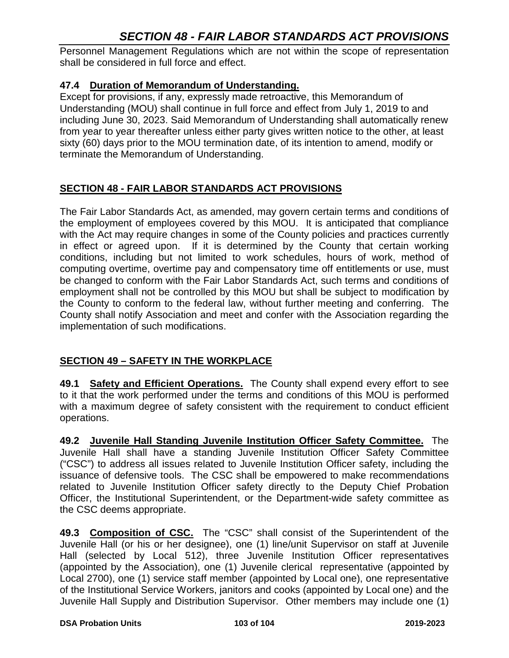# *SECTION 48 - FAIR LABOR STANDARDS ACT PROVISIONS*

Personnel Management Regulations which are not within the scope of representation shall be considered in full force and effect.

### **47.4 Duration of Memorandum of Understanding.**

Except for provisions, if any, expressly made retroactive, this Memorandum of Understanding (MOU) shall continue in full force and effect from July 1, 2019 to and including June 30, 2023. Said Memorandum of Understanding shall automatically renew from year to year thereafter unless either party gives written notice to the other, at least sixty (60) days prior to the MOU termination date, of its intention to amend, modify or terminate the Memorandum of Understanding.

## **SECTION 48 - FAIR LABOR STANDARDS ACT PROVISIONS**

The Fair Labor Standards Act, as amended, may govern certain terms and conditions of the employment of employees covered by this MOU. It is anticipated that compliance with the Act may require changes in some of the County policies and practices currently in effect or agreed upon. If it is determined by the County that certain working conditions, including but not limited to work schedules, hours of work, method of computing overtime, overtime pay and compensatory time off entitlements or use, must be changed to conform with the Fair Labor Standards Act, such terms and conditions of employment shall not be controlled by this MOU but shall be subject to modification by the County to conform to the federal law, without further meeting and conferring. The County shall notify Association and meet and confer with the Association regarding the implementation of such modifications.

## **SECTION 49 – SAFETY IN THE WORKPLACE**

**49.1 Safety and Efficient Operations.** The County shall expend every effort to see to it that the work performed under the terms and conditions of this MOU is performed with a maximum degree of safety consistent with the requirement to conduct efficient operations.

**49.2 Juvenile Hall Standing Juvenile Institution Officer Safety Committee.** The Juvenile Hall shall have a standing Juvenile Institution Officer Safety Committee ("CSC") to address all issues related to Juvenile Institution Officer safety, including the issuance of defensive tools. The CSC shall be empowered to make recommendations related to Juvenile Institution Officer safety directly to the Deputy Chief Probation Officer, the Institutional Superintendent, or the Department-wide safety committee as the CSC deems appropriate.

**49.3 Composition of CSC.** The "CSC" shall consist of the Superintendent of the Juvenile Hall (or his or her designee), one (1) line/unit Supervisor on staff at Juvenile Hall (selected by Local 512), three Juvenile Institution Officer representatives (appointed by the Association), one (1) Juvenile clerical representative (appointed by Local 2700), one (1) service staff member (appointed by Local one), one representative of the Institutional Service Workers, janitors and cooks (appointed by Local one) and the Juvenile Hall Supply and Distribution Supervisor. Other members may include one (1)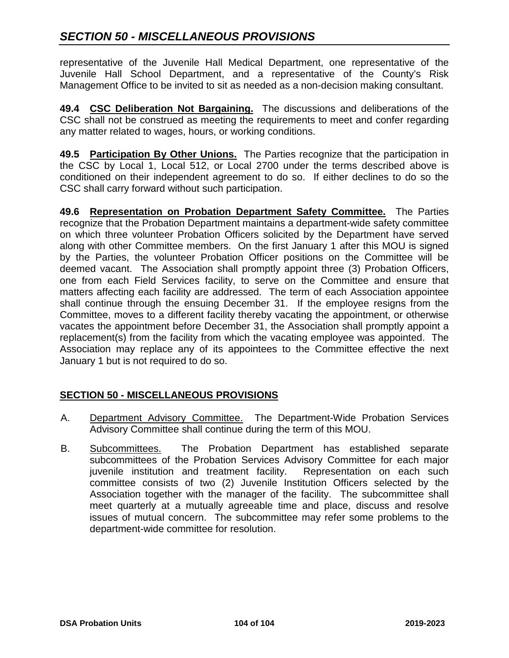representative of the Juvenile Hall Medical Department, one representative of the Juvenile Hall School Department, and a representative of the County's Risk Management Office to be invited to sit as needed as a non-decision making consultant.

**49.4 CSC Deliberation Not Bargaining.** The discussions and deliberations of the CSC shall not be construed as meeting the requirements to meet and confer regarding any matter related to wages, hours, or working conditions.

**49.5 Participation By Other Unions.** The Parties recognize that the participation in the CSC by Local 1, Local 512, or Local 2700 under the terms described above is conditioned on their independent agreement to do so. If either declines to do so the CSC shall carry forward without such participation.

**49.6 Representation on Probation Department Safety Committee.** The Parties recognize that the Probation Department maintains a department-wide safety committee on which three volunteer Probation Officers solicited by the Department have served along with other Committee members. On the first January 1 after this MOU is signed by the Parties, the volunteer Probation Officer positions on the Committee will be deemed vacant. The Association shall promptly appoint three (3) Probation Officers, one from each Field Services facility, to serve on the Committee and ensure that matters affecting each facility are addressed. The term of each Association appointee shall continue through the ensuing December 31. If the employee resigns from the Committee, moves to a different facility thereby vacating the appointment, or otherwise vacates the appointment before December 31, the Association shall promptly appoint a replacement(s) from the facility from which the vacating employee was appointed. The Association may replace any of its appointees to the Committee effective the next January 1 but is not required to do so.

## **SECTION 50 - MISCELLANEOUS PROVISIONS**

- A. Department Advisory Committee. The Department-Wide Probation Services Advisory Committee shall continue during the term of this MOU.
- B. Subcommittees. The Probation Department has established separate subcommittees of the Probation Services Advisory Committee for each major juvenile institution and treatment facility. Representation on each such committee consists of two (2) Juvenile Institution Officers selected by the Association together with the manager of the facility. The subcommittee shall meet quarterly at a mutually agreeable time and place, discuss and resolve issues of mutual concern. The subcommittee may refer some problems to the department-wide committee for resolution.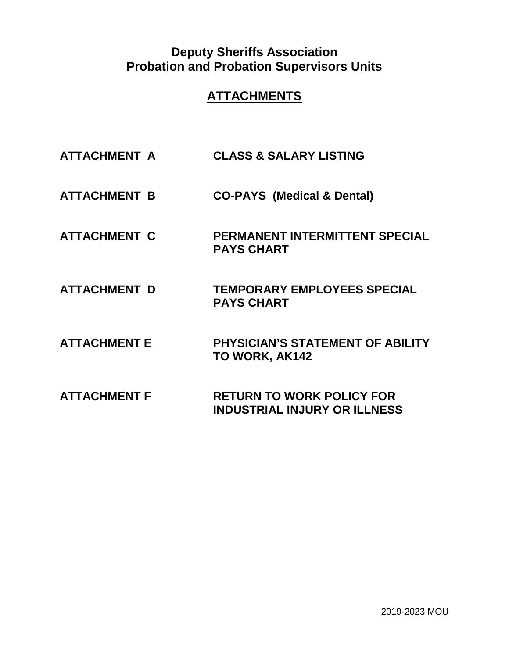# **Deputy Sheriffs Association Probation and Probation Supervisors Units**

# **ATTACHMENTS**

- **ATTACHMENT A CLASS & SALARY LISTING**
- **ATTACHMENT B CO-PAYS (Medical & Dental)**
- **ATTACHMENT C PERMANENT INTERMITTENT SPECIAL PAYS CHART**
- **ATTACHMENT D TEMPORARY EMPLOYEES SPECIAL PAYS CHART**
- **ATTACHMENT E PHYSICIAN'S STATEMENT OF ABILITY TO WORK, AK142**
- **ATTACHMENT F RETURN TO WORK POLICY FOR INDUSTRIAL INJURY OR ILLNESS**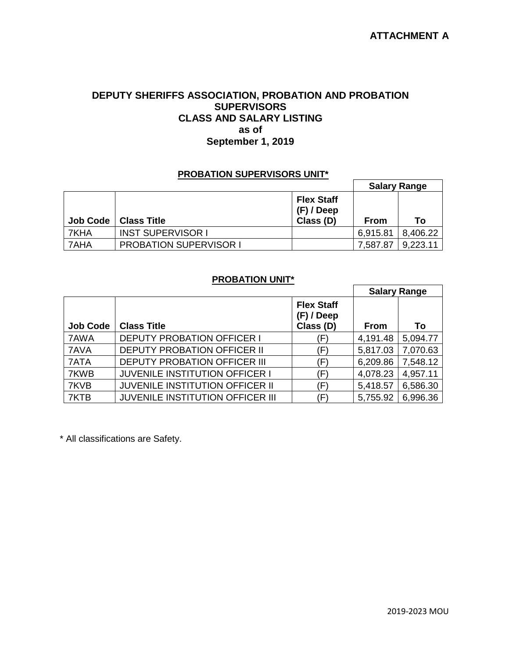### **DEPUTY SHERIFFS ASSOCIATION, PROBATION AND PROBATION SUPERVISORS CLASS AND SALARY LISTING as of September 1, 2019**

#### **PROBATION SUPERVISORS UNIT\***

|                 |                               |                                                | <b>Salary Range</b> |          |
|-----------------|-------------------------------|------------------------------------------------|---------------------|----------|
| <b>Job Code</b> | <b>Class Title</b>            | <b>Flex Staff</b><br>$(F)$ / Deep<br>Class (D) | From                | Тο       |
| 7KHA            | <b>INST SUPERVISOR I</b>      |                                                | 6,915.81            | 8,406.22 |
| l 7AHA          | <b>PROBATION SUPERVISOR I</b> |                                                | 7,587.87            | 9,223.11 |

### **PROBATION UNIT\***

 $\overline{a}$ 

|                 |                                         |                                                | <b>Salary Range</b> |          |
|-----------------|-----------------------------------------|------------------------------------------------|---------------------|----------|
| <b>Job Code</b> | <b>Class Title</b>                      | <b>Flex Staff</b><br>$(F)$ / Deep<br>Class (D) | From                | To       |
| 7AWA            | <b>DEPUTY PROBATION OFFICER I</b>       | (F)                                            | 4,191.48            | 5,094.77 |
| 7AVA            | <b>DEPUTY PROBATION OFFICER II</b>      | (F)                                            | 5,817.03            | 7,070.63 |
| 7ATA            | <b>DEPUTY PROBATION OFFICER III</b>     | $(\mathsf{F})$                                 | 6,209.86            | 7,548.12 |
| 7KWB            | JUVENILE INSTITUTION OFFICER I          | $(\mathsf{F})$                                 | 4,078.23            | 4,957.11 |
| 7KVB            | <b>JUVENILE INSTITUTION OFFICER II</b>  | (F)                                            | 5,418.57            | 6,586.30 |
| 7KTB            | <b>JUVENILE INSTITUTION OFFICER III</b> | (F                                             | 5,755.92            | 6,996.36 |

\* All classifications are Safety.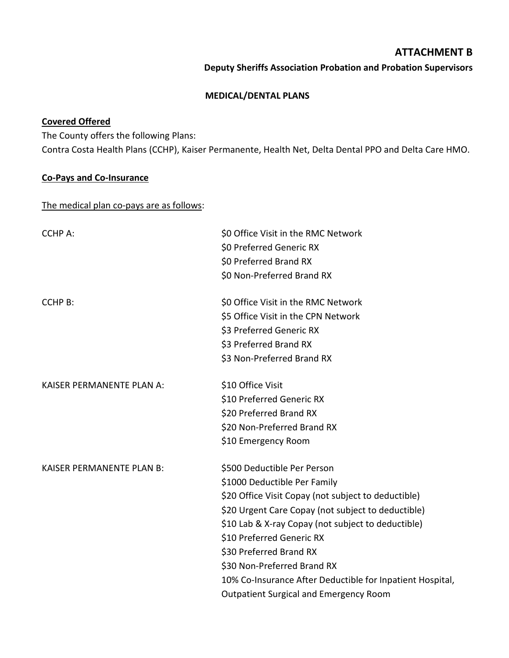### **ATTACHMENT B**

**Deputy Sheriffs Association Probation and Probation Supervisors**

#### **MEDICAL/DENTAL PLANS**

### **Covered Offered**

The County offers the following Plans: Contra Costa Health Plans (CCHP), Kaiser Permanente, Health Net, Delta Dental PPO and Delta Care HMO.

### **Co-Pays and Co-Insurance**

The medical plan co-pays are as follows:

| <b>CCHP A:</b>                   | \$0 Office Visit in the RMC Network<br>\$0 Preferred Generic RX<br>\$0 Preferred Brand RX<br>\$0 Non-Preferred Brand RX                                                                                                                                                                                                                                                                                                             |
|----------------------------------|-------------------------------------------------------------------------------------------------------------------------------------------------------------------------------------------------------------------------------------------------------------------------------------------------------------------------------------------------------------------------------------------------------------------------------------|
| <b>CCHP B:</b>                   | \$0 Office Visit in the RMC Network<br>\$5 Office Visit in the CPN Network<br>\$3 Preferred Generic RX<br>\$3 Preferred Brand RX<br>\$3 Non-Preferred Brand RX                                                                                                                                                                                                                                                                      |
| <b>KAISER PERMANENTE PLAN A:</b> | \$10 Office Visit<br>\$10 Preferred Generic RX<br>\$20 Preferred Brand RX<br>\$20 Non-Preferred Brand RX<br>\$10 Emergency Room                                                                                                                                                                                                                                                                                                     |
| <b>KAISER PERMANENTE PLAN B:</b> | \$500 Deductible Per Person<br>\$1000 Deductible Per Family<br>\$20 Office Visit Copay (not subject to deductible)<br>\$20 Urgent Care Copay (not subject to deductible)<br>\$10 Lab & X-ray Copay (not subject to deductible)<br>\$10 Preferred Generic RX<br>\$30 Preferred Brand RX<br>\$30 Non-Preferred Brand RX<br>10% Co-Insurance After Deductible for Inpatient Hospital,<br><b>Outpatient Surgical and Emergency Room</b> |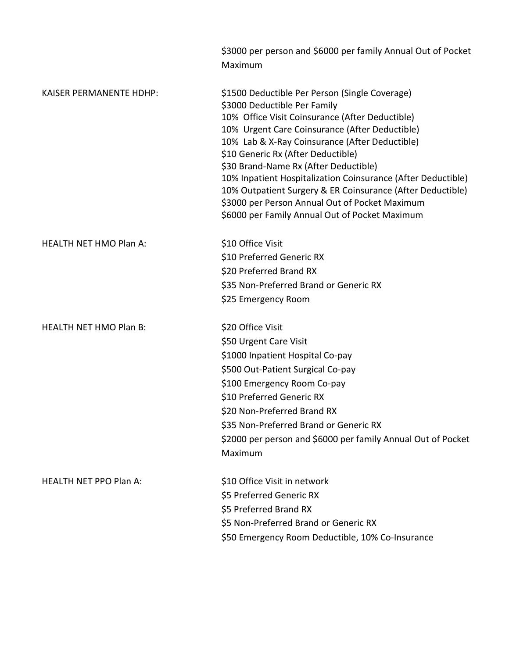|                                | \$3000 per person and \$6000 per family Annual Out of Pocket<br>Maximum                                                                                                                                                                                                                                                                                                                                                                                                                                                                                |
|--------------------------------|--------------------------------------------------------------------------------------------------------------------------------------------------------------------------------------------------------------------------------------------------------------------------------------------------------------------------------------------------------------------------------------------------------------------------------------------------------------------------------------------------------------------------------------------------------|
| <b>KAISER PERMANENTE HDHP:</b> | \$1500 Deductible Per Person (Single Coverage)<br>\$3000 Deductible Per Family<br>10% Office Visit Coinsurance (After Deductible)<br>10% Urgent Care Coinsurance (After Deductible)<br>10% Lab & X-Ray Coinsurance (After Deductible)<br>\$10 Generic Rx (After Deductible)<br>\$30 Brand-Name Rx (After Deductible)<br>10% Inpatient Hospitalization Coinsurance (After Deductible)<br>10% Outpatient Surgery & ER Coinsurance (After Deductible)<br>\$3000 per Person Annual Out of Pocket Maximum<br>\$6000 per Family Annual Out of Pocket Maximum |
| <b>HEALTH NET HMO Plan A:</b>  | \$10 Office Visit<br>\$10 Preferred Generic RX<br>\$20 Preferred Brand RX<br>\$35 Non-Preferred Brand or Generic RX<br>\$25 Emergency Room                                                                                                                                                                                                                                                                                                                                                                                                             |
| <b>HEALTH NET HMO Plan B:</b>  | \$20 Office Visit<br>\$50 Urgent Care Visit<br>\$1000 Inpatient Hospital Co-pay<br>\$500 Out-Patient Surgical Co-pay<br>\$100 Emergency Room Co-pay<br>\$10 Preferred Generic RX<br>\$20 Non-Preferred Brand RX<br>\$35 Non-Preferred Brand or Generic RX<br>\$2000 per person and \$6000 per family Annual Out of Pocket<br>Maximum                                                                                                                                                                                                                   |
| <b>HEALTH NET PPO Plan A:</b>  | \$10 Office Visit in network<br>\$5 Preferred Generic RX<br>\$5 Preferred Brand RX<br>\$5 Non-Preferred Brand or Generic RX<br>\$50 Emergency Room Deductible, 10% Co-Insurance                                                                                                                                                                                                                                                                                                                                                                        |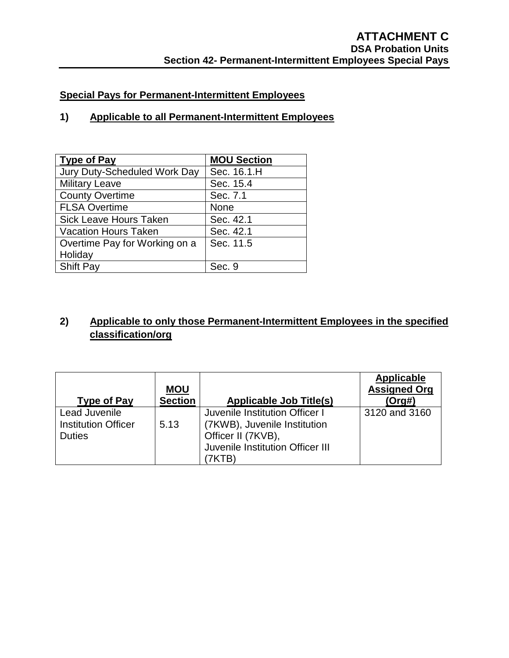## **Special Pays for Permanent-Intermittent Employees**

## **1) Applicable to all Permanent-Intermittent Employees**

| <b>Type of Pay</b>            | <b>MOU Section</b> |
|-------------------------------|--------------------|
| Jury Duty-Scheduled Work Day  | Sec. 16.1.H        |
| <b>Military Leave</b>         | Sec. 15.4          |
| <b>County Overtime</b>        | Sec. 7.1           |
| <b>FLSA Overtime</b>          | <b>None</b>        |
| Sick Leave Hours Taken        | Sec. 42.1          |
| <b>Vacation Hours Taken</b>   | Sec. 42.1          |
| Overtime Pay for Working on a | Sec. 11.5          |
| Holiday                       |                    |
| <b>Shift Pay</b>              | Sec. 9             |

## **2) Applicable to only those Permanent-Intermittent Employees in the specified classification/org**

| <b>Type of Pay</b>                                           | <b>MOU</b><br><b>Section</b> | <b>Applicable Job Title(s)</b>                                                                                           | Applicable<br><b>Assigned Org</b><br>(Org#) |
|--------------------------------------------------------------|------------------------------|--------------------------------------------------------------------------------------------------------------------------|---------------------------------------------|
| Lead Juvenile<br><b>Institution Officer</b><br><b>Duties</b> | 5.13                         | Juvenile Institution Officer I<br>(7KWB), Juvenile Institution<br>Officer II (7KVB),<br>Juvenile Institution Officer III | 3120 and 3160                               |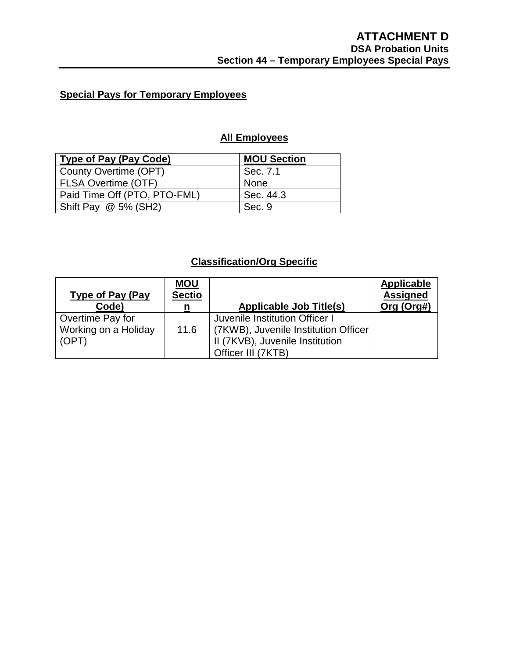## **Special Pays for Temporary Employees**

## **All Employees**

| <b>Type of Pay (Pay Code)</b> | <b>MOU Section</b> |
|-------------------------------|--------------------|
| County Overtime (OPT)         | Sec. 7.1           |
| <b>FLSA Overtime (OTF)</b>    | <b>None</b>        |
| Paid Time Off (PTO, PTO-FML)  | Sec. 44.3          |
| Shift Pay $\omega$ 5% (SH2)   | Sec. 9             |

## **Classification/Org Specific**

| <b>Type of Pay (Pay</b><br>Code)                  | <b>MOU</b><br><b>Sectio</b><br>n | <b>Applicable Job Title(s)</b>                                                                                                    | <b>Applicable</b><br><b>Assigned</b><br>Org (Org#) |
|---------------------------------------------------|----------------------------------|-----------------------------------------------------------------------------------------------------------------------------------|----------------------------------------------------|
| Overtime Pay for<br>Working on a Holiday<br>(OPT) | 11.6                             | Juvenile Institution Officer I<br>  (7KWB), Juvenile Institution Officer<br>II (7KVB), Juvenile Institution<br>Officer III (7KTB) |                                                    |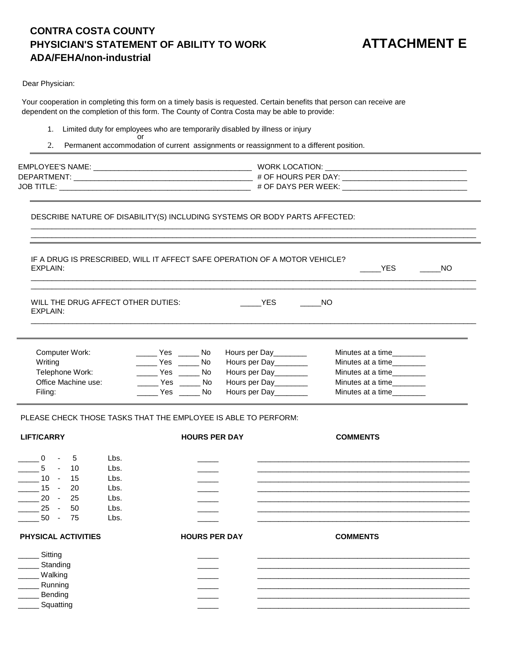## **CONTRA COSTA COUNTY PHYSICIAN'S STATEMENT OF ABILITY TO WORK ADA/FEHA/non-industrial**

\_\_\_\_\_YES \_\_\_\_\_ NO

Dear Physician:

Your cooperation in completing this form on a timely basis is requested. Certain benefits that person can receive are dependent on the completion of this form. The County of Contra Costa may be able to provide:

- 1. Limited duty for employees who are temporarily disabled by illness or injury or
- 2. Permanent accommodation of current assignments or reassignment to a different position.

| <b>EMPLOYEE'S NAME:</b> | WORK LOCATION:      |
|-------------------------|---------------------|
| DEPARTMENT:             | # OF HOURS PER DAY: |
| <b>JOB TITLE:</b>       | # OF DAYS PER WEEK: |

\_\_\_\_\_\_\_\_\_\_\_\_\_\_\_\_\_\_\_\_\_\_\_\_\_\_\_\_\_\_\_\_\_\_\_\_\_\_\_\_\_\_\_\_\_\_\_\_\_\_\_\_\_\_\_\_\_\_\_\_\_\_\_\_\_\_\_\_\_\_\_\_\_\_\_\_\_\_\_\_\_\_\_\_\_\_\_\_\_\_\_\_\_\_\_\_\_\_\_\_\_\_\_\_\_\_\_ \_\_\_\_\_\_\_\_\_\_\_\_\_\_\_\_\_\_\_\_\_\_\_\_\_\_\_\_\_\_\_\_\_\_\_\_\_\_\_\_\_\_\_\_\_\_\_\_\_\_\_\_\_\_\_\_\_\_\_\_\_\_\_\_\_\_\_\_\_\_\_\_\_\_\_\_\_\_\_\_\_\_\_\_\_\_\_\_\_\_\_\_\_\_\_\_\_\_\_\_\_\_\_\_\_\_\_

DESCRIBE NATURE OF DISABILITY(S) INCLUDING SYSTEMS OR BODY PARTS AFFECTED:

| <b>EXPLAIN:</b>                                                                                                                  | IF A DRUG IS PRESCRIBED, WILL IT AFFECT SAFE OPERATION OF A MOTOR VEHICLE?            |                      |                                                                       | <b>YES</b>                                                  | <b>NO</b> |
|----------------------------------------------------------------------------------------------------------------------------------|---------------------------------------------------------------------------------------|----------------------|-----------------------------------------------------------------------|-------------------------------------------------------------|-----------|
| WILL THE DRUG AFFECT OTHER DUTIES:<br>EXPLAIN:                                                                                   |                                                                                       |                      | <b>YES</b>                                                            | <b>NO</b>                                                   |           |
| Computer Work:<br>Writing                                                                                                        | ______ Yes ______ No<br>Yes $\_\_$                                                    | No                   | Hours per Day<br>Hours per Day                                        | Minutes at a time_________<br>Minutes at a time________     |           |
| Telephone Work:<br>Office Machine use:<br>Filing:                                                                                | $\rule{1em}{0.15mm}$ Yes $\rule{1em}{0.15mm}$ No<br>______ Yes ______ No<br>No Yes No |                      | Hours per Day _______<br>Hours per Day_______<br>Hours per Day_______ | Minutes at a time<br>Minutes at a time<br>Minutes at a time |           |
| PLEASE CHECK THOSE TASKS THAT THE EMPLOYEE IS ABLE TO PERFORM:                                                                   |                                                                                       |                      |                                                                       |                                                             |           |
| <b>LIFT/CARRY</b>                                                                                                                |                                                                                       | <b>HOURS PER DAY</b> |                                                                       | <b>COMMENTS</b>                                             |           |
| $\Omega$<br>5<br>5<br>10<br>$\blacksquare$<br>$10 -$<br>15<br>$15 -$<br>20<br>$20 -$<br>25<br>25<br>50<br>$\sim$<br>$50 -$<br>75 | Lbs.<br>Lbs.<br>Lbs.<br>Lbs.<br>Lbs.<br>Lbs.<br>Lbs.                                  |                      |                                                                       |                                                             |           |
| PHYSICAL ACTIVITIES                                                                                                              |                                                                                       | <b>HOURS PER DAY</b> |                                                                       | <b>COMMENTS</b>                                             |           |
| Sitting<br>Standing<br><b>Walking</b><br>Running<br>Bending<br>Squatting                                                         |                                                                                       |                      |                                                                       |                                                             |           |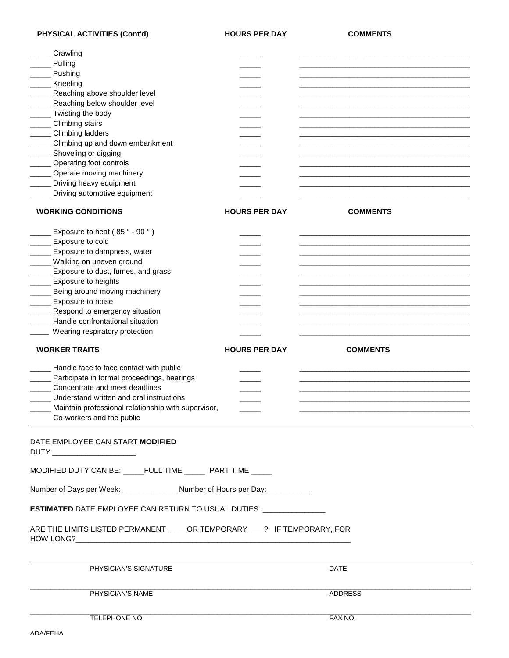PHYSICAL ACTIVITIES (Cont'd) **HOURS PER DAY** COMMENTS

| Crawling                                                                         |                      |                 |  |
|----------------------------------------------------------------------------------|----------------------|-----------------|--|
| Pulling                                                                          |                      |                 |  |
| Pushing                                                                          |                      |                 |  |
| Kneeling                                                                         |                      |                 |  |
| Reaching above shoulder level                                                    |                      |                 |  |
| Reaching below shoulder level                                                    |                      |                 |  |
| Twisting the body                                                                |                      |                 |  |
| Climbing stairs                                                                  |                      |                 |  |
| Climbing ladders                                                                 |                      |                 |  |
| Climbing up and down embankment                                                  |                      |                 |  |
| Shoveling or digging                                                             |                      |                 |  |
| Operating foot controls                                                          |                      |                 |  |
| Operate moving machinery                                                         |                      |                 |  |
| Driving heavy equipment                                                          |                      |                 |  |
| Driving automotive equipment                                                     |                      |                 |  |
| <b>WORKING CONDITIONS</b>                                                        | <b>HOURS PER DAY</b> | <b>COMMENTS</b> |  |
|                                                                                  |                      |                 |  |
| Exposure to heat $(85° - 90°)$                                                   |                      |                 |  |
| Exposure to cold                                                                 |                      |                 |  |
| Exposure to dampness, water                                                      |                      |                 |  |
| Walking on uneven ground                                                         |                      |                 |  |
| Exposure to dust, fumes, and grass                                               |                      |                 |  |
| Exposure to heights                                                              |                      |                 |  |
| Being around moving machinery                                                    |                      |                 |  |
| Exposure to noise                                                                |                      |                 |  |
| Respond to emergency situation                                                   |                      |                 |  |
| Handle confrontational situation                                                 |                      |                 |  |
| Wearing respiratory protection                                                   |                      |                 |  |
|                                                                                  |                      |                 |  |
| <b>WORKER TRAITS</b>                                                             | <b>HOURS PER DAY</b> | <b>COMMENTS</b> |  |
|                                                                                  |                      |                 |  |
| Handle face to face contact with public                                          |                      |                 |  |
| ____ Participate in formal proceedings, hearings                                 |                      |                 |  |
| Concentrate and meet deadlines                                                   |                      |                 |  |
| Understand written and oral instructions                                         |                      |                 |  |
| Maintain professional relationship with supervisor,<br>Co-workers and the public |                      |                 |  |
| DATE EMPLOYEE CAN START MODIFIED                                                 |                      |                 |  |
| DUTY:_________________________                                                   |                      |                 |  |
| MODIFIED DUTY CAN BE: _____FULL TIME ______ PART TIME _____                      |                      |                 |  |
| Number of Days per Week: _______________ Number of Hours per Day: ___________    |                      |                 |  |
| ESTIMATED DATE EMPLOYEE CAN RETURN TO USUAL DUTIES: _______________              |                      |                 |  |
| ARE THE LIMITS LISTED PERMANENT ____ OR TEMPORARY ____? IF TEMPORARY, FOR        |                      |                 |  |
| PHYSICIAN'S SIGNATURE                                                            |                      | <b>DATE</b>     |  |
|                                                                                  |                      |                 |  |
| PHYSICIAN'S NAME                                                                 |                      | ADDRESS         |  |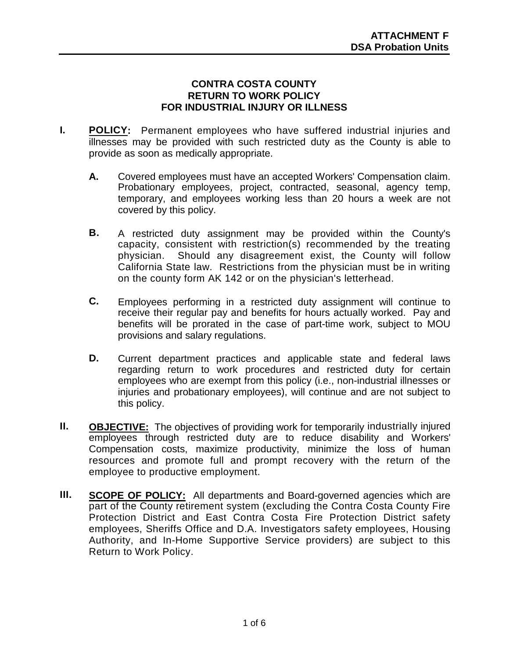### **CONTRA COSTA COUNTY RETURN TO WORK POLICY FOR INDUSTRIAL INJURY OR ILLNESS**

- **I. POLICY:** Permanent employees who have suffered industrial injuries and illnesses may be provided with such restricted duty as the County is able to provide as soon as medically appropriate.
	- **A.** Covered employees must have an accepted Workers' Compensation claim. Probationary employees, project, contracted, seasonal, agency temp, temporary, and employees working less than 20 hours a week are not covered by this policy.
	- **B.** A restricted duty assignment may be provided within the County's capacity, consistent with restriction(s) recommended by the treating physician. Should any disagreement exist, the County will follow California State law. Restrictions from the physician must be in writing on the county form AK 142 or on the physician's letterhead.
	- **C.** Employees performing in a restricted duty assignment will continue to receive their regular pay and benefits for hours actually worked. Pay and benefits will be prorated in the case of part-time work, subject to MOU provisions and salary regulations.
	- **D.** Current department practices and applicable state and federal laws regarding return to work procedures and restricted duty for certain employees who are exempt from this policy (i.e., non-industrial illnesses or injuries and probationary employees), will continue and are not subject to this policy.
- **II. OBJECTIVE:** The objectives of providing work for temporarily industrially injured employees through restricted duty are to reduce disability and Workers' Compensation costs, maximize productivity, minimize the loss of human resources and promote full and prompt recovery with the return of the employee to productive employment.
- **III. SCOPE OF POLICY:** All departments and Board-governed agencies which are part of the County retirement system (excluding the Contra Costa County Fire Protection District and East Contra Costa Fire Protection District safety employees, Sheriffs Office and D.A. Investigators safety employees, Housing Authority, and In-Home Supportive Service providers) are subject to this Return to Work Policy.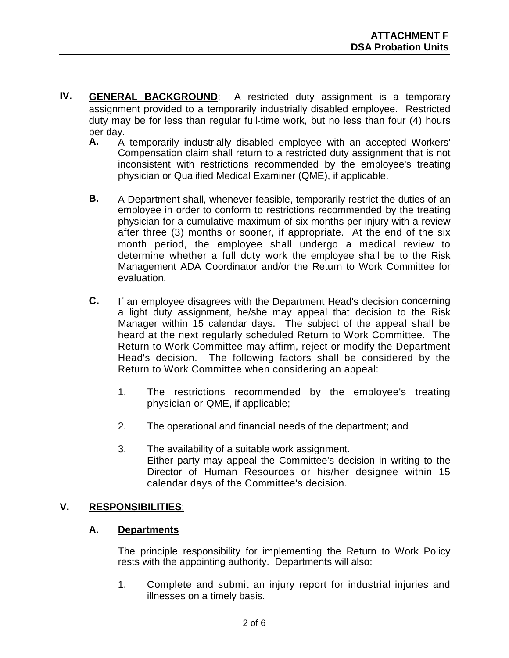- **IV. GENERAL BACKGROUND**: A restricted duty assignment is a temporary assignment provided to a temporarily industrially disabled employee. Restricted duty may be for less than regular full-time work, but no less than four (4) hours per day.<br>**A.** A
	- A temporarily industrially disabled employee with an accepted Workers' Compensation claim shall return to a restricted duty assignment that is not inconsistent with restrictions recommended by the employee's treating physician or Qualified Medical Examiner (QME), if applicable.
	- **B.** A Department shall, whenever feasible, temporarily restrict the duties of an employee in order to conform to restrictions recommended by the treating physician for a cumulative maximum of six months per injury with a review after three (3) months or sooner, if appropriate. At the end of the six month period, the employee shall undergo a medical review to determine whether a full duty work the employee shall be to the Risk Management ADA Coordinator and/or the Return to Work Committee for evaluation.
	- **C.** If an employee disagrees with the Department Head's decision concerning a light duty assignment, he/she may appeal that decision to the Risk Manager within 15 calendar days. The subject of the appeal shall be heard at the next regularly scheduled Return to Work Committee. The Return to Work Committee may affirm, reject or modify the Department Head's decision. The following factors shall be considered by the Return to Work Committee when considering an appeal:
		- 1. The restrictions recommended by the employee's treating physician or QME, if applicable;
		- 2. The operational and financial needs of the department; and
		- 3. The availability of a suitable work assignment. Either party may appeal the Committee's decision in writing to the Director of Human Resources or his/her designee within 15 calendar days of the Committee's decision.

## **V. RESPONSIBILITIES**:

### **A. Departments**

The principle responsibility for implementing the Return to Work Policy rests with the appointing authority. Departments will also:

1. Complete and submit an injury report for industrial injuries and illnesses on a timely basis.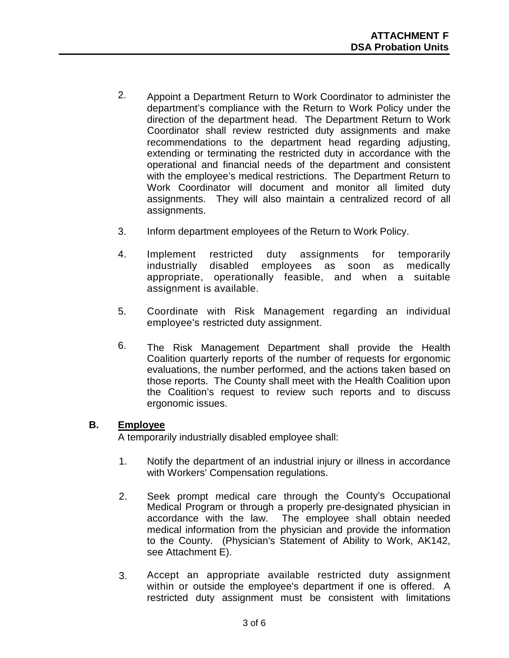- 2. Appoint a Department Return to Work Coordinator to administer the department's compliance with the Return to Work Policy under the direction of the department head. The Department Return to Work Coordinator shall review restricted duty assignments and make recommendations to the department head regarding adjusting, extending or terminating the restricted duty in accordance with the operational and financial needs of the department and consistent with the employee's medical restrictions. The Department Return to Work Coordinator will document and monitor all limited duty assignments. They will also maintain a centralized record of all assignments.
- 3. Inform department employees of the Return to Work Policy.
- 4. Implement restricted duty assignments for temporarily industrially disabled employees as soon as medically appropriate, operationally feasible, and when a suitable assignment is available.
- 5. Coordinate with Risk Management regarding an individual employee's restricted duty assignment.
- 6. The Risk Management Department shall provide the Health Coalition quarterly reports of the number of requests for ergonomic evaluations, the number performed, and the actions taken based on those reports. The County shall meet with the Health Coalition upon the Coalition's request to review such reports and to discuss ergonomic issues.

### **B. Employee**

A temporarily industrially disabled employee shall:

- 1. Notify the department of an industrial injury or illness in accordance with Workers' Compensation regulations.
- 2. Seek prompt medical care through the County's Occupational Medical Program or through a properly pre-designated physician in accordance with the law. The employee shall obtain needed medical information from the physician and provide the information to the County. (Physician's Statement of Ability to Work, AK142, see Attachment E).
- 3. Accept an appropriate available restricted duty assignment within or outside the employee's department if one is offered. A restricted duty assignment must be consistent with limitations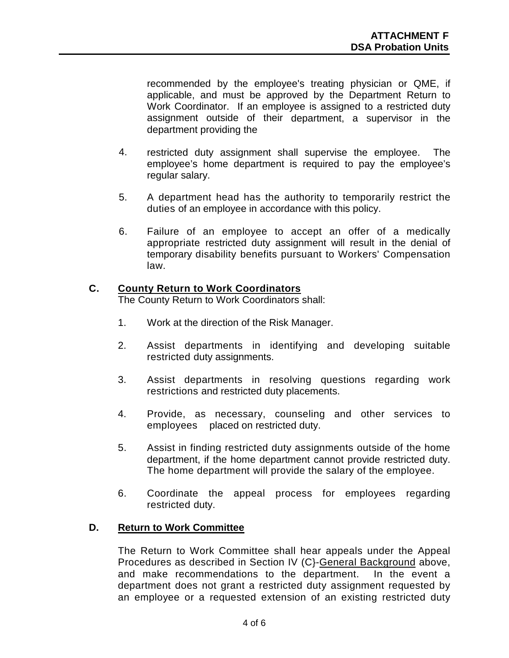recommended by the employee's treating physician or QME, if applicable, and must be approved by the Department Return to Work Coordinator. If an employee is assigned to a restricted duty assignment outside of their department, a supervisor in the department providing the

- 4. restricted duty assignment shall supervise the employee. The employee's home department is required to pay the employee's regular salary.
- 5. A department head has the authority to temporarily restrict the duties of an employee in accordance with this policy.
- 6. Failure of an employee to accept an offer of a medically appropriate restricted duty assignment will result in the denial of temporary disability benefits pursuant to Workers' Compensation law.

### **C. County Return to Work Coordinators**

The County Return to Work Coordinators shall:

- 1. Work at the direction of the Risk Manager.
- 2. Assist departments in identifying and developing suitable restricted duty assignments.
- 3. Assist departments in resolving questions regarding work restrictions and restricted duty placements.
- 4. Provide, as necessary, counseling and other services to employees placed on restricted duty.
- 5. Assist in finding restricted duty assignments outside of the home department, if the home department cannot provide restricted duty. The home department will provide the salary of the employee.
- 6. Coordinate the appeal process for employees regarding restricted duty.

### **D. Return to Work Committee**

The Return to Work Committee shall hear appeals under the Appeal Procedures as described in Section IV (C}-General Background above, and make recommendations to the department. In the event a department does not grant a restricted duty assignment requested by an employee or a requested extension of an existing restricted duty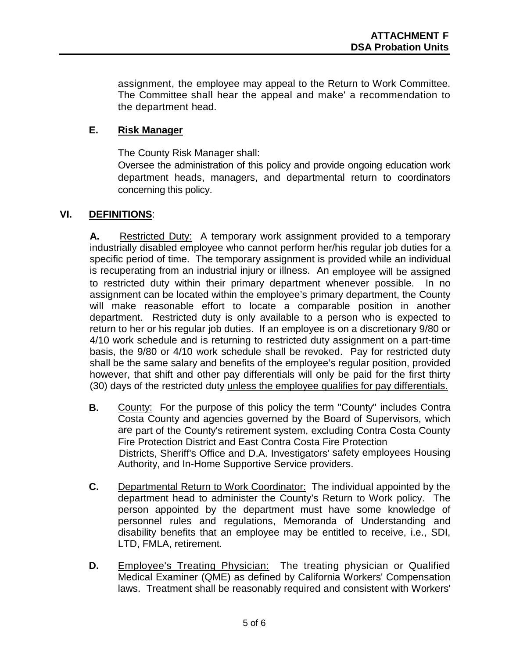assignment, the employee may appeal to the Return to Work Committee. The Committee shall hear the appeal and make' a recommendation to the department head.

### **E. Risk Manager**

The County Risk Manager shall:

Oversee the administration of this policy and provide ongoing education work department heads, managers, and departmental return to coordinators concerning this policy.

### **VI. DEFINITIONS**:

**A.** Restricted Duty: A temporary work assignment provided to a temporary industrially disabled employee who cannot perform her/his regular job duties for a specific period of time. The temporary assignment is provided while an individual is recuperating from an industrial injury or illness. An employee will be assigned to restricted duty within their primary department whenever possible. In no assignment can be located within the employee's primary department, the County will make reasonable effort to locate a comparable position in another department. Restricted duty is only available to a person who is expected to return to her or his regular job duties. If an employee is on a discretionary 9/80 or 4/10 work schedule and is returning to restricted duty assignment on a part-time basis, the 9/80 or 4/10 work schedule shall be revoked. Pay for restricted duty shall be the same salary and benefits of the employee's regular position, provided however, that shift and other pay differentials will only be paid for the first thirty (30) days of the restricted duty unless the employee qualifies for pay differentials.

- **B.** County: For the purpose of this policy the term "County" includes Contra Costa County and agencies governed by the Board of Supervisors, which are part of the County's retirement system, excluding Contra Costa County Fire Protection District and East Contra Costa Fire Protection Districts, Sheriff's Office and D.A. Investigators' safety employees Housing Authority, and In-Home Supportive Service providers.
- **C.** Departmental Return to Work Coordinator: The individual appointed by the department head to administer the County's Return to Work policy. The person appointed by the department must have some knowledge of personnel rules and regulations, Memoranda of Understanding and disability benefits that an employee may be entitled to receive, i.e., SDI, LTD, FMLA, retirement.
- **D.** Employee's Treating Physician: The treating physician or Qualified Medical Examiner (QME) as defined by California Workers' Compensation laws. Treatment shall be reasonably required and consistent with Workers'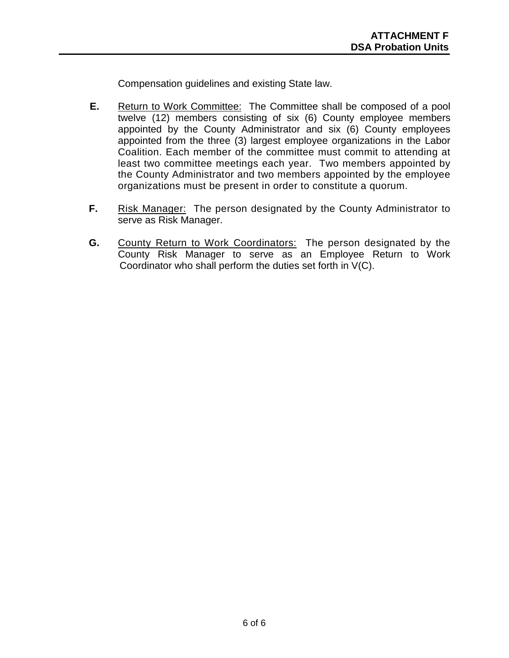Compensation guidelines and existing State law.

- **E.** Return to Work Committee: The Committee shall be composed of a pool twelve (12) members consisting of six (6) County employee members appointed by the County Administrator and six (6) County employees appointed from the three (3) largest employee organizations in the Labor Coalition. Each member of the committee must commit to attending at least two committee meetings each year. Two members appointed by the County Administrator and two members appointed by the employee organizations must be present in order to constitute a quorum.
- **F.** Risk Manager: The person designated by the County Administrator to serve as Risk Manager.
- **G.** County Return to Work Coordinators: The person designated by the County Risk Manager to serve as an Employee Return to Work Coordinator who shall perform the duties set forth in V(C).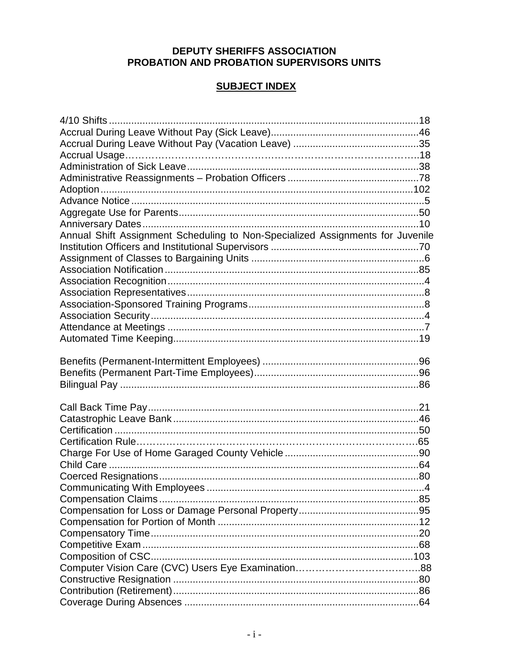### **DEPUTY SHERIFFS ASSOCIATION** PROBATION AND PROBATION SUPERVISORS UNITS

## **SUBJECT INDEX**

| Annual Shift Assignment Scheduling to Non-Specialized Assignments for Juvenile |  |
|--------------------------------------------------------------------------------|--|
|                                                                                |  |
|                                                                                |  |
|                                                                                |  |
|                                                                                |  |
|                                                                                |  |
|                                                                                |  |
|                                                                                |  |
|                                                                                |  |
|                                                                                |  |
|                                                                                |  |
|                                                                                |  |
|                                                                                |  |
|                                                                                |  |
|                                                                                |  |
|                                                                                |  |
|                                                                                |  |
|                                                                                |  |
|                                                                                |  |
|                                                                                |  |
|                                                                                |  |
|                                                                                |  |
|                                                                                |  |
|                                                                                |  |
|                                                                                |  |
|                                                                                |  |
|                                                                                |  |
|                                                                                |  |
|                                                                                |  |
|                                                                                |  |
|                                                                                |  |
|                                                                                |  |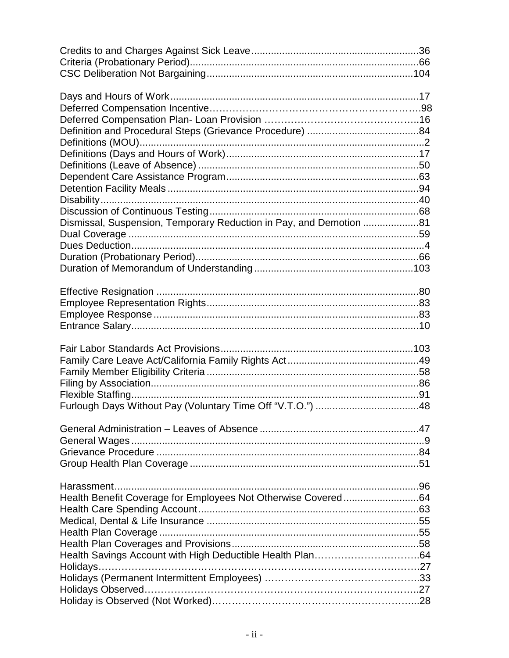| Dismissal, Suspension, Temporary Reduction in Pay, and Demotion 81 |  |
|--------------------------------------------------------------------|--|
|                                                                    |  |
|                                                                    |  |
|                                                                    |  |
|                                                                    |  |
|                                                                    |  |
|                                                                    |  |
|                                                                    |  |
|                                                                    |  |
|                                                                    |  |
|                                                                    |  |
|                                                                    |  |
|                                                                    |  |
|                                                                    |  |
|                                                                    |  |
|                                                                    |  |
|                                                                    |  |
|                                                                    |  |
|                                                                    |  |
|                                                                    |  |
|                                                                    |  |
|                                                                    |  |
| Health Benefit Coverage for Employees Not Otherwise Covered64      |  |
|                                                                    |  |
|                                                                    |  |
|                                                                    |  |
|                                                                    |  |
|                                                                    |  |
|                                                                    |  |
|                                                                    |  |
|                                                                    |  |
|                                                                    |  |
|                                                                    |  |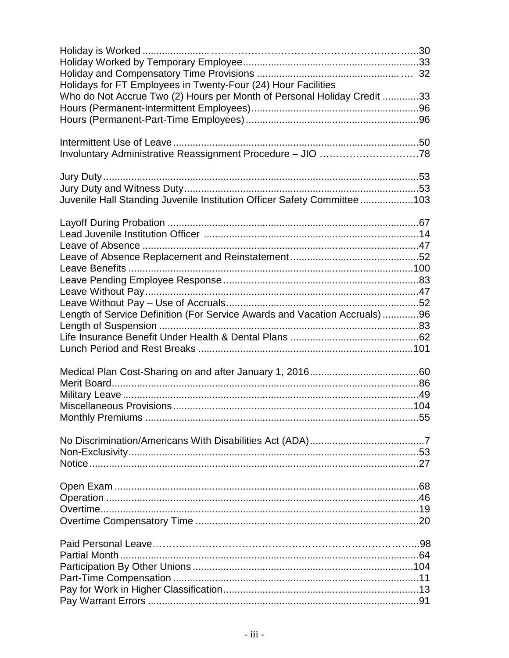| Who do Not Accrue Two (2) Hours per Month of Personal Holiday Credit 33<br>Involuntary Administrative Reassignment Procedure - JIO 78<br>Juvenile Hall Standing Juvenile Institution Officer Safety Committee103<br>Length of Service Definition (For Service Awards and Vacation Accruals)96 | Holidays for FT Employees in Twenty-Four (24) Hour Facilities |  |
|-----------------------------------------------------------------------------------------------------------------------------------------------------------------------------------------------------------------------------------------------------------------------------------------------|---------------------------------------------------------------|--|
|                                                                                                                                                                                                                                                                                               |                                                               |  |
|                                                                                                                                                                                                                                                                                               |                                                               |  |
|                                                                                                                                                                                                                                                                                               |                                                               |  |
|                                                                                                                                                                                                                                                                                               |                                                               |  |
|                                                                                                                                                                                                                                                                                               |                                                               |  |
|                                                                                                                                                                                                                                                                                               |                                                               |  |
|                                                                                                                                                                                                                                                                                               |                                                               |  |
|                                                                                                                                                                                                                                                                                               |                                                               |  |
|                                                                                                                                                                                                                                                                                               |                                                               |  |
|                                                                                                                                                                                                                                                                                               |                                                               |  |
|                                                                                                                                                                                                                                                                                               |                                                               |  |
|                                                                                                                                                                                                                                                                                               |                                                               |  |
|                                                                                                                                                                                                                                                                                               |                                                               |  |
|                                                                                                                                                                                                                                                                                               |                                                               |  |
|                                                                                                                                                                                                                                                                                               |                                                               |  |
|                                                                                                                                                                                                                                                                                               |                                                               |  |
|                                                                                                                                                                                                                                                                                               |                                                               |  |
|                                                                                                                                                                                                                                                                                               |                                                               |  |
|                                                                                                                                                                                                                                                                                               |                                                               |  |
|                                                                                                                                                                                                                                                                                               |                                                               |  |
|                                                                                                                                                                                                                                                                                               |                                                               |  |
|                                                                                                                                                                                                                                                                                               |                                                               |  |
|                                                                                                                                                                                                                                                                                               |                                                               |  |
|                                                                                                                                                                                                                                                                                               |                                                               |  |
|                                                                                                                                                                                                                                                                                               |                                                               |  |
|                                                                                                                                                                                                                                                                                               |                                                               |  |
|                                                                                                                                                                                                                                                                                               |                                                               |  |
|                                                                                                                                                                                                                                                                                               |                                                               |  |
|                                                                                                                                                                                                                                                                                               |                                                               |  |
|                                                                                                                                                                                                                                                                                               |                                                               |  |
|                                                                                                                                                                                                                                                                                               |                                                               |  |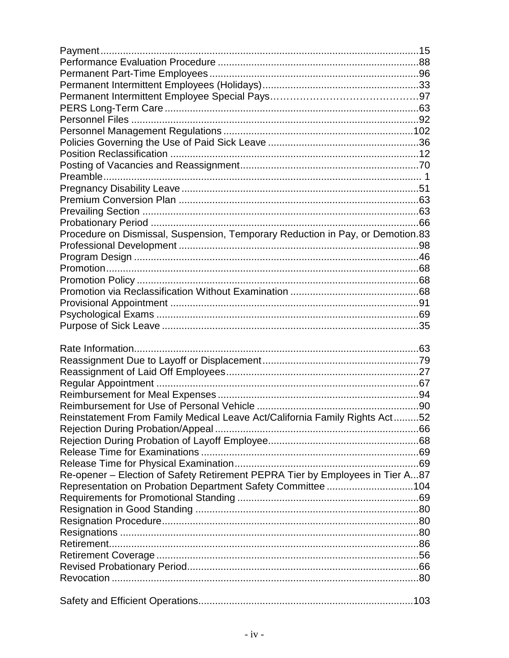| Procedure on Dismissal, Suspension, Temporary Reduction in Pay, or Demotion.83 |  |
|--------------------------------------------------------------------------------|--|
|                                                                                |  |
|                                                                                |  |
|                                                                                |  |
|                                                                                |  |
|                                                                                |  |
|                                                                                |  |
|                                                                                |  |
|                                                                                |  |
|                                                                                |  |
|                                                                                |  |
|                                                                                |  |
|                                                                                |  |
|                                                                                |  |
|                                                                                |  |
|                                                                                |  |
|                                                                                |  |
|                                                                                |  |
| Reinstatement From Family Medical Leave Act/California Family Rights Act52     |  |
|                                                                                |  |
|                                                                                |  |
|                                                                                |  |
|                                                                                |  |
| Re-opener - Election of Safety Retirement PEPRA Tier by Employees in Tier A87  |  |
| Representation on Probation Department Safety Committee 104                    |  |
|                                                                                |  |
|                                                                                |  |
|                                                                                |  |
|                                                                                |  |
|                                                                                |  |
|                                                                                |  |
|                                                                                |  |
|                                                                                |  |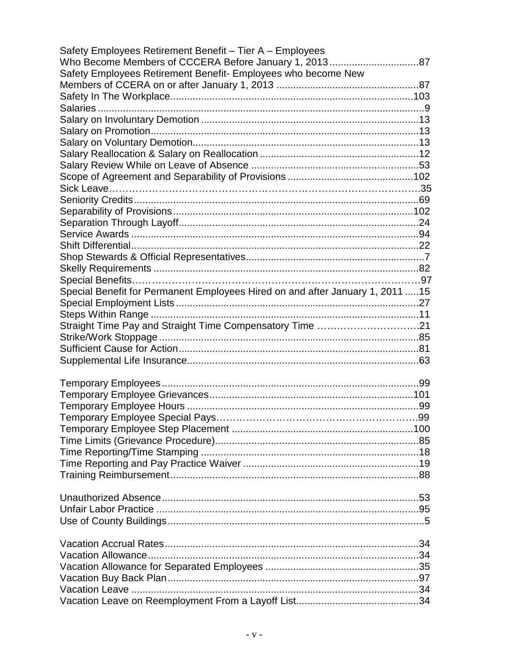| Safety Employees Retirement Benefit - Tier A - Employees                       |  |
|--------------------------------------------------------------------------------|--|
| Who Become Members of CCCERA Before January 1, 201387                          |  |
| Safety Employees Retirement Benefit- Employees who become New                  |  |
|                                                                                |  |
|                                                                                |  |
|                                                                                |  |
|                                                                                |  |
|                                                                                |  |
|                                                                                |  |
|                                                                                |  |
|                                                                                |  |
|                                                                                |  |
|                                                                                |  |
|                                                                                |  |
|                                                                                |  |
|                                                                                |  |
|                                                                                |  |
|                                                                                |  |
|                                                                                |  |
|                                                                                |  |
|                                                                                |  |
| Special Benefit for Permanent Employees Hired on and after January 1, 2011  15 |  |
|                                                                                |  |
|                                                                                |  |
| Straight Time Pay and Straight Time Compensatory Time 21                       |  |
|                                                                                |  |
|                                                                                |  |
|                                                                                |  |
|                                                                                |  |
|                                                                                |  |
|                                                                                |  |
|                                                                                |  |
|                                                                                |  |
|                                                                                |  |
|                                                                                |  |
|                                                                                |  |
|                                                                                |  |
|                                                                                |  |
|                                                                                |  |
|                                                                                |  |
|                                                                                |  |
|                                                                                |  |
|                                                                                |  |
|                                                                                |  |
|                                                                                |  |
|                                                                                |  |
|                                                                                |  |
|                                                                                |  |
|                                                                                |  |
|                                                                                |  |